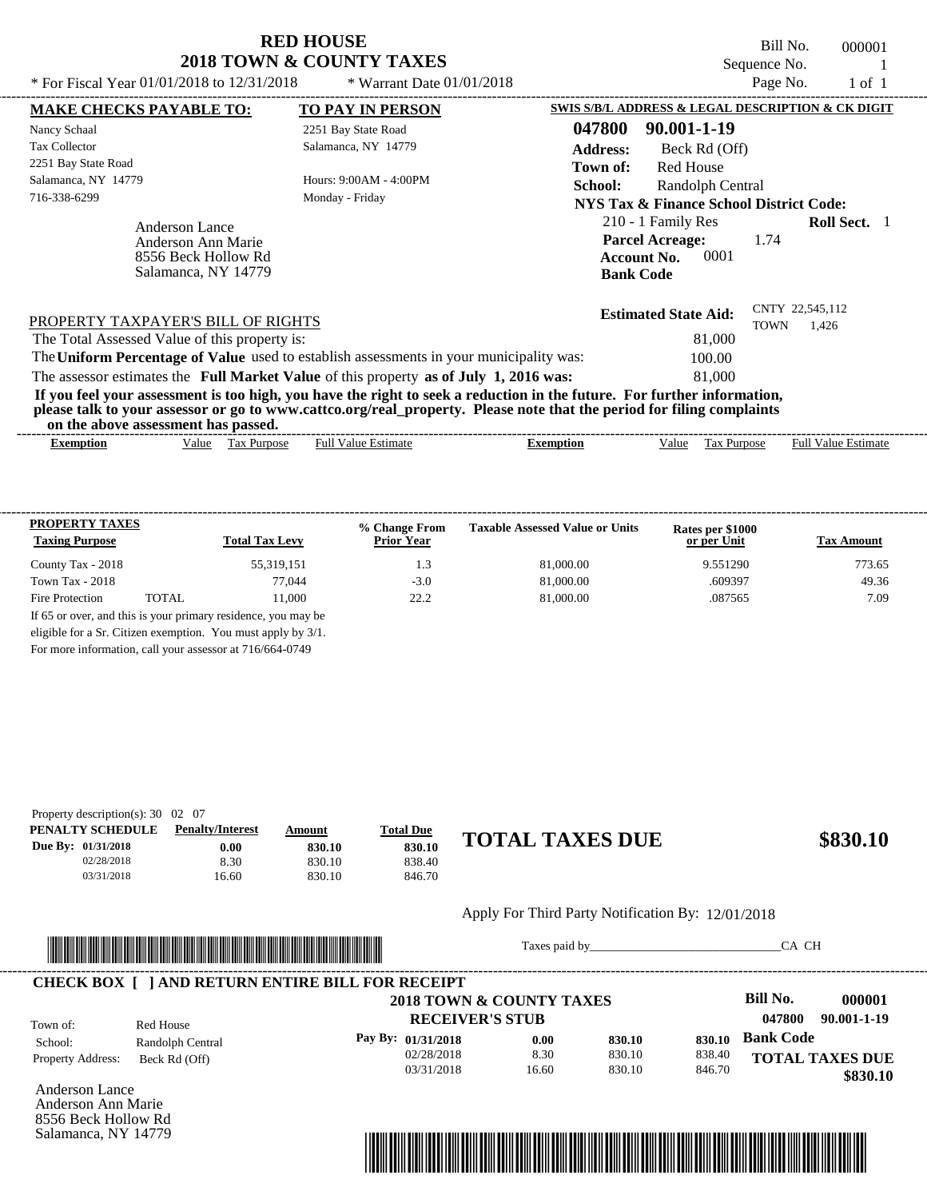Bill No. 000001 Sequence No. 1 \* For Fiscal Year  $01/01/2018$  to  $12/31/2018$  \* Warrant Date  $01/01/2018$  Page No. 1 of 1

| * For Fiscal Year $01/01/2018$ to $12/31/2018$                                            | * Warrant Date $01/01/2018$                                                                                                                                                                                                                      |                                                                                                | Page No.         | $1 \text{ of } 1$        |  |
|-------------------------------------------------------------------------------------------|--------------------------------------------------------------------------------------------------------------------------------------------------------------------------------------------------------------------------------------------------|------------------------------------------------------------------------------------------------|------------------|--------------------------|--|
| <b>MAKE CHECKS PAYABLE TO:</b>                                                            | <b>TO PAY IN PERSON</b>                                                                                                                                                                                                                          | SWIS S/B/L ADDRESS & LEGAL DESCRIPTION & CK DIGIT                                              |                  |                          |  |
| Nancy Schaal                                                                              | 2251 Bay State Road                                                                                                                                                                                                                              | 047800<br>90.001-1-19                                                                          |                  |                          |  |
| <b>Tax Collector</b>                                                                      | Salamanca, NY 14779                                                                                                                                                                                                                              | <b>Address:</b><br>Beck Rd (Off)                                                               |                  |                          |  |
| 2251 Bay State Road                                                                       |                                                                                                                                                                                                                                                  | <b>Red House</b><br>Town of:                                                                   |                  |                          |  |
| Salamanca, NY 14779                                                                       | Hours: 9:00AM - 4:00PM<br>School:                                                                                                                                                                                                                |                                                                                                | Randolph Central |                          |  |
| 716-338-6299                                                                              | Monday - Friday<br>NYS Tax & Finance School District Code:                                                                                                                                                                                       |                                                                                                |                  |                          |  |
| <b>Anderson Lance</b><br>Anderson Ann Marie<br>8556 Beck Hollow Rd<br>Salamanca, NY 14779 |                                                                                                                                                                                                                                                  | 210 - 1 Family Res<br><b>Parcel Acreage:</b><br>0001<br><b>Account No.</b><br><b>Bank Code</b> | 1.74             | <b>Roll Sect.</b> 1      |  |
| PROPERTY TAXPAYER'S BILL OF RIGHTS                                                        |                                                                                                                                                                                                                                                  | <b>Estimated State Aid:</b>                                                                    | TOWN             | CNTY 22,545,112<br>1,426 |  |
| The Total Assessed Value of this property is:                                             |                                                                                                                                                                                                                                                  | 81,000                                                                                         |                  |                          |  |
|                                                                                           | The Uniform Percentage of Value used to establish assessments in your municipality was:                                                                                                                                                          | 100.00                                                                                         |                  |                          |  |
|                                                                                           | The assessor estimates the Full Market Value of this property as of July 1, 2016 was:                                                                                                                                                            | 81,000                                                                                         |                  |                          |  |
| on the above assessment has passed.                                                       | If you feel your assessment is too high, you have the right to seek a reduction in the future. For further information,<br>please talk to your assessor or go to www.cattco.org/real_property. Please note that the period for filing complaints |                                                                                                |                  |                          |  |
|                                                                                           |                                                                                                                                                                                                                                                  |                                                                                                |                  |                          |  |

| ------       |      |                    |                                   |           |        |               | ------                    |
|--------------|------|--------------------|-----------------------------------|-----------|--------|---------------|---------------------------|
| emption<br>. | alue | Purpo.<br>w<br>۰a. | $\sim$<br>⊦uli<br>alue<br>stimate | Exemption | ⁄ alue | urbose<br>∟a∧ | Full<br>Value<br>'stımate |

| <b>PROPERTY TAXES</b><br><b>Taxing Purpose</b> |       | <b>Total Tax Levy</b>                                         | % Change From<br><b>Prior Year</b> | <b>Taxable Assessed Value or Units</b> | Rates per \$1000<br>or per Unit | <b>Tax Amount</b> |
|------------------------------------------------|-------|---------------------------------------------------------------|------------------------------------|----------------------------------------|---------------------------------|-------------------|
| County Tax - 2018                              |       | 55,319,151                                                    | 1.3                                | 81,000.00                              | 9.551290                        | 773.65            |
| Town Tax - $2018$                              |       | 77.044                                                        | $-3.0$                             | 81,000.00                              | .609397                         | 49.36             |
| Fire Protection                                | TOTAL | 11.000                                                        | 22.2                               | 81,000.00                              | .087565                         | 7.09              |
|                                                |       | If 65 or over, and this is your primary residence, you may be |                                    |                                        |                                 |                   |
|                                                |       | eligible for a Sr. Citizen exemption. You must apply by 3/1.  |                                    |                                        |                                 |                   |

For more information, call your assessor at 716/664-0749

| Property description(s): $30 \quad 02 \quad 07$ |                         |        |                  |                        |          |
|-------------------------------------------------|-------------------------|--------|------------------|------------------------|----------|
| PENALTY SCHEDULE                                | <b>Penalty/Interest</b> | Amount | <b>Total Due</b> |                        |          |
| Due By: 01/31/2018                              | $0.00\,$                | 830.10 | 830.10           | <b>TOTAL TAXES DUE</b> | \$830.10 |
| 02/28/2018                                      | 8.30                    | 830.10 | 838.40           |                        |          |
| 03/31/2018                                      | 16.60                   | 830.10 | 846.70           |                        |          |

## Apply For Third Party Notification By: 12/01/2018



Taxes paid by\_\_\_\_\_\_\_\_\_\_\_\_\_\_\_\_\_\_\_\_\_\_\_\_\_\_\_\_\_\_\_CA CH

**RECEIVER'S STUB Bill No. 000001 Bank Code 830.10** Property Address: Beck Rd (Off) Red House School: Randolph Central **TOTAL TAXES DUE \$830.10 2018 TOWN & COUNTY TAXES 047800 90.001-1-19 Pay By: 01/31/2018** 02/28/2018 03/31/2018 8.30 16.60 **0.00** 830.10 830.10 **830.10** 838.40 846.70 Town of: ---------------------------------------------------------------------------------------------------------------------------------------------------------------------------------------------------- **CHECK BOX [ ] AND RETURN ENTIRE BILL FOR RECEIPT**

Anderson Lance Anderson Ann Marie 8556 Beck Hollow Rd Salamanca, NY 14779

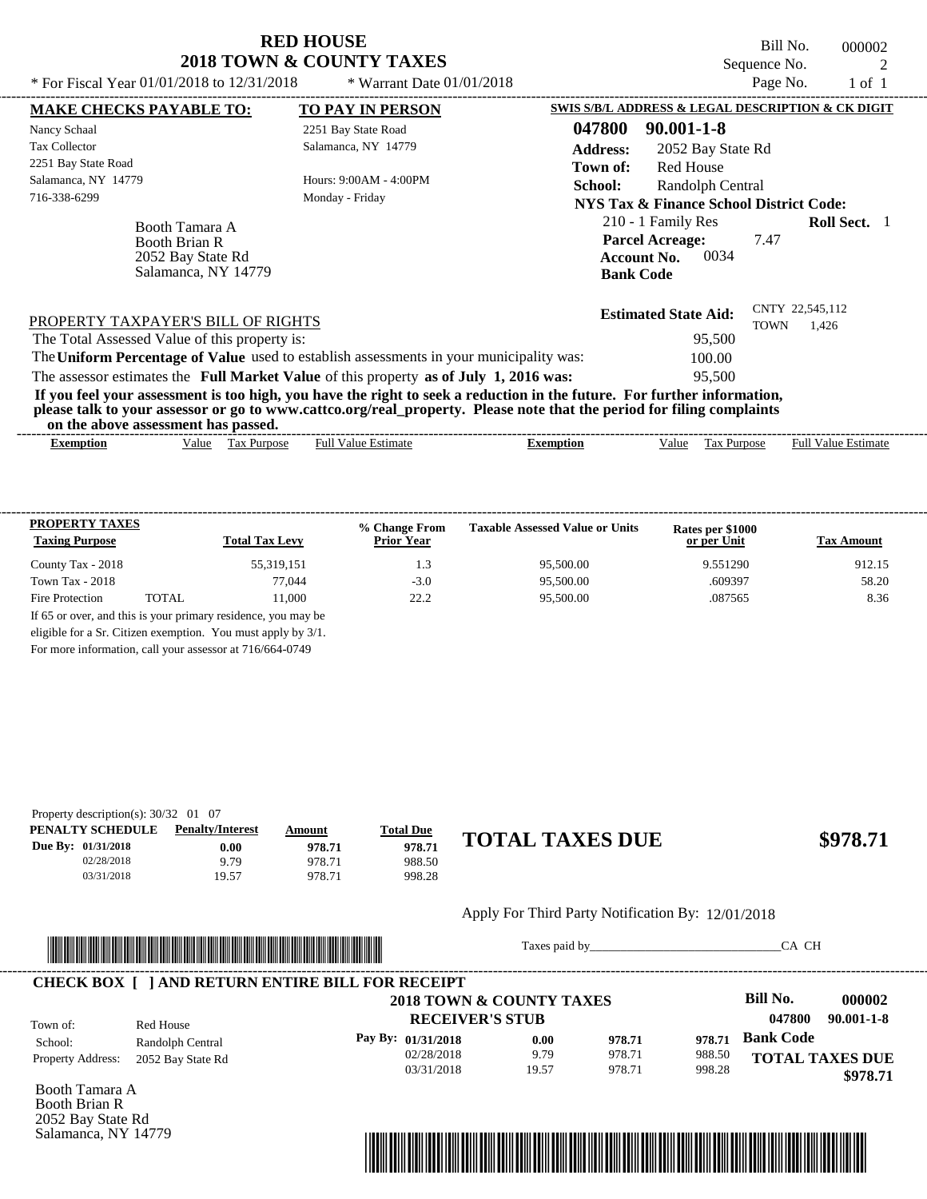Bill No. 000002 Sequence No. 2<br>Page No. 2 1 of 1

| * For Fiscal Year 01/01/2018 to 12/31/2018                                         | * Warrant Date $01/01/2018$                                                                                                                                                                                                                      |                                                                                                 | Page No.    | 1 of 1                   |  |
|------------------------------------------------------------------------------------|--------------------------------------------------------------------------------------------------------------------------------------------------------------------------------------------------------------------------------------------------|-------------------------------------------------------------------------------------------------|-------------|--------------------------|--|
| <b>MAKE CHECKS PAYABLE TO:</b>                                                     | <b>TO PAY IN PERSON</b>                                                                                                                                                                                                                          | SWIS S/B/L ADDRESS & LEGAL DESCRIPTION & CK DIGIT                                               |             |                          |  |
| Nancy Schaal                                                                       | 2251 Bay State Road                                                                                                                                                                                                                              | 047800<br>$90.001 - 1 - 8$                                                                      |             |                          |  |
| <b>Tax Collector</b>                                                               | Salamanca, NY 14779                                                                                                                                                                                                                              | <b>Address:</b><br>2052 Bay State Rd                                                            |             |                          |  |
| 2251 Bay State Road                                                                |                                                                                                                                                                                                                                                  | Red House<br>Town of:                                                                           |             |                          |  |
| Salamanca, NY 14779                                                                | Hours: 9:00AM - 4:00PM                                                                                                                                                                                                                           | School:<br>Randolph Central                                                                     |             |                          |  |
| 716-338-6299                                                                       | Monday - Friday                                                                                                                                                                                                                                  | NYS Tax & Finance School District Code:                                                         |             |                          |  |
| Booth Tamara A<br><b>Booth Brian R</b><br>2052 Bay State Rd<br>Salamanca, NY 14779 |                                                                                                                                                                                                                                                  | 210 - 1 Family Res<br><b>Parcel Acreage:</b><br>7.47<br>0034<br>Account No.<br><b>Bank Code</b> |             | <b>Roll Sect.</b> 1      |  |
| PROPERTY TAXPAYER'S BILL OF RIGHTS                                                 |                                                                                                                                                                                                                                                  | <b>Estimated State Aid:</b>                                                                     | <b>TOWN</b> | CNTY 22,545,112<br>1,426 |  |
| The Total Assessed Value of this property is:                                      |                                                                                                                                                                                                                                                  | 95,500                                                                                          |             |                          |  |
|                                                                                    | The Uniform Percentage of Value used to establish assessments in your municipality was:                                                                                                                                                          | 100.00                                                                                          |             |                          |  |
|                                                                                    | The assessor estimates the Full Market Value of this property as of July 1, 2016 was:                                                                                                                                                            | 95,500                                                                                          |             |                          |  |
| on the above assessment has passed.                                                | If you feel your assessment is too high, you have the right to seek a reduction in the future. For further information,<br>please talk to your assessor or go to www.cattco.org/real_property. Please note that the period for filing complaints |                                                                                                 |             |                          |  |
|                                                                                    |                                                                                                                                                                                                                                                  |                                                                                                 |             |                          |  |

| ------------------------------<br>Exemption | 'alue | -<br>Purpose<br>Гaх | <br>Full<br>Estimate<br>value | ixemption<br>$-100$ | Value | ľax<br>Purpose | ___________<br>- Full <sup>v</sup><br>±stımate<br>Value |
|---------------------------------------------|-------|---------------------|-------------------------------|---------------------|-------|----------------|---------------------------------------------------------|
|                                             |       |                     |                               |                     |       |                |                                                         |

| <b>PROPERTY TAXES</b><br><b>Taxing Purpose</b> |       | <b>Total Tax Levy</b>                                         | % Change From<br><b>Prior Year</b> | <b>Taxable Assessed Value or Units</b> | Rates per \$1000<br>or per Unit | <b>Tax Amount</b> |
|------------------------------------------------|-------|---------------------------------------------------------------|------------------------------------|----------------------------------------|---------------------------------|-------------------|
| County Tax - 2018                              |       | 55,319,151                                                    | 1.3                                | 95,500.00                              | 9.551290                        | 912.15            |
| Town Tax - $2018$                              |       | 77.044                                                        | $-3.0$                             | 95,500.00                              | .609397                         | 58.20             |
| Fire Protection                                | TOTAL | 11.000                                                        | 22.2                               | 95,500.00                              | .087565                         | 8.36              |
|                                                |       | If 65 or over, and this is your primary residence, you may be |                                    |                                        |                                 |                   |
|                                                |       | eligible for a Sr. Citizen exemption. You must apply by 3/1.  |                                    |                                        |                                 |                   |

For more information, call your assessor at 716/664-0749

| Property description(s): $30/32$ 01 07 |                         |        |                  |                        |          |
|----------------------------------------|-------------------------|--------|------------------|------------------------|----------|
| PENALTY SCHEDULE                       | <b>Penalty/Interest</b> | Amount | <b>Total Due</b> |                        |          |
| Due By: 01/31/2018                     | $0.00\,$                | 978.71 | 978.71           | <b>TOTAL TAXES DUE</b> | \$978.71 |
| 02/28/2018                             | 9.79                    | 978.71 | 988.50           |                        |          |
| 03/31/2018                             | 19.57                   | 978.71 | 998.28           |                        |          |

#### Apply For Third Party Notification By: 12/01/2018



Taxes paid by\_\_\_\_\_\_\_\_\_\_\_\_\_\_\_\_\_\_\_\_\_\_\_\_\_\_\_\_\_\_\_CA CH

|                          |                   | 2018 TOWN & COUNTY TAXES |       |        |        | Bill No.               | 000002           |
|--------------------------|-------------------|--------------------------|-------|--------|--------|------------------------|------------------|
| Town of:                 | Red House         | <b>RECEIVER'S STUB</b>   |       |        |        | 047800                 | $90.001 - 1 - 8$ |
| School:                  | Randolph Central  | Pay By: 01/31/2018       | 0.00  | 978.71 | 978.71 | <b>Bank Code</b>       |                  |
| <b>Property Address:</b> | 2052 Bay State Rd | 02/28/2018               | 9.79  | 978.71 | 988.50 | <b>TOTAL TAXES DUE</b> |                  |
|                          |                   | 03/31/2018               | 19.57 | 978.71 | 998.28 |                        | \$978.71         |

Booth Tamara A Booth Brian R 2052 Bay State Rd Salamanca, NY 14779

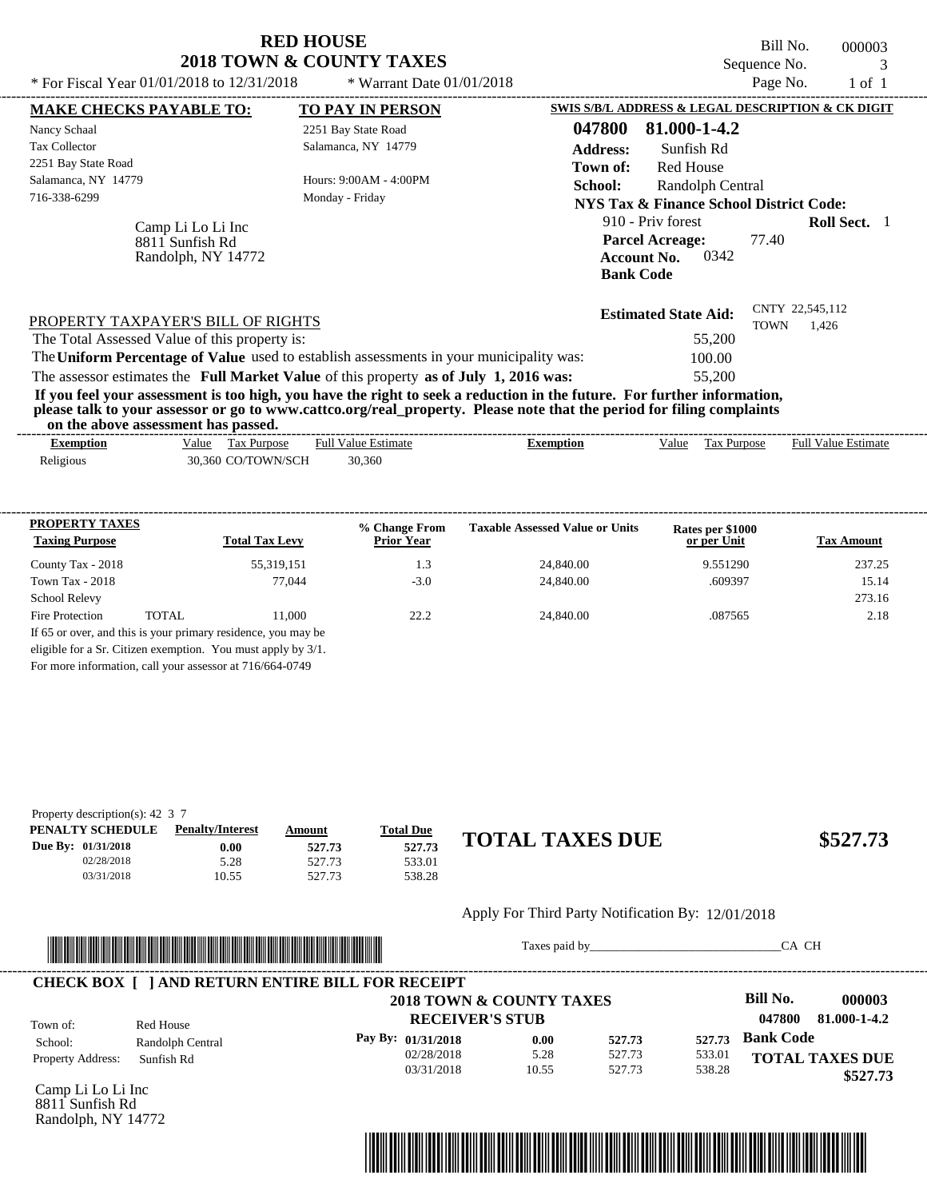| * For Fiscal Year 01/01/2018 to 12/31/2018                                                                                                                                                         | <b>RED HOUSE</b><br>2018 TOWN & COUNTY TAXES<br>* Warrant Date $01/01/2018$                                        | Bill No.<br>000003<br>Sequence No.<br>3<br>Page No.<br>$1$ of $1$                                                                                                                                                                                                                                                                                                  |
|----------------------------------------------------------------------------------------------------------------------------------------------------------------------------------------------------|--------------------------------------------------------------------------------------------------------------------|--------------------------------------------------------------------------------------------------------------------------------------------------------------------------------------------------------------------------------------------------------------------------------------------------------------------------------------------------------------------|
| <b>MAKE CHECKS PAYABLE TO:</b><br>Nancy Schaal<br><b>Tax Collector</b><br>2251 Bay State Road<br>Salamanca, NY 14779<br>716-338-6299<br>Camp Li Lo Li Inc<br>8811 Sunfish Rd<br>Randolph, NY 14772 | <b>TO PAY IN PERSON</b><br>2251 Bay State Road<br>Salamanca, NY 14779<br>Hours: 9:00AM - 4:00PM<br>Monday - Friday | SWIS S/B/L ADDRESS & LEGAL DESCRIPTION & CK DIGIT<br>81.000-1-4.2<br>047800<br><b>Address:</b><br>Sunfish Rd<br>Red House<br>Town of:<br><b>School:</b><br>Randolph Central<br><b>NYS Tax &amp; Finance School District Code:</b><br>910 - Priv forest<br><b>Roll Sect.</b> 1<br><b>Parcel Acreage:</b><br>77.40<br>0342<br><b>Account No.</b><br><b>Bank Code</b> |
| PROPERTY TAXPAYER'S BILL OF RIGHTS<br>The Total Assessed Value of this property is:                                                                                                                |                                                                                                                    | CNTY 22,545,112<br><b>Estimated State Aid:</b><br>TOWN<br>1,426<br>55,200                                                                                                                                                                                                                                                                                          |

The assessor estimates the **Full Market Value** of this property **as of July 1, 2016 was:** 55,200 The **Uniform Percentage of Value** used to establish assessments in your municipality was: 100.00 **If you feel your assessment is too high, you have the right to seek a reduction in the future. For further information,**

**please talk to your assessor or go to www.cattco.org/real\_property. Please note that the period for filing complaints on the above assessment has passed.** ----------------------------------------------------------------------------------------------------------------------------------------------------------------------------------------------------

| --------<br>Exemption | $\overline{\phantom{a}}$<br>.<br>$\sim$<br>alue/<br>Purpose<br>tax | $\overline{\phantom{0}}$<br><b>Full Value</b><br>: Estimate | Exemption | √alue | –<br>Гaх<br>Purpose | ---------<br><b>Full Value</b><br>Estimate |
|-----------------------|--------------------------------------------------------------------|-------------------------------------------------------------|-----------|-------|---------------------|--------------------------------------------|
| Religious<br>ີ        | CO/TOWN/SCH<br>.360<br>30.3                                        | 30.360                                                      |           |       |                     |                                            |

| <b>PROPERTY TAXES</b><br><b>Taxing Purpose</b> |       | <b>Total Tax Levy</b>                                            | % Change From<br><b>Prior Year</b> | <b>Taxable Assessed Value or Units</b> | Rates per \$1000<br>or per Unit | <b>Tax Amount</b> |
|------------------------------------------------|-------|------------------------------------------------------------------|------------------------------------|----------------------------------------|---------------------------------|-------------------|
| County Tax - 2018                              |       | 55,319,151                                                       | 1.3                                | 24,840.00                              | 9.551290                        | 237.25            |
| Town Tax - 2018                                |       | 77,044                                                           | $-3.0$                             | 24,840.00                              | .609397                         | 15.14             |
| <b>School Relevy</b>                           |       |                                                                  |                                    |                                        |                                 | 273.16            |
| <b>Fire Protection</b>                         | TOTAL | 11.000                                                           | 22.2                               | 24,840.00                              | .087565                         | 2.18              |
|                                                |       | If 65 or over, and this is your primary residence, you may be    |                                    |                                        |                                 |                   |
|                                                |       | eligible for a Sr. Citizen exemption. You must apply by 3/1.     |                                    |                                        |                                 |                   |
|                                                |       | $E_{01}$ mans information, sall value assessed at $716/664.0740$ |                                    |                                        |                                 |                   |

For more information, call your assessor at 716/664-0749

| Property description(s): 42 $\,$ 3 $\,$ 7 |                         |        |                  |                        |          |
|-------------------------------------------|-------------------------|--------|------------------|------------------------|----------|
| PENALTY SCHEDULE                          | <b>Penalty/Interest</b> | Amount | <u>Total Due</u> |                        |          |
| Due By: 01/31/2018                        | $0.00\,$                | 527.73 | 527.73           |                        | \$527.73 |
| 02/28/2018                                | 5.28                    | 527.73 | 533.01           |                        |          |
| 03/31/2018                                | 10.55                   | 527.73 | 538.28           |                        |          |
|                                           |                         |        |                  | <b>TOTAL TAXES DUE</b> |          |

## Apply For Third Party Notification By: 12/01/2018



Taxes paid by\_\_\_\_\_\_\_\_\_\_\_\_\_\_\_\_\_\_\_\_\_\_\_\_\_\_\_\_\_\_\_CA CH

| 2018 TOWN & COUNTY TAXES |                  |                    |                        |        |        | <b>Bill No.</b><br>000003 |
|--------------------------|------------------|--------------------|------------------------|--------|--------|---------------------------|
| Town of:                 | Red House        |                    | <b>RECEIVER'S STUB</b> |        |        | 81.000-1-4.2<br>047800    |
| School:                  | Randolph Central | Pay By: 01/31/2018 | 0.00                   | 527.73 | 527.73 | <b>Bank Code</b>          |
| <b>Property Address:</b> | Sunfish Rd       | 02/28/2018         | 5.28                   | 527.73 | 533.01 | <b>TOTAL TAXES DUE</b>    |
|                          |                  | 03/31/2018         | 10.55                  | 527.73 | 538.28 | \$527.73                  |

Camp Li Lo Li Inc 8811 Sunfish Rd Randolph, NY 14772

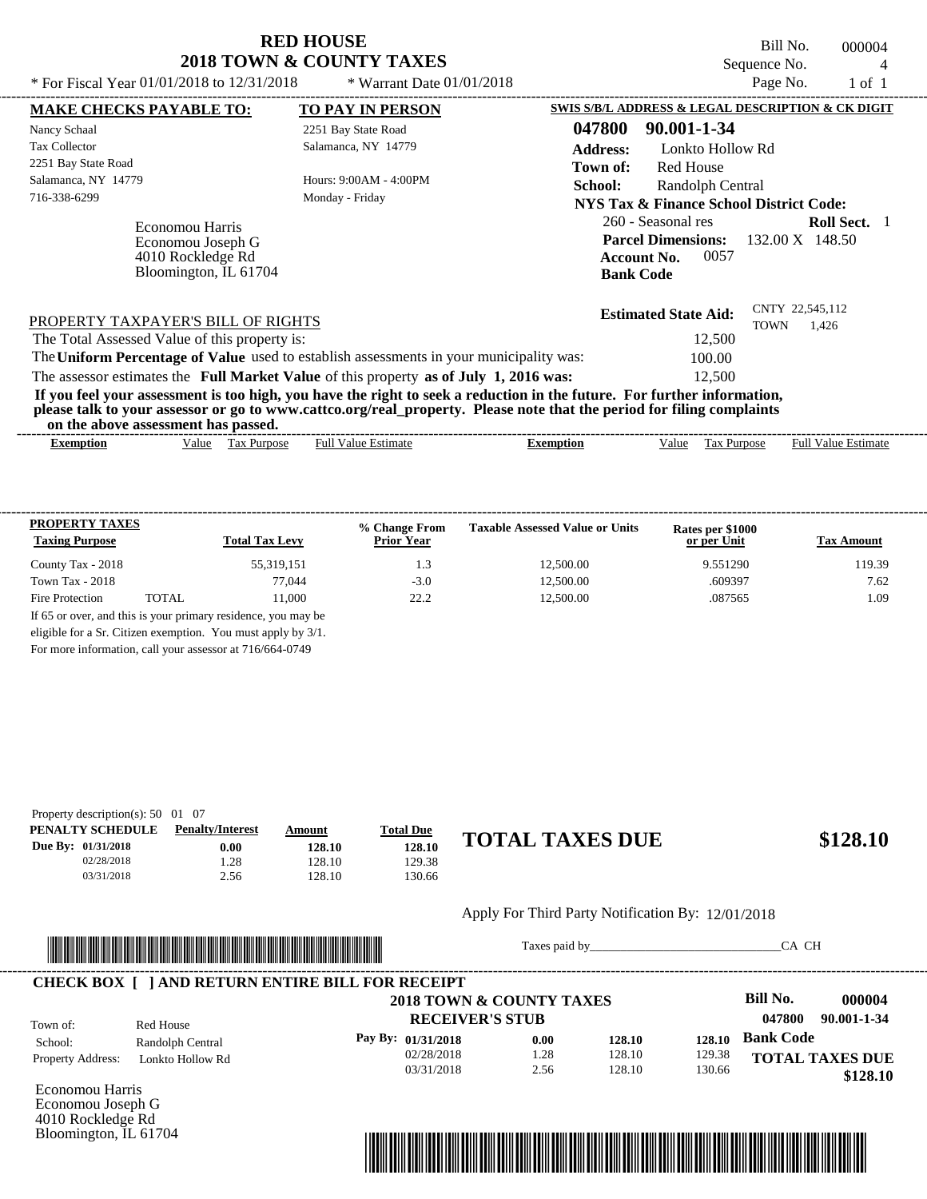Bill No. 000004 Sequence No. 4<br>Page No. 1 of 1

| * For Fiscal Year 01/01/2018 to 12/31/2018                                         | * Warrant Date $01/01/2018$                                                             | Page No.<br>$1$ of $1$                                                                                                                                                                                                                           |  |
|------------------------------------------------------------------------------------|-----------------------------------------------------------------------------------------|--------------------------------------------------------------------------------------------------------------------------------------------------------------------------------------------------------------------------------------------------|--|
| <b>MAKE CHECKS PAYABLE TO:</b>                                                     | <b>TO PAY IN PERSON</b>                                                                 | SWIS S/B/L ADDRESS & LEGAL DESCRIPTION & CK DIGIT                                                                                                                                                                                                |  |
| Nancy Schaal                                                                       | 2251 Bay State Road                                                                     | 047800<br>90.001-1-34                                                                                                                                                                                                                            |  |
| <b>Tax Collector</b>                                                               | Salamanca, NY 14779                                                                     | <b>Address:</b><br>Lonkto Hollow Rd                                                                                                                                                                                                              |  |
| 2251 Bay State Road                                                                |                                                                                         | <b>Red House</b><br>Town of:                                                                                                                                                                                                                     |  |
| Salamanca, NY 14779                                                                | Hours: 9:00AM - 4:00PM                                                                  | School:<br>Randolph Central                                                                                                                                                                                                                      |  |
| 716-338-6299                                                                       | Monday - Friday                                                                         | NYS Tax & Finance School District Code:                                                                                                                                                                                                          |  |
| Economou Harris<br>Economou Joseph G<br>4010 Rockledge Rd<br>Bloomington, IL 61704 |                                                                                         | 260 - Seasonal res<br><b>Roll Sect.</b> 1<br><b>Parcel Dimensions:</b><br>132.00 X 148.50<br>0057<br><b>Account No.</b><br><b>Bank Code</b>                                                                                                      |  |
| PROPERTY TAXPAYER'S BILL OF RIGHTS                                                 |                                                                                         | CNTY 22,545,112<br><b>Estimated State Aid:</b><br><b>TOWN</b><br>1.426                                                                                                                                                                           |  |
| The Total Assessed Value of this property is:                                      |                                                                                         | 12,500                                                                                                                                                                                                                                           |  |
|                                                                                    | The Uniform Percentage of Value used to establish assessments in your municipality was: | 100.00                                                                                                                                                                                                                                           |  |
|                                                                                    | The assessor estimates the Full Market Value of this property as of July 1, 2016 was:   | 12,500                                                                                                                                                                                                                                           |  |
| on the above assessment has passed.                                                |                                                                                         | If you feel your assessment is too high, you have the right to seek a reduction in the future. For further information,<br>please talk to your assessor or go to www.cattco.org/real_property. Please note that the period for filing complaints |  |
| <b>Exemption</b>                                                                   | <b>Full Value Estimate</b><br>Value Tax Purpose                                         | <b>Full Value Estimate</b><br><b>Exemption</b><br>Tax Purpose<br>Value                                                                                                                                                                           |  |

| <b>PROPERTY TAXES</b><br><b>Taxing Purpose</b> |       | <b>Total Tax Levy</b> | % Change From<br><b>Prior Year</b> | <b>Taxable Assessed Value or Units</b> | Rates per \$1000<br>or per Unit | <b>Tax Amount</b> |
|------------------------------------------------|-------|-----------------------|------------------------------------|----------------------------------------|---------------------------------|-------------------|
| County Tax - 2018                              |       | 55,319,151            | 1.3                                | 12,500.00                              | 9.551290                        | 119.39            |
| Town Tax - $2018$                              |       | 77.044                | $-3.0$                             | 12.500.00                              | .609397                         | 7.62              |
| Fire Protection                                | TOTAL | 11.000                | 22.2                               | 12,500.00                              | .087565                         | 1.09              |

For more information, call your assessor at 716/664-0749

| Property description(s): $50 \quad 01 \quad 07$ |                         |               |                  |                        |          |
|-------------------------------------------------|-------------------------|---------------|------------------|------------------------|----------|
| PENALTY SCHEDULE                                | <b>Penalty/Interest</b> | <u>Amount</u> | <b>Total Due</b> |                        |          |
| Due By: 01/31/2018                              | $0.00\,$                | 128.10        | 128.10           | <b>TOTAL TAXES DUE</b> | \$128.10 |
| 02/28/2018                                      | .28                     | 128.10        | 129.38           |                        |          |
| 03/31/2018                                      | 2.56                    | 128.10        | 30.66            |                        |          |

#### Apply For Third Party Notification By: 12/01/2018



Taxes paid by\_\_\_\_\_\_\_\_\_\_\_\_\_\_\_\_\_\_\_\_\_\_\_\_\_\_\_\_\_\_\_CA CH

|                          |                  | 2018 TOWN & COUNTY TAXES |      |        |        | Bill No.<br>000004     |
|--------------------------|------------------|--------------------------|------|--------|--------|------------------------|
| Town of:                 | Red House        | <b>RECEIVER'S STUB</b>   |      |        |        | 047800<br>90.001-1-34  |
| School:                  | Randolph Central | Pay By: 01/31/2018       | 0.00 | 128.10 | 128.10 | <b>Bank Code</b>       |
| <b>Property Address:</b> | Lonkto Hollow Rd | 02/28/2018               | 1.28 | 128.10 | 129.38 | <b>TOTAL TAXES DUE</b> |
|                          |                  | 03/31/2018               | 2.56 | 128.10 | 130.66 | \$128.10               |

Economou Harris Economou Joseph G 4010 Rockledge Rd Bloomington, IL 61704

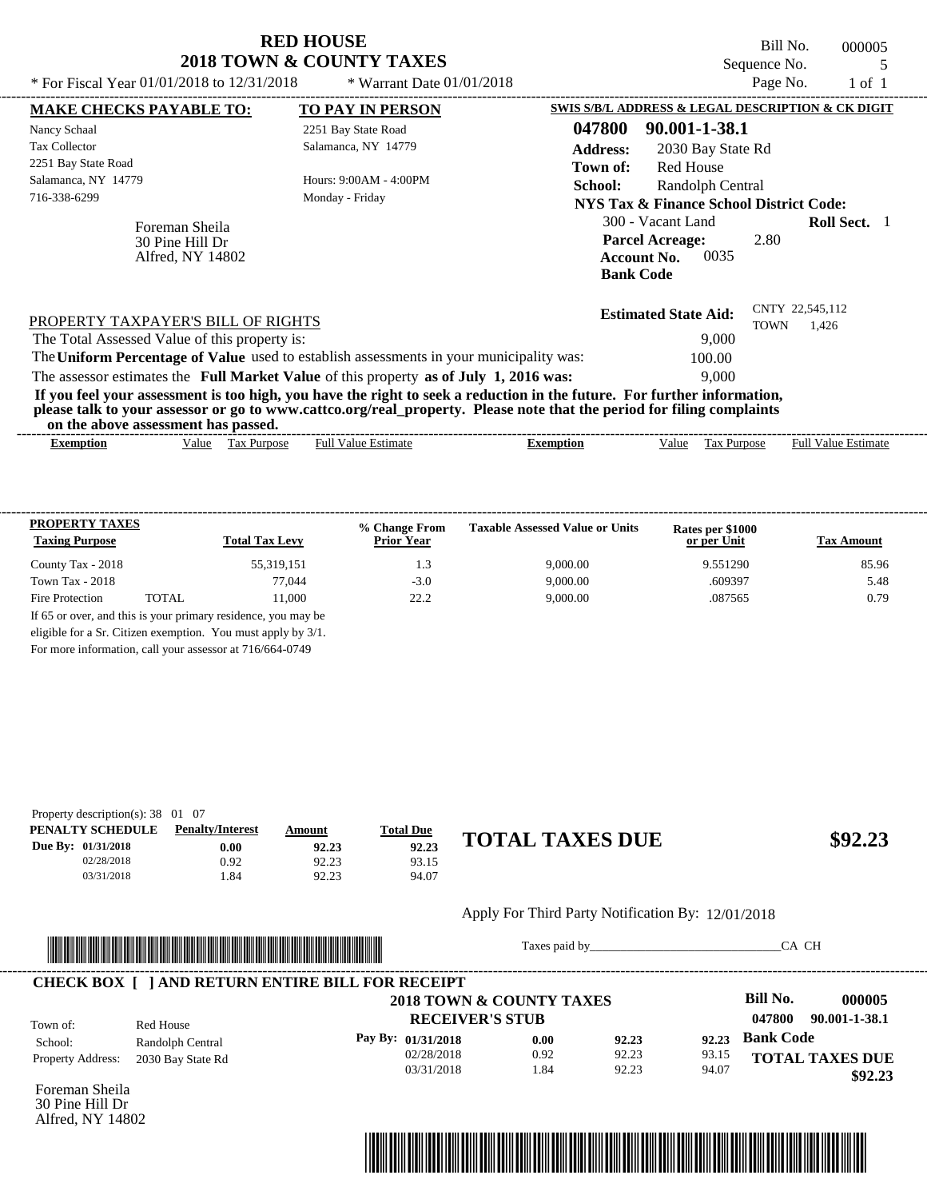| * For Fiscal Year $01/01/2018$ to $12/31/2018$ | <b>RED HOUSE</b><br><b>2018 TOWN &amp; COUNTY TAXES</b><br>* Warrant Date $01/01/2018$ | Bill No.<br>000005<br>Sequence No.<br>Page No.<br>$1$ of $1$        |
|------------------------------------------------|----------------------------------------------------------------------------------------|---------------------------------------------------------------------|
| <b>MAKE CHECKS PAYABLE TO:</b>                 | <b>TO PAY IN PERSON</b>                                                                | SWIS S/B/L ADDRESS & LEGAL DESCRIPTION & CK DIGIT                   |
| Nancy Schaal                                   | 2251 Bay State Road                                                                    | 90.001-1-38.1<br>047800                                             |
| <b>Tax Collector</b>                           | Salamanca, NY 14779                                                                    | <b>Address:</b><br>2030 Bay State Rd                                |
| 2251 Bay State Road                            |                                                                                        | Town of:<br><b>Red House</b>                                        |
| Salamanca, NY 14779                            | Hours: 9:00AM - 4:00PM                                                                 | School:<br>Randolph Central                                         |
| 716-338-6299                                   | Monday - Friday                                                                        | <b>NYS Tax &amp; Finance School District Code:</b>                  |
| Foreman Sheila<br>30 Pine Hill Dr              |                                                                                        | Roll Sect. 1<br>300 - Vacant Land<br><b>Parcel Acreage:</b><br>2.80 |

|                                                                                                                         | <b>Bank Code</b>            |                                         |
|-------------------------------------------------------------------------------------------------------------------------|-----------------------------|-----------------------------------------|
| PROPERTY TAXPAYER'S BILL OF RIGHTS                                                                                      | <b>Estimated State Aid:</b> | CNTY 22,545,112<br>1.426<br><b>TOWN</b> |
| The Total Assessed Value of this property is:                                                                           | 9.000                       |                                         |
| The Uniform Percentage of Value used to establish assessments in your municipality was:                                 | 100.00                      |                                         |
| The assessor estimates the Full Market Value of this property as of July 1, 2016 was:                                   | 9.000                       |                                         |
| If you feel your assessment is too high, you have the right to seek a reduction in the future. For further information, |                             |                                         |

**please talk to your assessor or go to www.cattco.org/real\_property. Please note that the period for filing complaints**

Alfred, NY 14802

| or<br>the<br>asses<br>$\sim$ abov $^{\circ}$ | . has<br>passed.<br>essment         |                |         |                                      |                                                             |
|----------------------------------------------|-------------------------------------|----------------|---------|--------------------------------------|-------------------------------------------------------------|
| Exemption                                    | √alue<br><b>ax</b><br><b>ITDOS6</b> | Estimat<br>Ful | emption | $\sim$<br>alue<br>'urno<br>יצר<br>__ | $\sim$<br>$\lceil \text{full } V \rceil$<br>Estimate<br>alu |

| <b>PROPERTY TAXES</b><br><b>Taxing Purpose</b> |       | <b>Total Tax Levy</b> | % Change From<br><b>Prior Year</b> | <b>Taxable Assessed Value or Units</b> | Rates per \$1000<br>or per Unit | <b>Tax Amount</b> |
|------------------------------------------------|-------|-----------------------|------------------------------------|----------------------------------------|---------------------------------|-------------------|
| County Tax - 2018                              |       | 55,319,151            | 1.3                                | 9,000.00                               | 9.551290                        | 85.96             |
| Town Tax - $2018$                              |       | 77,044                | $-3.0$                             | 9,000.00                               | .609397                         | 5.48              |
| Fire Protection                                | TOTAL | 11.000                | 22.2                               | 9,000.00                               | .087565                         | 0.79              |

For more information, call your assessor at 716/664-0749

| Property description(s): $38 \quad 01 \quad 07$ |                         |        |                  |                        |         |
|-------------------------------------------------|-------------------------|--------|------------------|------------------------|---------|
| PENALTY SCHEDULE                                | <b>Penalty/Interest</b> | Amount | <b>Total Due</b> |                        |         |
| Due By: 01/31/2018                              | 0.00                    | 92.23  | 92.23            | <b>TOTAL TAXES DUE</b> | \$92.23 |
| 02/28/2018                                      | 0.92                    | 92.23  | 93.15            |                        |         |
| 03/31/2018                                      | .84                     | 92.23  | 94.07            |                        |         |

#### Apply For Third Party Notification By: 12/01/2018



Taxes paid by\_\_\_\_\_\_\_\_\_\_\_\_\_\_\_\_\_\_\_\_\_\_\_\_\_\_\_\_\_\_\_CA CH

**Account No.** 0035

|                          |                                       | <b>CHECK BOX [ ] AND RETURN ENTIRE BILL FOR RECEIPT</b> |      |                |       |                         |  |
|--------------------------|---------------------------------------|---------------------------------------------------------|------|----------------|-------|-------------------------|--|
|                          |                                       | 2018 TOWN & COUNTY TAXES                                |      |                |       | Bill No.<br>000005      |  |
| Town of:                 | Red House                             | <b>RECEIVER'S STUB</b>                                  |      |                |       | 90.001-1-38.1<br>047800 |  |
| School:                  | Randolph Central<br>2030 Bay State Rd | Pay By: 01/31/2018                                      | 0.00 | 92.23<br>92.23 | 92.23 | <b>Bank Code</b>        |  |
| <b>Property Address:</b> |                                       | 02/28/2018                                              | 0.92 |                | 93.15 | <b>TOTAL TAXES DUE</b>  |  |
|                          |                                       | 03/31/2018                                              | .84  | 92.23          | 94.07 | \$92.23                 |  |

Foreman Sheila 30 Pine Hill Dr Alfred, NY 14802

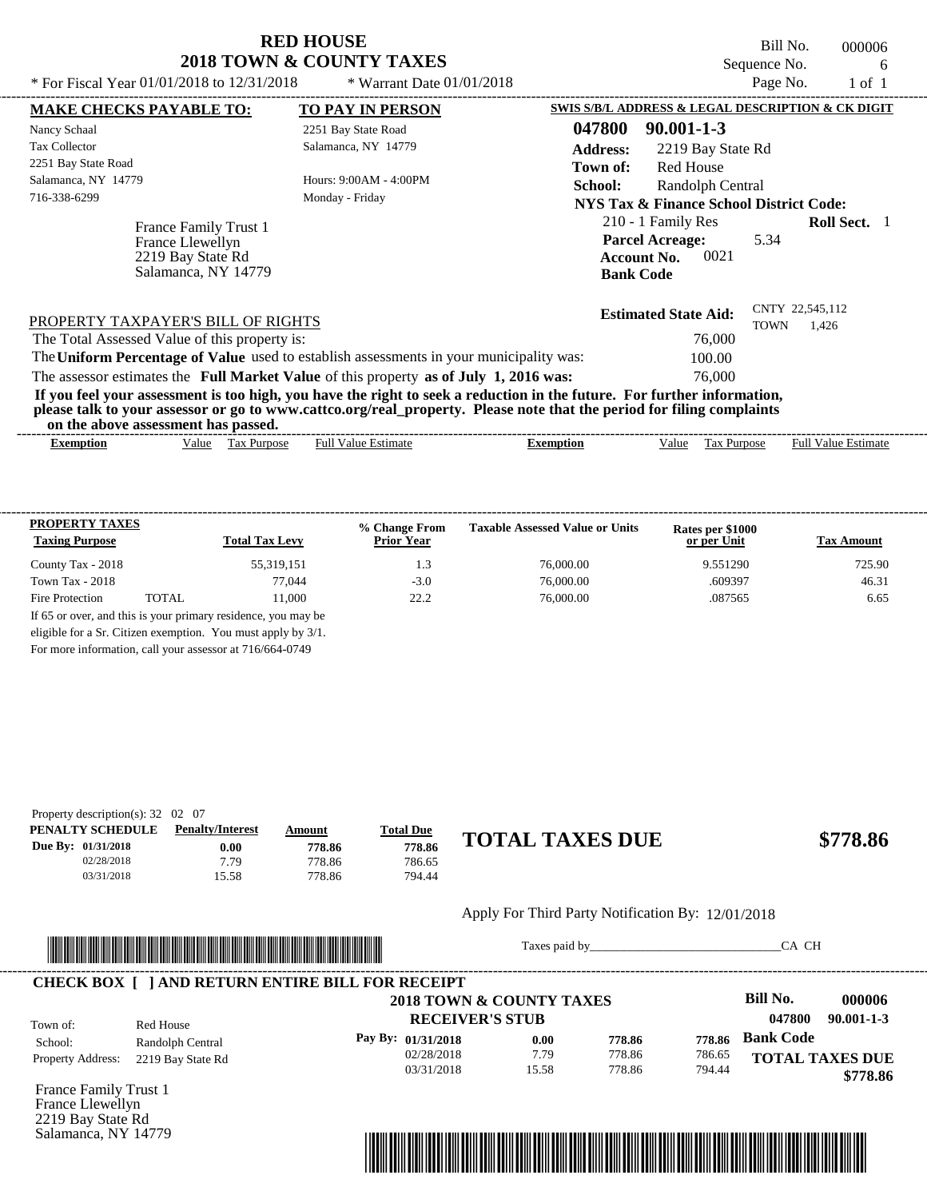Bill No. 000006 Sequence No. 6<br>Base No. 6 1

| * For Fiscal Year 01/01/2018 to 12/31/2018                                            | * Warrant Date $01/01/2018$                                                                                                                                                                                                                      |                                                                                                | Page No.                       | 1 of 1              |  |
|---------------------------------------------------------------------------------------|--------------------------------------------------------------------------------------------------------------------------------------------------------------------------------------------------------------------------------------------------|------------------------------------------------------------------------------------------------|--------------------------------|---------------------|--|
| <b>MAKE CHECKS PAYABLE TO:</b>                                                        | <b>TO PAY IN PERSON</b>                                                                                                                                                                                                                          | SWIS S/B/L ADDRESS & LEGAL DESCRIPTION & CK DIGIT                                              |                                |                     |  |
| Nancy Schaal                                                                          | 2251 Bay State Road                                                                                                                                                                                                                              | 047800<br>$90.001 - 1 - 3$                                                                     |                                |                     |  |
| <b>Tax Collector</b>                                                                  | Salamanca, NY 14779                                                                                                                                                                                                                              | <b>Address:</b><br>2219 Bay State Rd                                                           |                                |                     |  |
| 2251 Bay State Road                                                                   |                                                                                                                                                                                                                                                  | <b>Red House</b><br>Town of:                                                                   |                                |                     |  |
| Salamanca, NY 14779                                                                   | Hours: 9:00AM - 4:00PM                                                                                                                                                                                                                           | School:<br>Randolph Central                                                                    |                                |                     |  |
| 716-338-6299                                                                          | Monday - Friday                                                                                                                                                                                                                                  | NYS Tax & Finance School District Code:                                                        |                                |                     |  |
| France Family Trust 1<br>France Llewellyn<br>2219 Bay State Rd<br>Salamanca, NY 14779 |                                                                                                                                                                                                                                                  | 210 - 1 Family Res<br><b>Parcel Acreage:</b><br>0021<br><b>Account No.</b><br><b>Bank Code</b> | 5.34                           | <b>Roll Sect.</b> 1 |  |
| PROPERTY TAXPAYER'S BILL OF RIGHTS                                                    |                                                                                                                                                                                                                                                  | <b>Estimated State Aid:</b>                                                                    | CNTY 22,545,112<br><b>TOWN</b> | 1,426               |  |
| The Total Assessed Value of this property is:                                         |                                                                                                                                                                                                                                                  | 76,000                                                                                         |                                |                     |  |
|                                                                                       | The Uniform Percentage of Value used to establish assessments in your municipality was:                                                                                                                                                          | 100.00                                                                                         |                                |                     |  |
|                                                                                       | The assessor estimates the Full Market Value of this property as of July 1, 2016 was:                                                                                                                                                            | 76,000                                                                                         |                                |                     |  |
| on the above assessment has passed.                                                   | If you feel your assessment is too high, you have the right to seek a reduction in the future. For further information,<br>please talk to your assessor or go to www.cattco.org/real_property. Please note that the period for filing complaints |                                                                                                |                                |                     |  |
|                                                                                       |                                                                                                                                                                                                                                                  |                                                                                                |                                |                     |  |

| -------<br>----<br>Exemption | -------<br>-------<br>'alue | -------<br>-------<br>-------<br>ľax<br>Purpose | . .<br>⊎uh<br>*stimate<br>Value | ____________<br>xemption | ⁄ alue | $\sim$<br>urpose<br>1 as | -----------<br>Full<br>Value<br>±stımate |
|------------------------------|-----------------------------|-------------------------------------------------|---------------------------------|--------------------------|--------|--------------------------|------------------------------------------|
|                              |                             |                                                 |                                 |                          |        |                          |                                          |

| <b>PROPERTY TAXES</b><br><b>Taxing Purpose</b> |       | <b>Total Tax Levy</b> | % Change From<br><b>Prior Year</b> | <b>Taxable Assessed Value or Units</b> | Rates per \$1000<br>or per Unit | <b>Tax Amount</b> |
|------------------------------------------------|-------|-----------------------|------------------------------------|----------------------------------------|---------------------------------|-------------------|
| County Tax - 2018                              |       | 55,319,151            | 1.3                                | 76,000.00                              | 9.551290                        | 725.90            |
| Town Tax - $2018$                              |       | 77,044                | $-3.0$                             | 76,000.00                              | .609397                         | 46.31             |
| Fire Protection                                | TOTAL | 11.000                | 22.2                               | 76,000.00                              | .087565                         | 6.65              |

For more information, call your assessor at 716/664-0749

| Property description(s): $32 \quad 02 \quad 07$ |                         |        |                  |                        |          |
|-------------------------------------------------|-------------------------|--------|------------------|------------------------|----------|
| PENALTY SCHEDULE                                | <b>Penalty/Interest</b> | Amount | <b>Total Due</b> |                        |          |
| Due By: 01/31/2018                              | 0.00                    | 778.86 | 778.86           | <b>TOTAL TAXES DUE</b> | \$778.86 |
| 02/28/2018                                      | 7.79                    | 778.86 | 786.65           |                        |          |
| 03/31/2018                                      | 15.58                   | 778.86 | 794.44           |                        |          |
|                                                 |                         |        |                  |                        |          |

#### Apply For Third Party Notification By: 12/01/2018



Taxes paid by\_\_\_\_\_\_\_\_\_\_\_\_\_\_\_\_\_\_\_\_\_\_\_\_\_\_\_\_\_\_\_CA CH

|                          |                   | 2018 TOWN & COUNTY TAXES |       |        |        | Bill No.               | 000006           |
|--------------------------|-------------------|--------------------------|-------|--------|--------|------------------------|------------------|
| Town of:                 | Red House         | <b>RECEIVER'S STUB</b>   |       |        |        | 047800                 | $90.001 - 1 - 3$ |
| School:                  | Randolph Central  | Pay By: 01/31/2018       | 0.00  | 778.86 | 778.86 | <b>Bank Code</b>       |                  |
| <b>Property Address:</b> | 2219 Bay State Rd | 02/28/2018               | 7.79  | 778.86 | 786.65 | <b>TOTAL TAXES DUE</b> |                  |
|                          |                   | 03/31/2018               | 15.58 | 778.86 | 794.44 |                        | \$778.86         |

France Family Trust 1 France Llewellyn 2219 Bay State Rd Salamanca, NY 14779

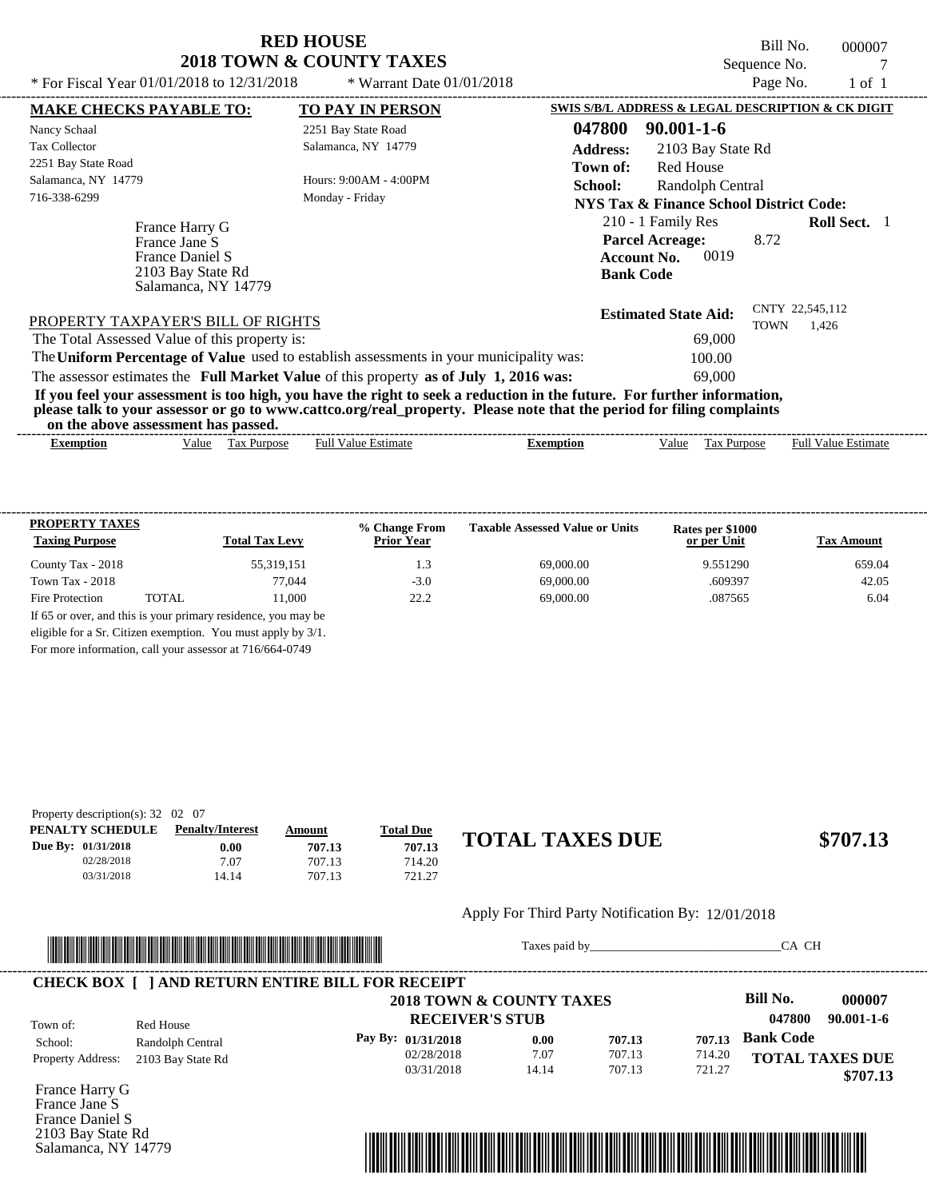Bill No. 000007 Sequence No. 7<br>Pege No. 7

| * For Fiscal Year 01/01/2018 to 12/31/2018                                                     | * Warrant Date $01/01/2018$                                                                                                                                                                                                                      | Page No.<br>1 of 1                                                                                                            |
|------------------------------------------------------------------------------------------------|--------------------------------------------------------------------------------------------------------------------------------------------------------------------------------------------------------------------------------------------------|-------------------------------------------------------------------------------------------------------------------------------|
| <b>MAKE CHECKS PAYABLE TO:</b>                                                                 | <b>TO PAY IN PERSON</b>                                                                                                                                                                                                                          | SWIS S/B/L ADDRESS & LEGAL DESCRIPTION & CK DIGIT                                                                             |
| Nancy Schaal                                                                                   | 2251 Bay State Road                                                                                                                                                                                                                              | 047800<br>$90.001 - 1 - 6$                                                                                                    |
| Tax Collector                                                                                  | Salamanca, NY 14779                                                                                                                                                                                                                              | <b>Address:</b><br>2103 Bay State Rd                                                                                          |
| 2251 Bay State Road                                                                            |                                                                                                                                                                                                                                                  | Red House<br>Town of:                                                                                                         |
| Salamanca, NY 14779                                                                            | Hours: 9:00AM - 4:00PM                                                                                                                                                                                                                           | <b>School:</b><br>Randolph Central                                                                                            |
| 716-338-6299                                                                                   | Monday - Friday                                                                                                                                                                                                                                  | NYS Tax & Finance School District Code:                                                                                       |
| France Harry G<br>France Jane S<br>France Daniel S<br>2103 Bay State Rd<br>Salamanca, NY 14779 |                                                                                                                                                                                                                                                  | 210 - 1 Family Res<br><b>Roll Sect.</b> 1<br><b>Parcel Acreage:</b><br>8.72<br>0019<br><b>Account No.</b><br><b>Bank Code</b> |
| PROPERTY TAXPAYER'S BILL OF RIGHTS                                                             |                                                                                                                                                                                                                                                  | CNTY 22,545,112<br><b>Estimated State Aid:</b><br>TOWN<br>1,426                                                               |
| The Total Assessed Value of this property is:                                                  |                                                                                                                                                                                                                                                  | 69,000                                                                                                                        |
|                                                                                                | The Uniform Percentage of Value used to establish assessments in your municipality was:                                                                                                                                                          | 100.00                                                                                                                        |
|                                                                                                | The assessor estimates the Full Market Value of this property as of July 1, 2016 was:                                                                                                                                                            | 69,000                                                                                                                        |
|                                                                                                | If you feel your assessment is too high, you have the right to seek a reduction in the future. For further information,<br>please talk to your assessor or go to www.cattco.org/real_property. Please note that the period for filing complaints |                                                                                                                               |

| or<br>the<br>asses<br>$\sim$ abov $^{\circ}$ | . has<br>passed.<br>essment         |                |         |                                      |                                                             |
|----------------------------------------------|-------------------------------------|----------------|---------|--------------------------------------|-------------------------------------------------------------|
| Exemption                                    | √alue<br><b>ax</b><br><b>ITDOS6</b> | Estimat<br>Ful | emption | $\sim$<br>alue<br>'urno<br>יצר<br>__ | $\sim$<br>$\lceil \text{full } V \rceil$<br>Estimate<br>alu |

| <b>PROPERTY TAXES</b><br><b>Taxing Purpose</b> |       | <b>Total Tax Levy</b>                                         | % Change From<br><b>Prior Year</b> | <b>Taxable Assessed Value or Units</b> | Rates per \$1000<br>or per Unit | <b>Tax Amount</b> |
|------------------------------------------------|-------|---------------------------------------------------------------|------------------------------------|----------------------------------------|---------------------------------|-------------------|
| County Tax - 2018                              |       | 55,319,151                                                    | 1.3                                | 69,000.00                              | 9.551290                        | 659.04            |
| Town Tax - $2018$                              |       | 77,044                                                        | $-3.0$                             | 69,000.00                              | .609397                         | 42.05             |
| Fire Protection                                | TOTAL | 11.000                                                        | 22.2                               | 69,000.00                              | .087565                         | 6.04              |
|                                                |       | If 65 or over, and this is your primary residence, you may be |                                    |                                        |                                 |                   |
|                                                |       | eligible for a Sr. Citizen exemption. You must apply by 3/1.  |                                    |                                        |                                 |                   |

For more information, call your assessor at 716/664-0749

| Property description(s): $32 \quad 02 \quad 07$ |                         |        |                  |                        |          |
|-------------------------------------------------|-------------------------|--------|------------------|------------------------|----------|
| PENALTY SCHEDULE                                | <b>Penalty/Interest</b> | Amount | <b>Total Due</b> |                        |          |
| Due By: 01/31/2018                              | $0.00\,$                | 707.13 | 707.13           | <b>TOTAL TAXES DUE</b> | \$707.13 |
| 02/28/2018                                      | 7.07                    | 707.13 | 714.20           |                        |          |
| 03/31/2018                                      | 14.14                   | 707.13 | 721.27           |                        |          |
|                                                 |                         |        |                  |                        |          |

#### Apply For Third Party Notification By: 12/01/2018



Taxes paid by\_\_\_\_\_\_\_\_\_\_\_\_\_\_\_\_\_\_\_\_\_\_\_\_\_\_\_\_\_\_\_CA CH

|                          |                   | 2018 TOWN & COUNTY TAXES |       |        |        | Bill No.<br>000007         |
|--------------------------|-------------------|--------------------------|-------|--------|--------|----------------------------|
| Town of:                 | Red House         | <b>RECEIVER'S STUB</b>   |       |        |        | $90.001 - 1 - 6$<br>047800 |
| School:                  | Randolph Central  | Pay By: 01/31/2018       | 0.00  | 707.13 | 707.13 | <b>Bank Code</b>           |
| <b>Property Address:</b> | 2103 Bay State Rd | 02/28/2018               | 7.07  | 707.13 | 714.20 | <b>TOTAL TAXES DUE</b>     |
|                          |                   | 03/31/2018               | 14.14 | 707.13 | 721.27 | \$707.13                   |

France Harry G France Jane S France Daniel S 2103 Bay State Rd Salamanca, NY 14779

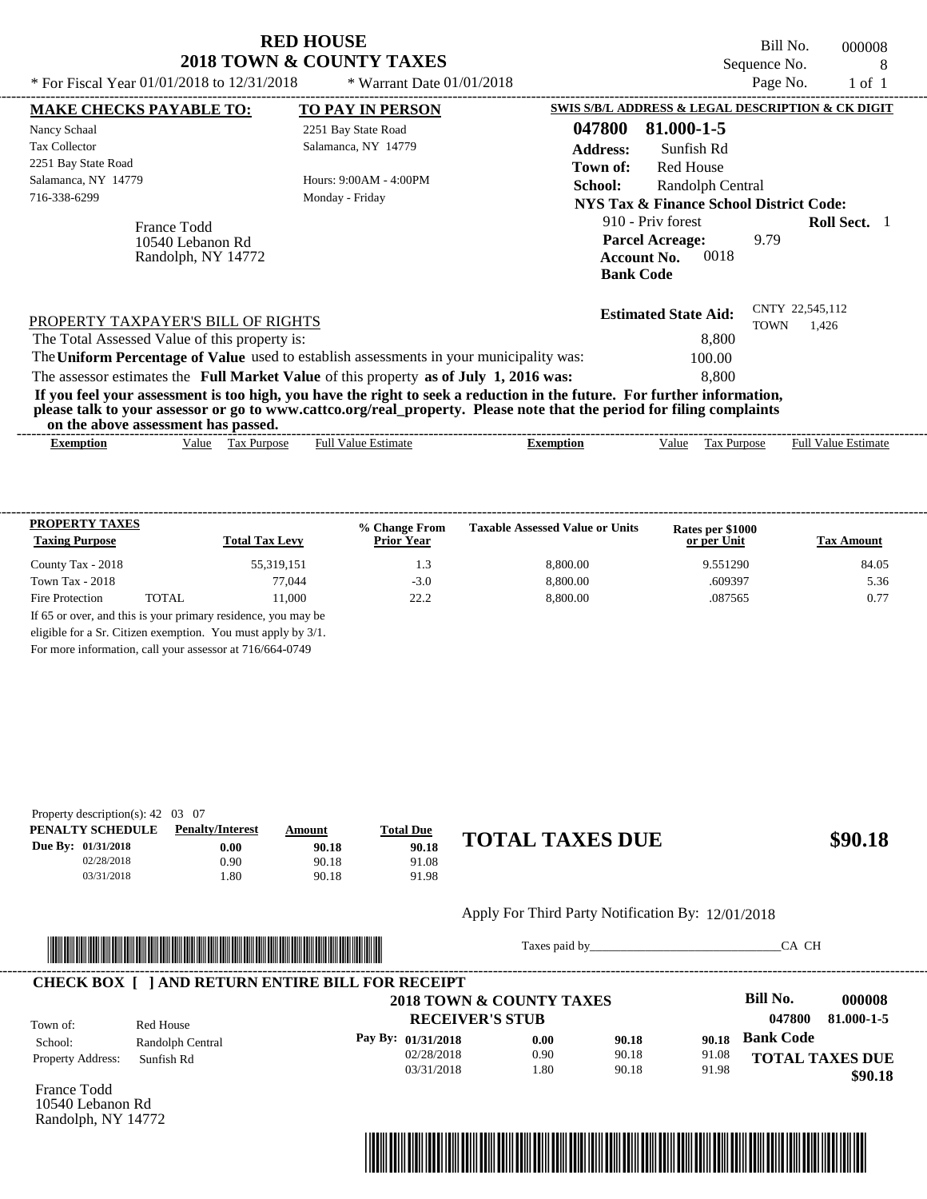| * For Fiscal Year 01/01/2018 to 12/31/2018                                                                                                          | <b>RED HOUSE</b><br><b>2018 TOWN &amp; COUNTY TAXES</b><br>* Warrant Date $01/01/2018$                                                                                                                                                                                                                                                    |                                                                                                                                                                                                                                                      | Bill No.<br>Sequence No.<br>Page No. | 000008<br>8<br>$1$ of $1$ |
|-----------------------------------------------------------------------------------------------------------------------------------------------------|-------------------------------------------------------------------------------------------------------------------------------------------------------------------------------------------------------------------------------------------------------------------------------------------------------------------------------------------|------------------------------------------------------------------------------------------------------------------------------------------------------------------------------------------------------------------------------------------------------|--------------------------------------|---------------------------|
| <b>MAKE CHECKS PAYABLE TO:</b><br>Nancy Schaal<br><b>Tax Collector</b><br>2251 Bay State Road<br>Salamanca, NY 14779<br>716-338-6299<br>France Todd | <b>TO PAY IN PERSON</b><br>2251 Bay State Road<br>Salamanca, NY 14779<br>Hours: 9:00AM - 4:00PM<br>Monday - Friday                                                                                                                                                                                                                        | SWIS S/B/L ADDRESS & LEGAL DESCRIPTION & CK DIGIT<br>047800<br>81.000-1-5<br><b>Address:</b><br>Sunfish Rd<br>Red House<br>Town of:<br><b>School:</b><br>Randolph Central<br><b>NYS Tax &amp; Finance School District Code:</b><br>910 - Priv forest |                                      | <b>Roll Sect.</b> 1       |
| 10540 Lebanon Rd<br>Randolph, NY 14772                                                                                                              |                                                                                                                                                                                                                                                                                                                                           | <b>Parcel Acreage:</b><br>0018<br><b>Account No.</b><br><b>Bank Code</b>                                                                                                                                                                             | 9.79                                 |                           |
| PROPERTY TAXPAYER'S BILL OF RIGHTS<br>The Total Assessed Value of this property is:                                                                 | The Uniform Percentage of Value used to establish assessments in your municipality was:                                                                                                                                                                                                                                                   | <b>Estimated State Aid:</b><br>8,800<br>100.00                                                                                                                                                                                                       | CNTY 22,545,112<br><b>TOWN</b>       | 1,426                     |
|                                                                                                                                                     | The assessor estimates the Full Market Value of this property as of July 1, 2016 was:<br>If you feel your assessment is too high, you have the right to seek a reduction in the future. For further information,<br>please talk to your assessor or go to www.cattco.org/real_property. Please note that the period for filing complaints | 8.800                                                                                                                                                                                                                                                |                                      |                           |

| or<br>the<br>asses<br>$\sim$ abov $^{\circ}$ | . has<br>passed.<br>essment         |                |         |                                      |                                                             |
|----------------------------------------------|-------------------------------------|----------------|---------|--------------------------------------|-------------------------------------------------------------|
| Exemption                                    | √alue<br><b>ax</b><br><b>ITDOS6</b> | Estimat<br>Ful | emption | $\sim$<br>alue<br>'urno<br>יצר<br>__ | $\sim$<br>$\lceil \text{full } V \rceil$<br>Estimate<br>alu |

| <b>PROPERTY TAXES</b><br><b>Taxing Purpose</b> |       | <b>Total Tax Levy</b>                                         | % Change From<br><b>Prior Year</b> | <b>Taxable Assessed Value or Units</b> | Rates per \$1000<br>or per Unit | <b>Tax Amount</b> |
|------------------------------------------------|-------|---------------------------------------------------------------|------------------------------------|----------------------------------------|---------------------------------|-------------------|
| County Tax - 2018                              |       | 55,319,151                                                    | 1.3                                | 8,800.00                               | 9.551290                        | 84.05             |
| Town Tax - $2018$                              |       | 77,044                                                        | $-3.0$                             | 8,800.00                               | .609397                         | 5.36              |
| Fire Protection                                | TOTAL | 11.000                                                        | 22.2                               | 8,800.00                               | .087565                         | 0.77              |
|                                                |       | If 65 or over, and this is your primary residence, you may be |                                    |                                        |                                 |                   |
|                                                |       | eligible for a Sr. Citizen exemption. You must apply by 3/1.  |                                    |                                        |                                 |                   |

For more information, call your assessor at 716/664-0749

| Property description(s): $42 \quad 03 \quad 07$ |                         |               |                  |                        |         |
|-------------------------------------------------|-------------------------|---------------|------------------|------------------------|---------|
| PENALTY SCHEDULE                                | <b>Penalty/Interest</b> | <u>Amount</u> | <b>Total Due</b> |                        |         |
| Due By: 01/31/2018                              | $0.00\,$                | 90.18         | 90.18            | <b>TOTAL TAXES DUE</b> | \$90.18 |
| 02/28/2018                                      | 0.90                    | 90.18         | 91.08            |                        |         |
| 03/31/2018                                      | .80                     | 90.18         | 91.98            |                        |         |
|                                                 |                         |               |                  |                        |         |

## Apply For Third Party Notification By: 12/01/2018



Taxes paid by\_\_\_\_\_\_\_\_\_\_\_\_\_\_\_\_\_\_\_\_\_\_\_\_\_\_\_\_\_\_\_CA CH

|                          |                  | <b>CHECK BOX   JAND RETURN ENTIRE BILL FOR RECEIPT</b> |      |       |       | Bill No.         | 000008                 |
|--------------------------|------------------|--------------------------------------------------------|------|-------|-------|------------------|------------------------|
|                          |                  | 2018 TOWN & COUNTY TAXES                               |      |       |       |                  |                        |
| Town of:                 | Red House        | <b>RECEIVER'S STUB</b>                                 |      |       |       | 047800           | 81.000-1-5             |
| School:                  | Randolph Central | Pay By: 01/31/2018                                     | 0.00 | 90.18 | 90.18 | <b>Bank Code</b> |                        |
| <b>Property Address:</b> | Sunfish Rd       | 02/28/2018                                             | 0.90 | 90.18 | 91.08 |                  | <b>TOTAL TAXES DUE</b> |
|                          |                  | 03/31/2018                                             | .80  | 90.18 | 91.98 |                  | \$90.18                |

France Todd 10540 Lebanon Rd Randolph, NY 14772

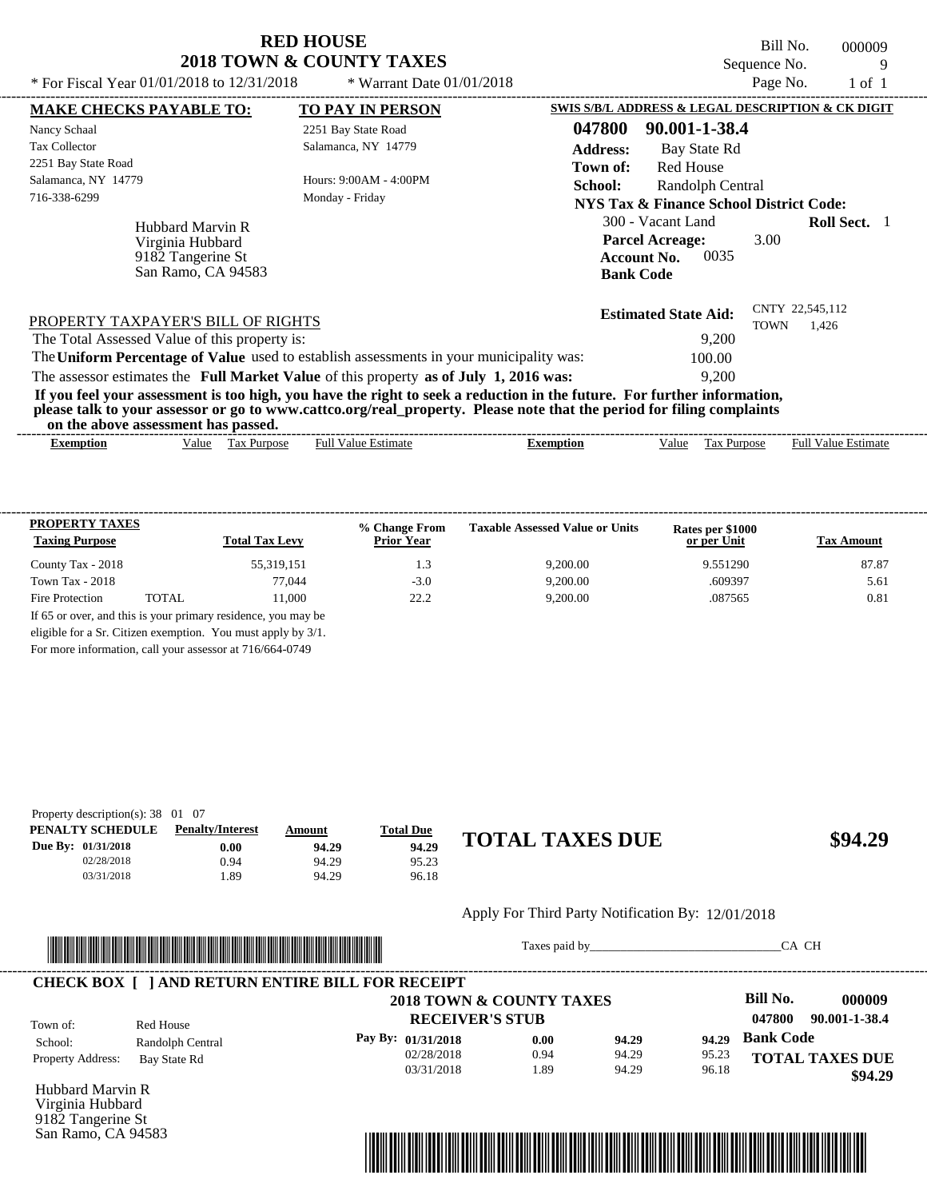Bill No. 000009 Sequence No. 9<br>Page No. 1 of 1

| * For Fiscal Year $01/01/2018$ to $12/31/2018$                                      | * Warrant Date $01/01/2018$                                                                                                                                                                                                                      | Page No.<br>$1 \text{ of } 1$                                                                                                |
|-------------------------------------------------------------------------------------|--------------------------------------------------------------------------------------------------------------------------------------------------------------------------------------------------------------------------------------------------|------------------------------------------------------------------------------------------------------------------------------|
| <b>MAKE CHECKS PAYABLE TO:</b>                                                      | <b>TO PAY IN PERSON</b>                                                                                                                                                                                                                          | SWIS S/B/L ADDRESS & LEGAL DESCRIPTION & CK DIGIT                                                                            |
| Nancy Schaal<br><b>Tax Collector</b><br>2251 Bay State Road                         | 2251 Bay State Road<br>Salamanca, NY 14779                                                                                                                                                                                                       | 047800<br>90.001-1-38.4<br><b>Address:</b><br>Bay State Rd<br>Red House<br>Town of:                                          |
| Salamanca, NY 14779<br>716-338-6299                                                 | Hours: 9:00AM - 4:00PM<br>Monday - Friday                                                                                                                                                                                                        | <b>School:</b><br>Randolph Central<br>NYS Tax & Finance School District Code:                                                |
| Hubbard Marvin R<br>Virginia Hubbard<br>9182 Tangerine St<br>San Ramo, CA 94583     |                                                                                                                                                                                                                                                  | 300 - Vacant Land<br><b>Roll Sect.</b> 1<br><b>Parcel Acreage:</b><br>3.00<br>0035<br><b>Account No.</b><br><b>Bank Code</b> |
| PROPERTY TAXPAYER'S BILL OF RIGHTS<br>The Total Assessed Value of this property is: |                                                                                                                                                                                                                                                  | CNTY 22,545,112<br><b>Estimated State Aid:</b><br>TOWN<br>1,426<br>9,200                                                     |
|                                                                                     | The Uniform Percentage of Value used to establish assessments in your municipality was:<br>The assessor estimates the Full Market Value of this property as of July 1, 2016 was:                                                                 | 100.00<br>9,200                                                                                                              |
| on the above assessment has passed.                                                 | If you feel your assessment is too high, you have the right to seek a reduction in the future. For further information,<br>please talk to your assessor or go to www.cattco.org/real_property. Please note that the period for filing complaints |                                                                                                                              |

<u>Exemption Cases Hull Value Tax Purpose Full Value Estimate</u><br>Exemption Value Tax Purpose Full Value Estimate Exemption Value Tax Purpose Full Value Estimate **Exemption** Value Tax Purpose Full Value Estimate

| <b>PROPERTY TAXES</b><br><b>Taxing Purpose</b> |       | <b>Total Tax Levy</b>                                         | % Change From<br><b>Prior Year</b> | <b>Taxable Assessed Value or Units</b> | Rates per \$1000<br>or per Unit | <b>Tax Amount</b> |
|------------------------------------------------|-------|---------------------------------------------------------------|------------------------------------|----------------------------------------|---------------------------------|-------------------|
| County Tax - 2018                              |       | 55,319,151                                                    | 1.3                                | 9.200.00                               | 9.551290                        | 87.87             |
| Town Tax - $2018$                              |       | 77,044                                                        | $-3.0$                             | 9,200.00                               | .609397                         | 5.61              |
| Fire Protection                                | TOTAL | 11.000                                                        | 222                                | 9.200.00                               | .087565                         | 0.81              |
|                                                |       | If 65 or over, and this is your primary residence, you may be |                                    |                                        |                                 |                   |
|                                                |       | eligible for a Sr. Citizen exemption. You must apply by 3/1.  |                                    |                                        |                                 |                   |

For more information, call your assessor at 716/664-0749

| Property description(s): $38 \quad 01 \quad 07$ |                         |        |                  |                        |         |
|-------------------------------------------------|-------------------------|--------|------------------|------------------------|---------|
| PENALTY SCHEDULE                                | <b>Penalty/Interest</b> | Amount | <b>Total Due</b> |                        |         |
| Due By: 01/31/2018                              | 0.00                    | 94.29  | 94.29            | <b>TOTAL TAXES DUE</b> | \$94.29 |
| 02/28/2018                                      | 0.94                    | 94.29  | 95.23            |                        |         |
| 03/31/2018                                      | .89                     | 94.29  | 96.18            |                        |         |

#### Apply For Third Party Notification By: 12/01/2018



Taxes paid by\_\_\_\_\_\_\_\_\_\_\_\_\_\_\_\_\_\_\_\_\_\_\_\_\_\_\_\_\_\_\_CA CH

|                          |                     | <b>CHECK BOX   JAND RETURN ENTIRE BILL FOR RECEIPT</b> |      |       |       |                         |
|--------------------------|---------------------|--------------------------------------------------------|------|-------|-------|-------------------------|
|                          |                     | 2018 TOWN & COUNTY TAXES                               |      |       |       | Bill No.<br>000009      |
| Town of:                 | Red House           | <b>RECEIVER'S STUB</b>                                 |      |       |       | 90.001-1-38.4<br>047800 |
| School:                  | Randolph Central    | Pay By: 01/31/2018                                     | 0.00 | 94.29 | 94.29 | <b>Bank Code</b>        |
| <b>Property Address:</b> | <b>Bay State Rd</b> | 02/28/2018                                             | 0.94 | 94.29 | 95.23 | <b>TOTAL TAXES DUE</b>  |
|                          |                     | 03/31/2018                                             | .89  | 94.29 | 96.18 | \$94.29                 |

Hubbard Marvin R Virginia Hubbard 9182 Tangerine St San Ramo, CA 94583

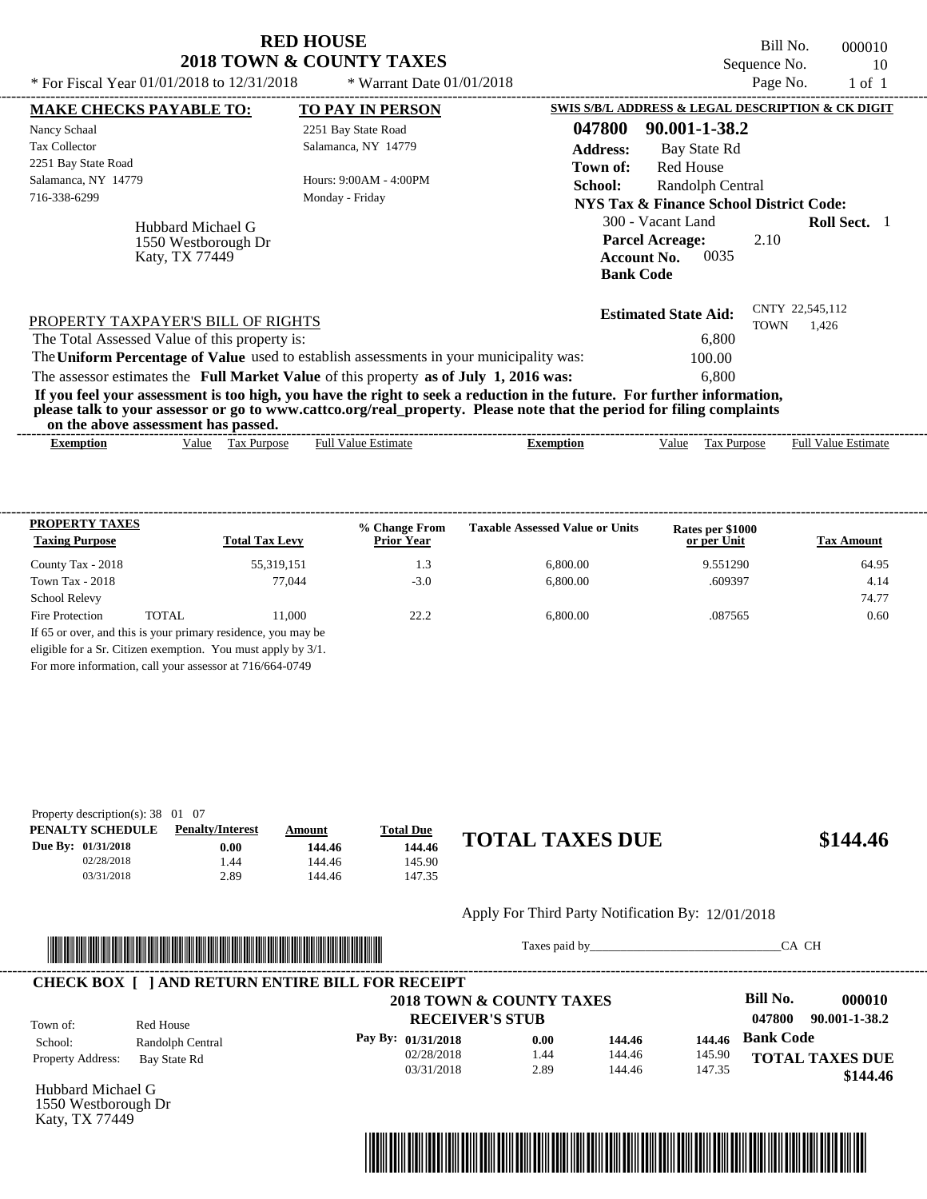| <b>RED HOUSE</b>                    |  |
|-------------------------------------|--|
| <b>2018 TOWN &amp; COUNTY TAXES</b> |  |

Bill No. 000010 Sequence No. 10<br>Page No. 1 of 1

| * For Fiscal Year 01/01/2018 to 12/31/2018                 | * Warrant Date $01/01/2018$                                                             |                                                                                                                                                                                                                                                  | Page No.<br>$1$ of $1$     |
|------------------------------------------------------------|-----------------------------------------------------------------------------------------|--------------------------------------------------------------------------------------------------------------------------------------------------------------------------------------------------------------------------------------------------|----------------------------|
| <b>MAKE CHECKS PAYABLE TO:</b>                             | <b>TO PAY IN PERSON</b>                                                                 | SWIS S/B/L ADDRESS & LEGAL DESCRIPTION & CK DIGIT                                                                                                                                                                                                |                            |
| Nancy Schaal                                               | 2251 Bay State Road                                                                     | 047800<br>90.001-1-38.2                                                                                                                                                                                                                          |                            |
| <b>Tax Collector</b>                                       | Salamanca, NY 14779                                                                     | <b>Address:</b><br>Bay State Rd                                                                                                                                                                                                                  |                            |
| 2251 Bay State Road                                        |                                                                                         | Red House<br>Town of:                                                                                                                                                                                                                            |                            |
| Salamanca, NY 14779                                        | Hours: 9:00AM - 4:00PM                                                                  | School:<br>Randolph Central                                                                                                                                                                                                                      |                            |
| 716-338-6299                                               | Monday - Friday                                                                         | <b>NYS Tax &amp; Finance School District Code:</b>                                                                                                                                                                                               |                            |
| Hubbard Michael G<br>1550 Westborough Dr<br>Katy, TX 77449 |                                                                                         | 300 - Vacant Land<br><b>Parcel Acreage:</b><br>2.10<br>0035<br><b>Account No.</b><br><b>Bank Code</b>                                                                                                                                            | <b>Roll Sect.</b> 1        |
| PROPERTY TAXPAYER'S BILL OF RIGHTS                         |                                                                                         | <b>Estimated State Aid:</b><br><b>TOWN</b>                                                                                                                                                                                                       | CNTY 22,545,112<br>1.426   |
| The Total Assessed Value of this property is:              |                                                                                         | 6.800                                                                                                                                                                                                                                            |                            |
|                                                            | The Uniform Percentage of Value used to establish assessments in your municipality was: | 100.00                                                                                                                                                                                                                                           |                            |
|                                                            | The assessor estimates the Full Market Value of this property as of July 1, 2016 was:   | 6.800                                                                                                                                                                                                                                            |                            |
| on the above assessment has passed.                        |                                                                                         | If you feel your assessment is too high, you have the right to seek a reduction in the future. For further information,<br>please talk to your assessor or go to www.cattco.org/real_property. Please note that the period for filing complaints |                            |
| <b>Exemption</b>                                           | <b>Full Value Estimate</b><br>Value Tax Purpose                                         | Tax Purpose<br><b>Exemption</b><br>Value                                                                                                                                                                                                         | <b>Full Value Estimate</b> |

|                                                          | <b>PROPERTY TAXES</b> |                                                               | % Change From     | <b>Taxable Assessed Value or Units</b> | Rates per \$1000 |                   |
|----------------------------------------------------------|-----------------------|---------------------------------------------------------------|-------------------|----------------------------------------|------------------|-------------------|
| <b>Taxing Purpose</b>                                    |                       | <b>Total Tax Levy</b>                                         | <b>Prior Year</b> |                                        | or per Unit      | <b>Tax Amount</b> |
| County Tax - 2018                                        |                       | 55,319,151                                                    | 1.3               | 6.800.00                               | 9.551290         | 64.95             |
| Town Tax - 2018                                          |                       | 77,044                                                        | $-3.0$            | 6.800.00                               | .609397          | 4.14              |
| <b>School Relevy</b>                                     |                       |                                                               |                   |                                        |                  | 74.77             |
| Fire Protection                                          | TOTAL                 | 11.000                                                        | 22.2              | 6,800.00                               | .087565          | 0.60              |
|                                                          |                       | If 65 or over, and this is your primary residence, you may be |                   |                                        |                  |                   |
|                                                          |                       | eligible for a Sr. Citizen exemption. You must apply by 3/1.  |                   |                                        |                  |                   |
| For more information, call your assessor at 716/664-0749 |                       |                                                               |                   |                                        |                  |                   |

| Property description(s): $38 \quad 01 \quad 07$ |                         |        |                  |                        |          |
|-------------------------------------------------|-------------------------|--------|------------------|------------------------|----------|
| PENALTY SCHEDULE                                | <b>Penalty/Interest</b> | Amount | <b>Total Due</b> |                        |          |
| Due By: 01/31/2018                              | $0.00\,$                | 144.46 | 144.46           | <b>TOTAL TAXES DUE</b> | \$144.46 |
| 02/28/2018                                      | .44                     | 144.46 | 145.90           |                        |          |
| 03/31/2018                                      | 2.89                    | 144.46 | 147.35           |                        |          |

#### Apply For Third Party Notification By: 12/01/2018



Taxes paid by\_\_\_\_\_\_\_\_\_\_\_\_\_\_\_\_\_\_\_\_\_\_\_\_\_\_\_\_\_\_\_CA CH

|                          |                  | <b>CHECK BOX [ ] AND RETURN ENTIRE BILL FOR RECEIPT</b> |       |        |        |                         |
|--------------------------|------------------|---------------------------------------------------------|-------|--------|--------|-------------------------|
|                          |                  | 2018 TOWN & COUNTY TAXES                                |       |        |        | Bill No.<br>000010      |
| Town of:                 | Red House        | <b>RECEIVER'S STUB</b>                                  |       |        |        | 047800<br>90.001-1-38.2 |
| School:                  | Randolph Central | Pay By: 01/31/2018                                      | 0.00  | 144.46 | 144.46 | <b>Bank Code</b>        |
| <b>Property Address:</b> | Bay State Rd     | 02/28/2018                                              | 44. ، | 144.46 | 145.90 | <b>TOTAL TAXES DUE</b>  |
|                          |                  | 03/31/2018                                              | 2.89  | 144.46 | 147.35 | \$144.46                |

Hubbard Michael G 1550 Westborough Dr Katy, TX 77449

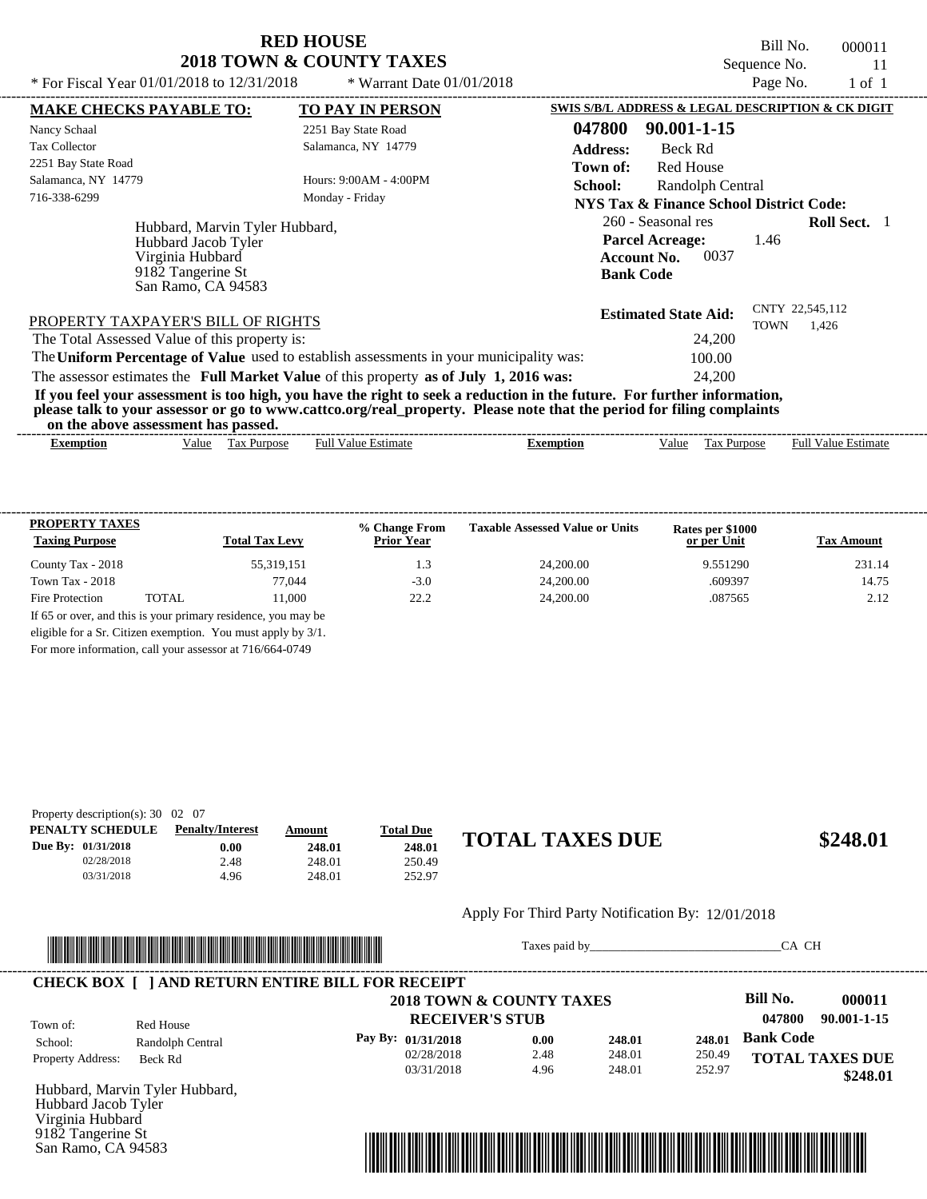Bill No. 000011 Sequence No. 11<br>Page No. 1 of 1

| * For Fiscal Year 01/01/2018 to 12/31/2018                                                                                                                                                                                                       | * Warrant Date 01/01/2018                                       | Page No.<br>1 of 1                                                                                                            |
|--------------------------------------------------------------------------------------------------------------------------------------------------------------------------------------------------------------------------------------------------|-----------------------------------------------------------------|-------------------------------------------------------------------------------------------------------------------------------|
| <b>MAKE CHECKS PAYABLE TO:</b>                                                                                                                                                                                                                   | TO PAY IN PERSON                                                | SWIS S/B/L ADDRESS & LEGAL DESCRIPTION & CK DIGIT                                                                             |
| Nancy Schaal                                                                                                                                                                                                                                     | 2251 Bay State Road                                             | 047800<br>90.001-1-15                                                                                                         |
| Tax Collector                                                                                                                                                                                                                                    | Salamanca, NY 14779                                             | <b>Address:</b><br>Beck Rd                                                                                                    |
| 2251 Bay State Road                                                                                                                                                                                                                              |                                                                 | Red House<br>Town of:                                                                                                         |
| Salamanca, NY 14779                                                                                                                                                                                                                              | Hours: 9:00AM - 4:00PM                                          | <b>School:</b><br>Randolph Central                                                                                            |
| 716-338-6299                                                                                                                                                                                                                                     | Monday - Friday<br>NYS Tax & Finance School District Code:      |                                                                                                                               |
| Hubbard, Marvin Tyler Hubbard,<br>Hubbard Jacob Tyler<br>Virginia Hubbard<br>9182 Tangerine St<br>San Ramo, CA 94583                                                                                                                             |                                                                 | <b>Roll Sect.</b> 1<br>260 - Seasonal res<br><b>Parcel Acreage:</b><br>1.46<br>0037<br><b>Account No.</b><br><b>Bank Code</b> |
| PROPERTY TAXPAYER'S BILL OF RIGHTS                                                                                                                                                                                                               | CNTY 22,545,112<br><b>Estimated State Aid:</b><br>TOWN<br>1,426 |                                                                                                                               |
| The Total Assessed Value of this property is:                                                                                                                                                                                                    |                                                                 | 24,200                                                                                                                        |
| The Uniform Percentage of Value used to establish assessments in your municipality was:                                                                                                                                                          |                                                                 | 100.00                                                                                                                        |
| The assessor estimates the Full Market Value of this property as of July 1, 2016 was:                                                                                                                                                            |                                                                 | 24,200                                                                                                                        |
| If you feel your assessment is too high, you have the right to seek a reduction in the future. For further information,<br>please talk to your assessor or go to www.cattco.org/real_property. Please note that the period for filing complaints |                                                                 |                                                                                                                               |

| or<br>- Ene<br>ass<br>…anov⁄∵ | -has<br>passed.<br>.ssmen* |                 |         |                  |                                       |
|-------------------------------|----------------------------|-----------------|---------|------------------|---------------------------------------|
| txemption                     | √alue<br>аx<br>.rdose      | Estimat.<br>Ful | `mption | /alue<br>'urdose | -rull <sup>v</sup><br>Estimate<br>alu |

| <b>PROPERTY TAXES</b><br><b>Taxing Purpose</b> |       | <b>Total Tax Levy</b>                                         | % Change From<br><b>Prior Year</b> | <b>Taxable Assessed Value or Units</b> | Rates per \$1000<br>or per Unit | <b>Tax Amount</b> |
|------------------------------------------------|-------|---------------------------------------------------------------|------------------------------------|----------------------------------------|---------------------------------|-------------------|
| County Tax - 2018                              |       | 55,319,151                                                    | 1.3                                | 24,200.00                              | 9.551290                        | 231.14            |
| Town Tax - $2018$                              |       | 77,044                                                        | $-3.0$                             | 24,200,00                              | .609397                         | 14.75             |
| Fire Protection                                | TOTAL | 11.000                                                        | 22.2                               | 24,200.00                              | .087565                         | 2.12              |
|                                                |       | If 65 or over, and this is your primary residence, you may be |                                    |                                        |                                 |                   |
|                                                |       | eligible for a Sr. Citizen exemption. You must apply by 3/1.  |                                    |                                        |                                 |                   |

For more information, call your assessor at 716/664-0749

| Property description(s): $30 \quad 02 \quad 07$ |        |        |                  |                        |
|-------------------------------------------------|--------|--------|------------------|------------------------|
| <b>Penalty/Interest</b>                         | Amount |        |                  |                        |
| $0.00\,$                                        | 248.01 | 248.01 |                  | \$248.01               |
| 2.48                                            | 248.01 | 250.49 |                  |                        |
| 4.96                                            | 248.01 | 252.97 |                  |                        |
|                                                 |        |        | <b>Total Due</b> | <b>TOTAL TAXES DUE</b> |

#### Apply For Third Party Notification By: 12/01/2018



Taxes paid by\_\_\_\_\_\_\_\_\_\_\_\_\_\_\_\_\_\_\_\_\_\_\_\_\_\_\_\_\_\_\_CA CH

|                          |                  | <b>CHECK BOX   JAND RETURN ENTIRE BILL FOR RECEIPT</b><br>2018 TOWN & COUNTY TAXES |      |        |        | Bill No.               | 000011      |
|--------------------------|------------------|------------------------------------------------------------------------------------|------|--------|--------|------------------------|-------------|
|                          |                  |                                                                                    |      |        |        |                        |             |
| Town of:                 | Red House        | <b>RECEIVER'S STUB</b>                                                             |      |        |        | 047800                 | 90.001-1-15 |
| School:                  | Randolph Central | Pay By: 01/31/2018                                                                 | 0.00 | 248.01 | 248.01 | <b>Bank Code</b>       |             |
| <b>Property Address:</b> | Beck Rd          | 02/28/2018                                                                         | 2.48 | 248.01 | 250.49 | <b>TOTAL TAXES DUE</b> |             |
|                          |                  | 03/31/2018                                                                         | 4.96 | 248.01 | 252.97 |                        | \$248.01    |

Hubbard, Marvin Tyler Hubbard, Hubbard Jacob Tyler Virginia Hubbard 9182 Tangerine St San Ramo, CA 94583

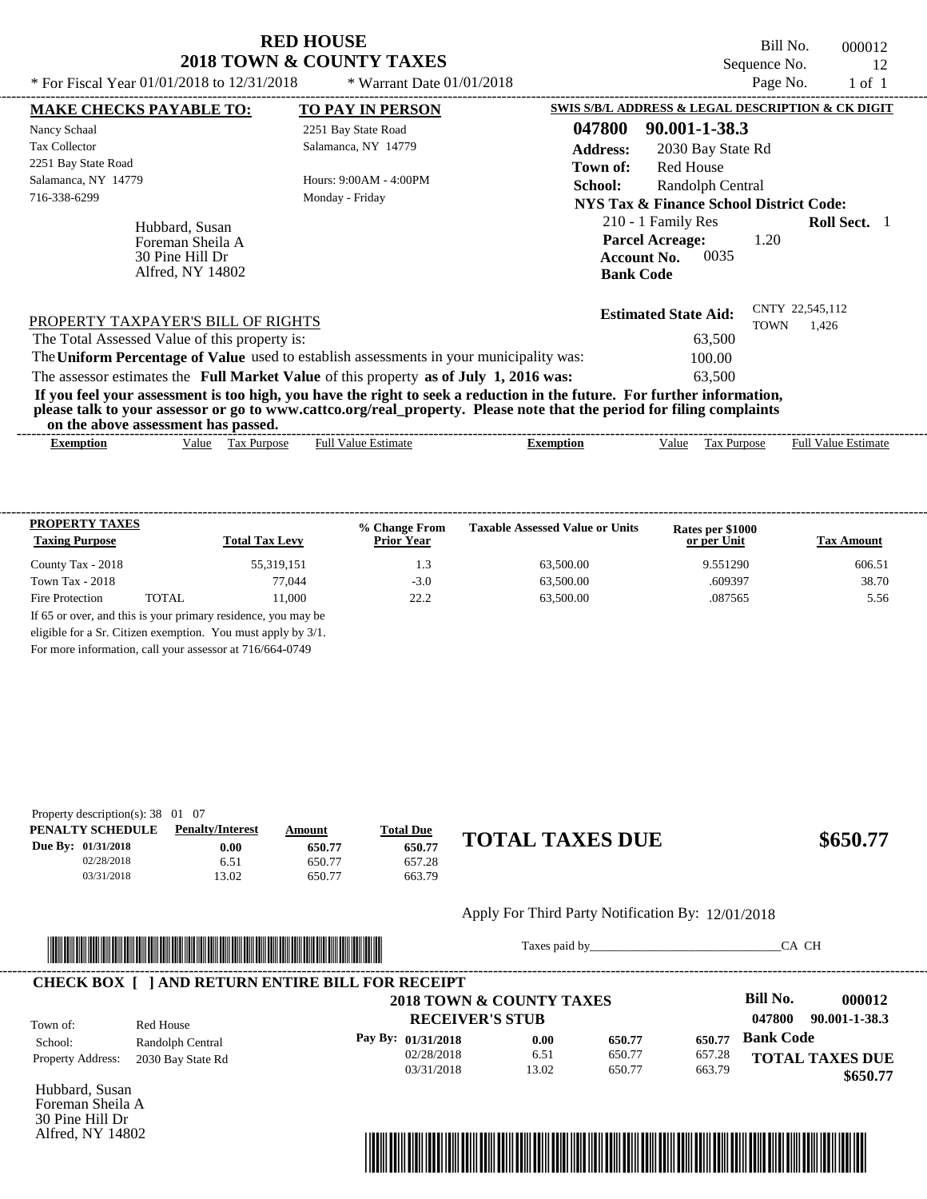Bill No. 000012 Sequence No. 12<br>Page No. 1 of 1

| * For Fiscal Year 01/01/2018 to 12/31/2018                                | * Warrant Date $01/01/2018$                                                                                                                                                                                                                      |                                                                                                | Page No.                       | $1$ of $1$                 |
|---------------------------------------------------------------------------|--------------------------------------------------------------------------------------------------------------------------------------------------------------------------------------------------------------------------------------------------|------------------------------------------------------------------------------------------------|--------------------------------|----------------------------|
| <b>MAKE CHECKS PAYABLE TO:</b>                                            | <b>TO PAY IN PERSON</b>                                                                                                                                                                                                                          | SWIS S/B/L ADDRESS & LEGAL DESCRIPTION & CK DIGIT                                              |                                |                            |
| Nancy Schaal                                                              | 2251 Bay State Road                                                                                                                                                                                                                              | 047800<br>90.001-1-38.3                                                                        |                                |                            |
| <b>Tax Collector</b>                                                      | Salamanca, NY 14779                                                                                                                                                                                                                              | <b>Address:</b><br>2030 Bay State Rd                                                           |                                |                            |
| 2251 Bay State Road                                                       |                                                                                                                                                                                                                                                  | <b>Red House</b><br>Town of:                                                                   |                                |                            |
| Salamanca, NY 14779                                                       | Hours: 9:00AM - 4:00PM                                                                                                                                                                                                                           | School:<br>Randolph Central                                                                    |                                |                            |
| 716-338-6299                                                              | Monday - Friday                                                                                                                                                                                                                                  | <b>NYS Tax &amp; Finance School District Code:</b>                                             |                                |                            |
| Hubbard, Susan<br>Foreman Sheila A<br>30 Pine Hill Dr<br>Alfred, NY 14802 |                                                                                                                                                                                                                                                  | 210 - 1 Family Res<br><b>Parcel Acreage:</b><br>0035<br><b>Account No.</b><br><b>Bank Code</b> | 1.20                           | <b>Roll Sect.</b> 1        |
| PROPERTY TAXPAYER'S BILL OF RIGHTS                                        |                                                                                                                                                                                                                                                  | <b>Estimated State Aid:</b>                                                                    | CNTY 22,545,112<br><b>TOWN</b> | 1.426                      |
| The Total Assessed Value of this property is:                             |                                                                                                                                                                                                                                                  | 63,500                                                                                         |                                |                            |
|                                                                           | The Uniform Percentage of Value used to establish assessments in your municipality was:                                                                                                                                                          | 100.00                                                                                         |                                |                            |
|                                                                           | The assessor estimates the Full Market Value of this property as of July 1, 2016 was:                                                                                                                                                            | 63.500                                                                                         |                                |                            |
| on the above assessment has passed.                                       | If you feel your assessment is too high, you have the right to seek a reduction in the future. For further information,<br>please talk to your assessor or go to www.cattco.org/real_property. Please note that the period for filing complaints |                                                                                                |                                |                            |
| Exemption                                                                 | <b>Full Value Estimate</b><br>Value Tax Purpose                                                                                                                                                                                                  | <b>Exemption</b><br>Value                                                                      | Tax Purpose                    | <b>Full Value Estimate</b> |

| <b>PROPERTY TAXES</b><br><b>Taxing Purpose</b> |       | <b>Total Tax Levy</b> | % Change From<br><b>Prior Year</b> | <b>Taxable Assessed Value or Units</b> | Rates per \$1000<br>or per Unit | <b>Tax Amount</b> |
|------------------------------------------------|-------|-----------------------|------------------------------------|----------------------------------------|---------------------------------|-------------------|
| County Tax - 2018                              |       | 55,319,151            | 1.3                                | 63,500.00                              | 9.551290                        | 606.51            |
| Town Tax - $2018$                              |       | 77,044                | $-3.0$                             | 63,500.00                              | .609397                         | 38.70             |
| Fire Protection                                | TOTAL | 11.000                | 22.2                               | 63,500.00                              | .087565                         | 5.56              |

For more information, call your assessor at 716/664-0749

| Property description(s): $38 \quad 01 \quad 07$ |                         |        |                  |                        |          |
|-------------------------------------------------|-------------------------|--------|------------------|------------------------|----------|
| PENALTY SCHEDULE                                | <b>Penalty/Interest</b> | Amount | <b>Total Due</b> |                        |          |
| Due By: 01/31/2018                              | 0.00                    | 650.77 | 650.77           | <b>TOTAL TAXES DUE</b> | \$650.77 |
| 02/28/2018                                      | 6.51                    | 650.77 | 657.28           |                        |          |
| 03/31/2018                                      | 13.02                   | 650.77 | 663.79           |                        |          |

#### Apply For Third Party Notification By: 12/01/2018



Taxes paid by\_\_\_\_\_\_\_\_\_\_\_\_\_\_\_\_\_\_\_\_\_\_\_\_\_\_\_\_\_\_\_CA CH

|                          |                   |                          |                        |        |        | <b>Bill No.</b>         |
|--------------------------|-------------------|--------------------------|------------------------|--------|--------|-------------------------|
|                          |                   | 2018 TOWN & COUNTY TAXES |                        |        |        | 000012                  |
| Town of:                 | Red House         |                          | <b>RECEIVER'S STUB</b> |        |        | 90.001-1-38.3<br>047800 |
| School:                  | Randolph Central  | Pay By: $01/31/2018$     | 0.00                   | 650.77 | 650.77 | <b>Bank Code</b>        |
| <b>Property Address:</b> | 2030 Bay State Rd | 02/28/2018               | 6.51                   | 650.77 | 657.28 | <b>TOTAL TAXES DUE</b>  |
|                          |                   | 03/31/2018               | 13.02                  | 650.77 | 663.79 | \$650.77                |

Hubbard, Susan Foreman Sheila A 30 Pine Hill Dr Alfred, NY 14802

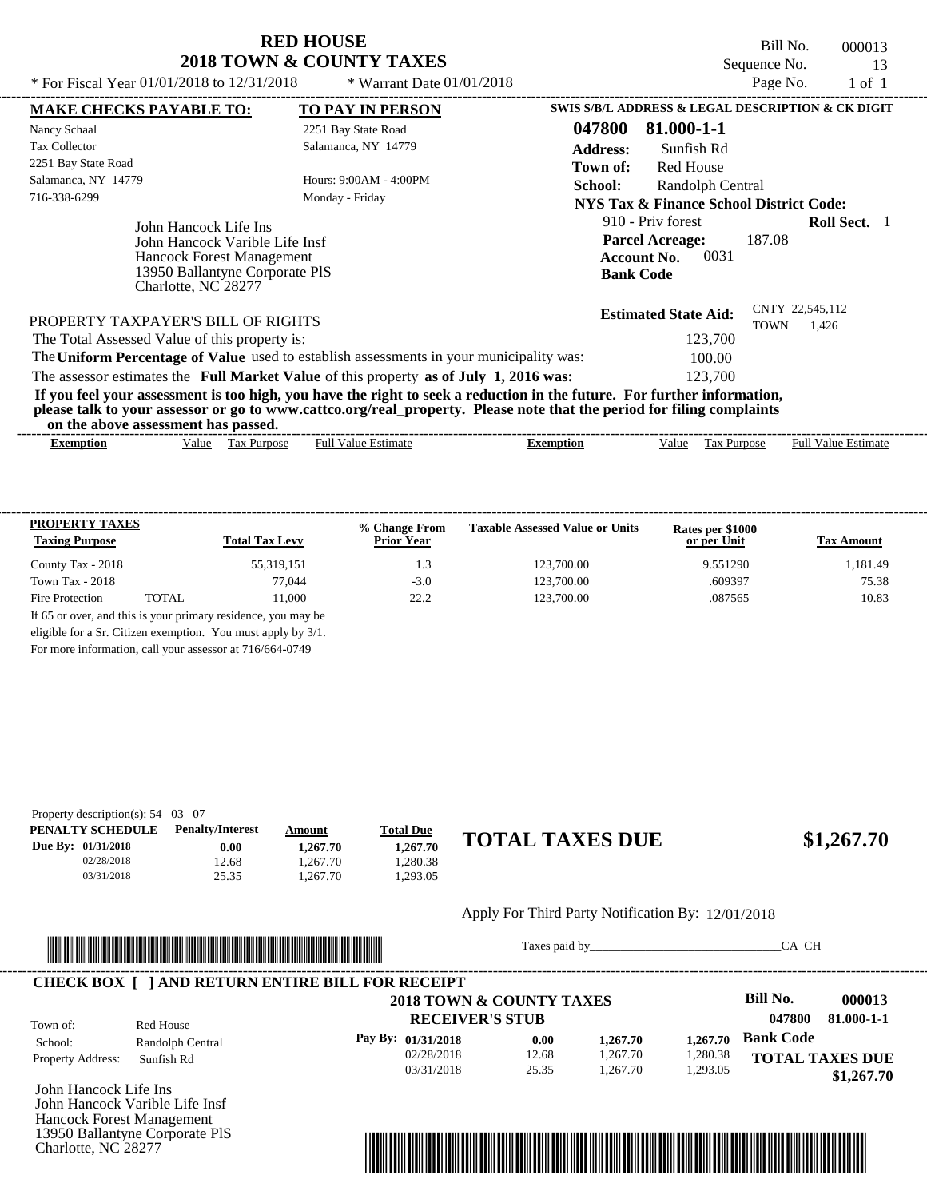Bill No. 000013 Sequence No. 13<br>Page No. 1 of 1

| * For Fiscal Year 01/01/2018 to 12/31/2018                                                                                                    | * Warrant Date $01/01/2018$                                                             |                                                                                                                                                                                                                                                  | Page No.    | 1 of 1                     |
|-----------------------------------------------------------------------------------------------------------------------------------------------|-----------------------------------------------------------------------------------------|--------------------------------------------------------------------------------------------------------------------------------------------------------------------------------------------------------------------------------------------------|-------------|----------------------------|
| <b>MAKE CHECKS PAYABLE TO:</b>                                                                                                                | <b>TO PAY IN PERSON</b>                                                                 | SWIS S/B/L ADDRESS & LEGAL DESCRIPTION & CK DIGIT                                                                                                                                                                                                |             |                            |
| Nancy Schaal                                                                                                                                  | 2251 Bay State Road                                                                     | 81.000-1-1<br>047800                                                                                                                                                                                                                             |             |                            |
| <b>Tax Collector</b>                                                                                                                          | Salamanca, NY 14779                                                                     | <b>Address:</b><br>Sunfish Rd                                                                                                                                                                                                                    |             |                            |
| 2251 Bay State Road                                                                                                                           |                                                                                         | Red House<br>Town of:                                                                                                                                                                                                                            |             |                            |
| Salamanca, NY 14779                                                                                                                           | Hours: $9:00AM - 4:00PM$                                                                | School:<br>Randolph Central                                                                                                                                                                                                                      |             |                            |
| 716-338-6299                                                                                                                                  | Monday - Friday                                                                         | <b>NYS Tax &amp; Finance School District Code:</b>                                                                                                                                                                                               |             |                            |
| John Hancock Life Ins<br>John Hancock Varible Life Insf<br>Hancock Forest Management<br>13950 Ballantyne Corporate PIS<br>Charlotte, NC 28277 |                                                                                         | 910 - Priv forest<br><b>Parcel Acreage:</b><br>0031<br><b>Account No.</b><br><b>Bank Code</b>                                                                                                                                                    | 187.08      | <b>Roll Sect.</b> 1        |
| PROPERTY TAXPAYER'S BILL OF RIGHTS                                                                                                            |                                                                                         | <b>Estimated State Aid:</b>                                                                                                                                                                                                                      | <b>TOWN</b> | CNTY 22,545,112<br>1,426   |
| The Total Assessed Value of this property is:                                                                                                 |                                                                                         | 123,700                                                                                                                                                                                                                                          |             |                            |
|                                                                                                                                               | The Uniform Percentage of Value used to establish assessments in your municipality was: | 100.00                                                                                                                                                                                                                                           |             |                            |
|                                                                                                                                               | The assessor estimates the Full Market Value of this property as of July 1, 2016 was:   | 123,700                                                                                                                                                                                                                                          |             |                            |
| on the above assessment has passed.                                                                                                           |                                                                                         | If you feel your assessment is too high, you have the right to seek a reduction in the future. For further information,<br>please talk to your assessor or go to www.cattco.org/real_property. Please note that the period for filing complaints |             |                            |
| Value Tax Purpose<br>Exemption                                                                                                                | <b>Full Value Estimate</b>                                                              | Tax Purpose<br><b>Exemption</b><br>Value                                                                                                                                                                                                         |             | <b>Full Value Estimate</b> |

| <b>PROPERTY TAXES</b><br><b>Taxing Purpose</b> |       | <b>Total Tax Levy</b>                                         | % Change From<br><b>Prior Year</b> | <b>Taxable Assessed Value or Units</b> | Rates per \$1000<br>or per Unit | <b>Tax Amount</b> |
|------------------------------------------------|-------|---------------------------------------------------------------|------------------------------------|----------------------------------------|---------------------------------|-------------------|
| County Tax - 2018                              |       | 55,319,151                                                    | 1.3                                | 123,700.00                             | 9.551290                        | 1.181.49          |
| Town Tax - $2018$                              |       | 77,044                                                        | $-3.0$                             | 123,700.00                             | .609397                         | 75.38             |
| Fire Protection                                | TOTAL | 11.000                                                        | 22.2                               | 123,700.00                             | .087565                         | 10.83             |
|                                                |       | If 65 or over, and this is your primary residence, you may be |                                    |                                        |                                 |                   |
|                                                |       | eligible for a Sr. Citizen exemption. You must apply by 3/1.  |                                    |                                        |                                 |                   |

For more information, call your assessor at 716/664-0749

| Property description(s): $54 \quad 03 \quad 07$ |                         |          |                  |                        |            |
|-------------------------------------------------|-------------------------|----------|------------------|------------------------|------------|
| PENALTY SCHEDULE                                | <b>Penalty/Interest</b> | Amount   | <b>Total Due</b> |                        |            |
| Due By: 01/31/2018                              | $0.00\,$                | 1.267.70 | 1.267.70         | <b>TOTAL TAXES DUE</b> | \$1,267.70 |
| 02/28/2018                                      | 12.68                   | .267.70  | .280.38          |                        |            |
| 03/31/2018                                      | 25.35                   | .267.70  | .293.05          |                        |            |

#### Apply For Third Party Notification By: 12/01/2018



Taxes paid by\_\_\_\_\_\_\_\_\_\_\_\_\_\_\_\_\_\_\_\_\_\_\_\_\_\_\_\_\_\_\_CA CH

|                          |                  | 2018 TOWN & COUNTY TAXES |       |          |          | <b>Bill No.</b>        | 000013     |
|--------------------------|------------------|--------------------------|-------|----------|----------|------------------------|------------|
| Town of:                 | Red House        | <b>RECEIVER'S STUB</b>   |       |          |          | 047800                 | 81.000-1-1 |
| School:                  | Randolph Central | Pay By: $01/31/2018$     | 0.00  | 1,267.70 | 1.267.70 | <b>Bank Code</b>       |            |
| <b>Property Address:</b> | Sunfish Rd       | 02/28/2018               | 12.68 | 1,267.70 | 1,280.38 | <b>TOTAL TAXES DUE</b> |            |
|                          |                  | 03/31/2018               | 25.35 | 1.267.70 | 1,293.05 |                        | \$1,267.70 |

John Hancock Life Ins John Hancock Varible Life Insf Hancock Forest Management 13950 Ballantyne Corporate PlS Charlotte, NC 28277

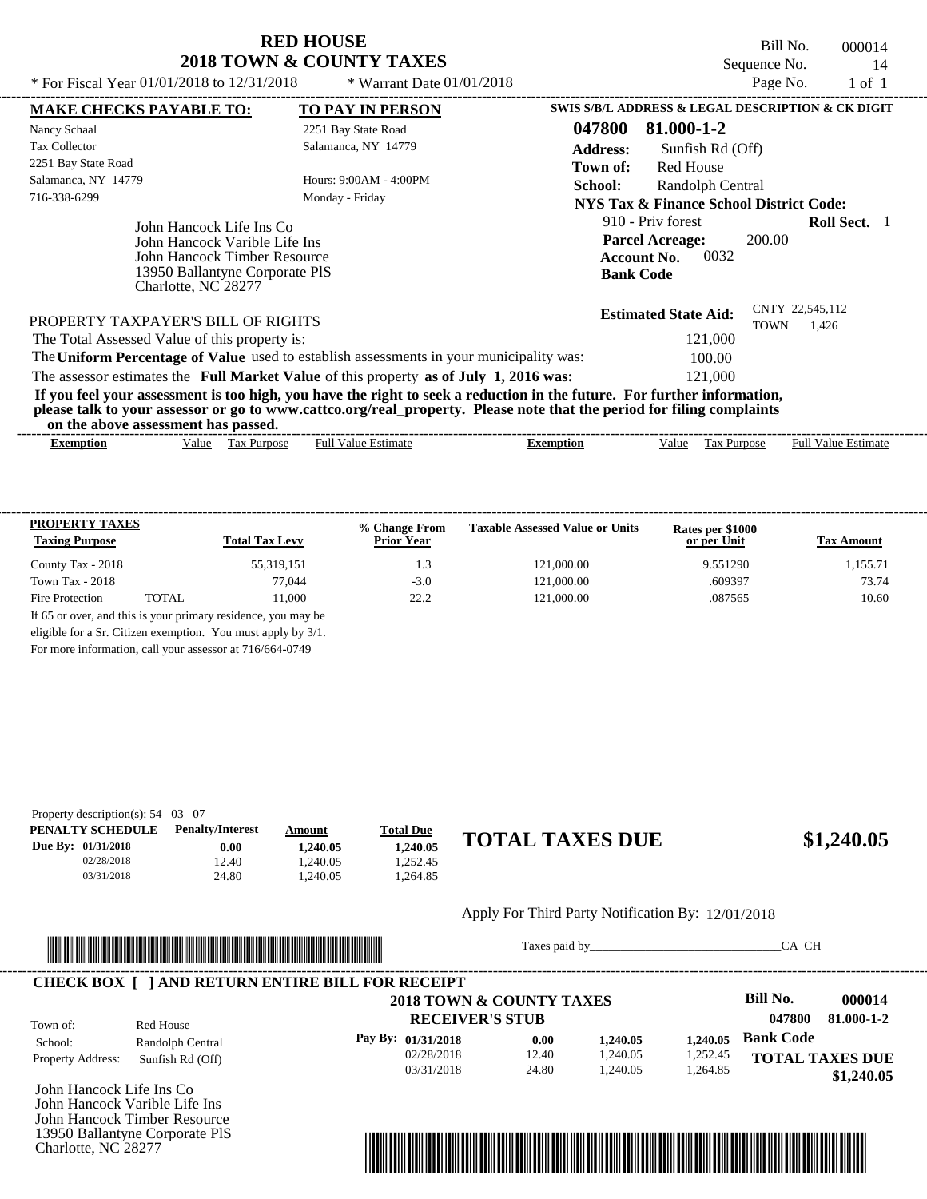Bill No. 000014 Sequence No. 14<br>Page No. 1 of 1

| * For Fiscal Year 01/01/2018 to 12/31/2018                                                                                                         | * Warrant Date 01/01/2018                                                                                                                                                                                                                        | Page No.<br>1 of 1                                |  |  |
|----------------------------------------------------------------------------------------------------------------------------------------------------|--------------------------------------------------------------------------------------------------------------------------------------------------------------------------------------------------------------------------------------------------|---------------------------------------------------|--|--|
| <b>MAKE CHECKS PAYABLE TO:</b>                                                                                                                     | <b>TO PAY IN PERSON</b>                                                                                                                                                                                                                          | SWIS S/B/L ADDRESS & LEGAL DESCRIPTION & CK DIGIT |  |  |
| Nancy Schaal                                                                                                                                       | 2251 Bay State Road                                                                                                                                                                                                                              | 047800<br>81.000-1-2                              |  |  |
| <b>Tax Collector</b>                                                                                                                               | Salamanca, NY 14779                                                                                                                                                                                                                              | <b>Address:</b><br>Sunfish Rd (Off)               |  |  |
| 2251 Bay State Road                                                                                                                                |                                                                                                                                                                                                                                                  | Red House<br>Town of:                             |  |  |
| Salamanca, NY 14779                                                                                                                                | Hours: $9:00AM - 4:00PM$                                                                                                                                                                                                                         | <b>School:</b><br>Randolph Central                |  |  |
| 716-338-6299                                                                                                                                       | Monday - Friday                                                                                                                                                                                                                                  | NYS Tax & Finance School District Code:           |  |  |
| John Hancock Life Ins Co<br>John Hancock Varible Life Ins<br>John Hancock Timber Resource<br>13950 Ballantyne Corporate PIS<br>Charlotte, NC 28277 | 910 - Priv forest<br><b>Roll Sect.</b> 1<br><b>Parcel Acreage:</b><br>200.00<br>0032<br><b>Account No.</b><br><b>Bank Code</b>                                                                                                                   |                                                   |  |  |
|                                                                                                                                                    | PROPERTY TAXPAYER'S BILL OF RIGHTS                                                                                                                                                                                                               |                                                   |  |  |
| The Total Assessed Value of this property is:                                                                                                      |                                                                                                                                                                                                                                                  | <b>TOWN</b><br>1,426<br>121,000                   |  |  |
|                                                                                                                                                    | The Uniform Percentage of Value used to establish assessments in your municipality was:                                                                                                                                                          |                                                   |  |  |
|                                                                                                                                                    | The assessor estimates the Full Market Value of this property as of July 1, 2016 was:                                                                                                                                                            |                                                   |  |  |
| on the above assessment has passed.                                                                                                                | If you feel your assessment is too high, you have the right to seek a reduction in the future. For further information,<br>please talk to your assessor or go to www.cattco.org/real_property. Please note that the period for filing complaints |                                                   |  |  |

| - Full <sup>V</sup><br>√alue<br>alue<br>Estimate<br><b>Estimate</b><br><b>Purpose</b><br>lax<br>alu<br>Purpose<br>Ful<br>Exemption<br>$\mathcal{L}$ xemption<br>≙וו'<br>__ |
|----------------------------------------------------------------------------------------------------------------------------------------------------------------------------|
|                                                                                                                                                                            |

| <b>PROPERTY TAXES</b><br><b>Taxing Purpose</b> |       | <b>Total Tax Levy</b>                                         | % Change From<br><b>Prior Year</b> | <b>Taxable Assessed Value or Units</b> | Rates per \$1000<br>or per Unit | <b>Tax Amount</b> |
|------------------------------------------------|-------|---------------------------------------------------------------|------------------------------------|----------------------------------------|---------------------------------|-------------------|
| County Tax - 2018                              |       | 55,319,151                                                    | 1.3                                | 121,000.00                             | 9.551290                        | 1,155.71          |
| Town Tax - $2018$                              |       | 77,044                                                        | $-3.0$                             | 121,000.00                             | .609397                         | 73.74             |
| Fire Protection                                | TOTAL | 11.000                                                        | 22.2                               | 121,000.00                             | .087565                         | 10.60             |
|                                                |       | If 65 or over, and this is your primary residence, you may be |                                    |                                        |                                 |                   |
|                                                |       | eligible for a Sr. Citizen exemption. You must apply by 3/1.  |                                    |                                        |                                 |                   |

For more information, call your assessor at 716/664-0749

| Property description(s): $54 \quad 03 \quad 07$ |                         |          |                  |                        |            |
|-------------------------------------------------|-------------------------|----------|------------------|------------------------|------------|
| PENALTY SCHEDULE                                | <b>Penalty/Interest</b> | Amount   | <b>Total Due</b> |                        |            |
| Due By: 01/31/2018                              | $0.00\,$                | 1.240.05 | 1.240.05         | <b>TOTAL TAXES DUE</b> | \$1,240.05 |
| 02/28/2018                                      | 12.40                   | .240.05  | 1.252.45         |                        |            |
| 03/31/2018                                      | 24.80                   | .240.05  | 1.264.85         |                        |            |

#### Apply For Third Party Notification By: 12/01/2018



Taxes paid by\_\_\_\_\_\_\_\_\_\_\_\_\_\_\_\_\_\_\_\_\_\_\_\_\_\_\_\_\_\_\_CA CH

|                          |                  | 2018 TOWN & COUNTY TAXES |       |          |          | Bill No.               | 000014     |
|--------------------------|------------------|--------------------------|-------|----------|----------|------------------------|------------|
| Town of:                 | Red House        | <b>RECEIVER'S STUB</b>   |       |          |          | 047800                 | 81.000-1-2 |
| School:                  | Randolph Central | Pay By: 01/31/2018       | 0.00  | 1,240.05 | 1.240.05 | <b>Bank Code</b>       |            |
| <b>Property Address:</b> | Sunfish Rd (Off) | 02/28/2018               | 12.40 | 1,240.05 | 1,252.45 | <b>TOTAL TAXES DUE</b> |            |
|                          |                  | 03/31/2018               | 24.80 | 1.240.05 | 1.264.85 |                        | \$1,240.05 |

John Hancock Life Ins Co John Hancock Varible Life Ins John Hancock Timber Resource 13950 Ballantyne Corporate PlS Charlotte, NC 28277

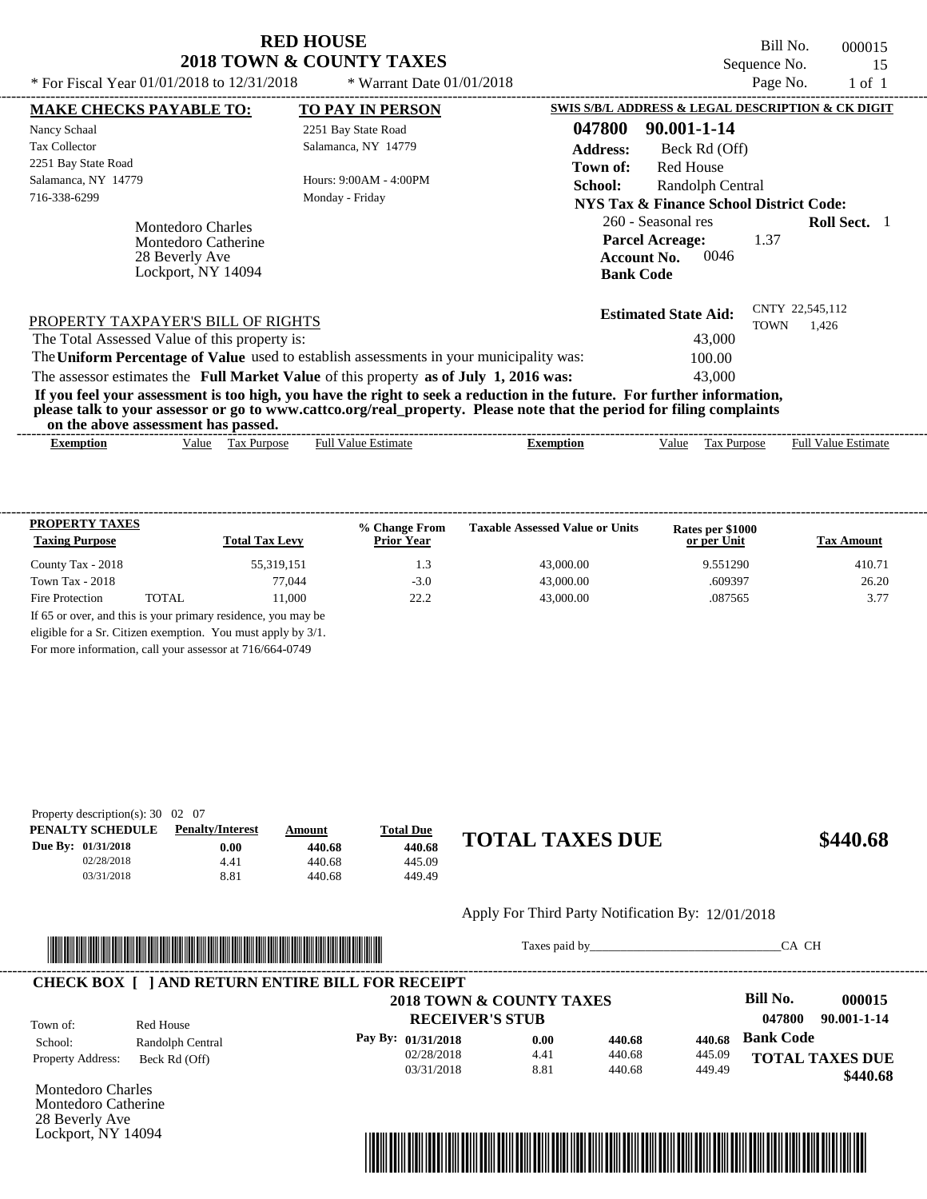Bill No. 000015 Sequence No. 15<br>Page No. 1 of 1

| * For Fiscal Year 01/01/2018 to 12/31/2018                                                     | * Warrant Date $01/01/2018$                                                                                                                                                                                                                      |                                                                                                | Page No.    | 1 of 1                   |  |
|------------------------------------------------------------------------------------------------|--------------------------------------------------------------------------------------------------------------------------------------------------------------------------------------------------------------------------------------------------|------------------------------------------------------------------------------------------------|-------------|--------------------------|--|
| <b>MAKE CHECKS PAYABLE TO:</b>                                                                 | <b>TO PAY IN PERSON</b>                                                                                                                                                                                                                          | SWIS S/B/L ADDRESS & LEGAL DESCRIPTION & CK DIGIT                                              |             |                          |  |
| Nancy Schaal                                                                                   | 2251 Bay State Road                                                                                                                                                                                                                              | 047800<br>90.001-1-14                                                                          |             |                          |  |
| <b>Tax Collector</b>                                                                           | Salamanca, NY 14779                                                                                                                                                                                                                              | <b>Address:</b><br>Beck Rd (Off)                                                               |             |                          |  |
| 2251 Bay State Road                                                                            |                                                                                                                                                                                                                                                  | Red House<br>Town of:                                                                          |             |                          |  |
| Salamanca, NY 14779                                                                            | Hours: 9:00AM - 4:00PM                                                                                                                                                                                                                           | School:<br>Randolph Central                                                                    |             |                          |  |
| 716-338-6299                                                                                   | Monday - Friday                                                                                                                                                                                                                                  | NYS Tax & Finance School District Code:                                                        |             |                          |  |
| <b>Montedoro Charles</b><br><b>Montedoro Catherine</b><br>28 Beverly Ave<br>Lockport, NY 14094 |                                                                                                                                                                                                                                                  | 260 - Seasonal res<br><b>Parcel Acreage:</b><br>0046<br><b>Account No.</b><br><b>Bank Code</b> | 1.37        | <b>Roll Sect.</b> 1      |  |
| PROPERTY TAXPAYER'S BILL OF RIGHTS                                                             |                                                                                                                                                                                                                                                  | <b>Estimated State Aid:</b>                                                                    | <b>TOWN</b> | CNTY 22,545,112<br>1,426 |  |
| The Total Assessed Value of this property is:                                                  |                                                                                                                                                                                                                                                  | 43,000                                                                                         |             |                          |  |
|                                                                                                | The Uniform Percentage of Value used to establish assessments in your municipality was:                                                                                                                                                          | 100.00                                                                                         |             |                          |  |
|                                                                                                | The assessor estimates the Full Market Value of this property as of July 1, 2016 was:                                                                                                                                                            | 43,000                                                                                         |             |                          |  |
| on the above assessment has passed.                                                            | If you feel your assessment is too high, you have the right to seek a reduction in the future. For further information,<br>please talk to your assessor or go to www.cattco.org/real_property. Please note that the period for filing complaints |                                                                                                |             |                          |  |
|                                                                                                |                                                                                                                                                                                                                                                  |                                                                                                |             |                          |  |

|           |       |                       |                        |           |       |                | ------                    |
|-----------|-------|-----------------------|------------------------|-----------|-------|----------------|---------------------------|
| Exemption | alue/ | ľax<br><b>Purpose</b> | Fuh<br>stimate<br>anne | *xemption | /alue | itdose<br>i as | Full<br>∨alue<br>'stimate |

| <b>PROPERTY TAXES</b><br><b>Taxing Purpose</b> |       | <b>Total Tax Levy</b> | % Change From<br><b>Prior Year</b> | <b>Taxable Assessed Value or Units</b> | Rates per \$1000<br>or per Unit | <b>Tax Amount</b> |
|------------------------------------------------|-------|-----------------------|------------------------------------|----------------------------------------|---------------------------------|-------------------|
| County Tax - 2018                              |       | 55,319,151            | 1.3                                | 43,000.00                              | 9.551290                        | 410.71            |
| Town Tax - $2018$                              |       | 77,044                | $-3.0$                             | 43,000.00                              | .609397                         | 26.20             |
| Fire Protection                                | TOTAL | 11.000                | 22.2                               | 43,000.00                              | .087565                         | 3.77              |

For more information, call your assessor at 716/664-0749

| Property description(s): $30 \quad 02 \quad 07$ |                         |        |                  |                        |          |
|-------------------------------------------------|-------------------------|--------|------------------|------------------------|----------|
| PENALTY SCHEDULE                                | <b>Penalty/Interest</b> | Amount | <b>Total Due</b> |                        |          |
| Due By: 01/31/2018                              | 0.00                    | 440.68 | 440.68           | <b>TOTAL TAXES DUE</b> | \$440.68 |
| 02/28/2018                                      | 4.41                    | 440.68 | 445.09           |                        |          |
| 03/31/2018                                      | 8.81                    | 440.68 | 449.49           |                        |          |
|                                                 |                         |        |                  |                        |          |

#### Apply For Third Party Notification By: 12/01/2018



Taxes paid by\_\_\_\_\_\_\_\_\_\_\_\_\_\_\_\_\_\_\_\_\_\_\_\_\_\_\_\_\_\_\_CA CH

|                          |                  | 2018 TOWN & COUNTY TAXES |      |        |        | Bill No.         | 000015                 |
|--------------------------|------------------|--------------------------|------|--------|--------|------------------|------------------------|
| Town of:                 | Red House        | <b>RECEIVER'S STUB</b>   |      |        |        | 047800           | 90.001-1-14            |
| School:                  | Randolph Central | Pay By: 01/31/2018       | 0.00 | 440.68 | 440.68 | <b>Bank Code</b> |                        |
| <b>Property Address:</b> | Beck Rd (Off)    | 02/28/2018               | 4.41 | 440.68 | 445.09 |                  | <b>TOTAL TAXES DUE</b> |
|                          |                  | 03/31/2018               | 8.81 | 440.68 | 449.49 |                  | \$440.68               |

Montedoro Charles Montedoro Catherine 28 Beverly Ave Lockport, NY 14094

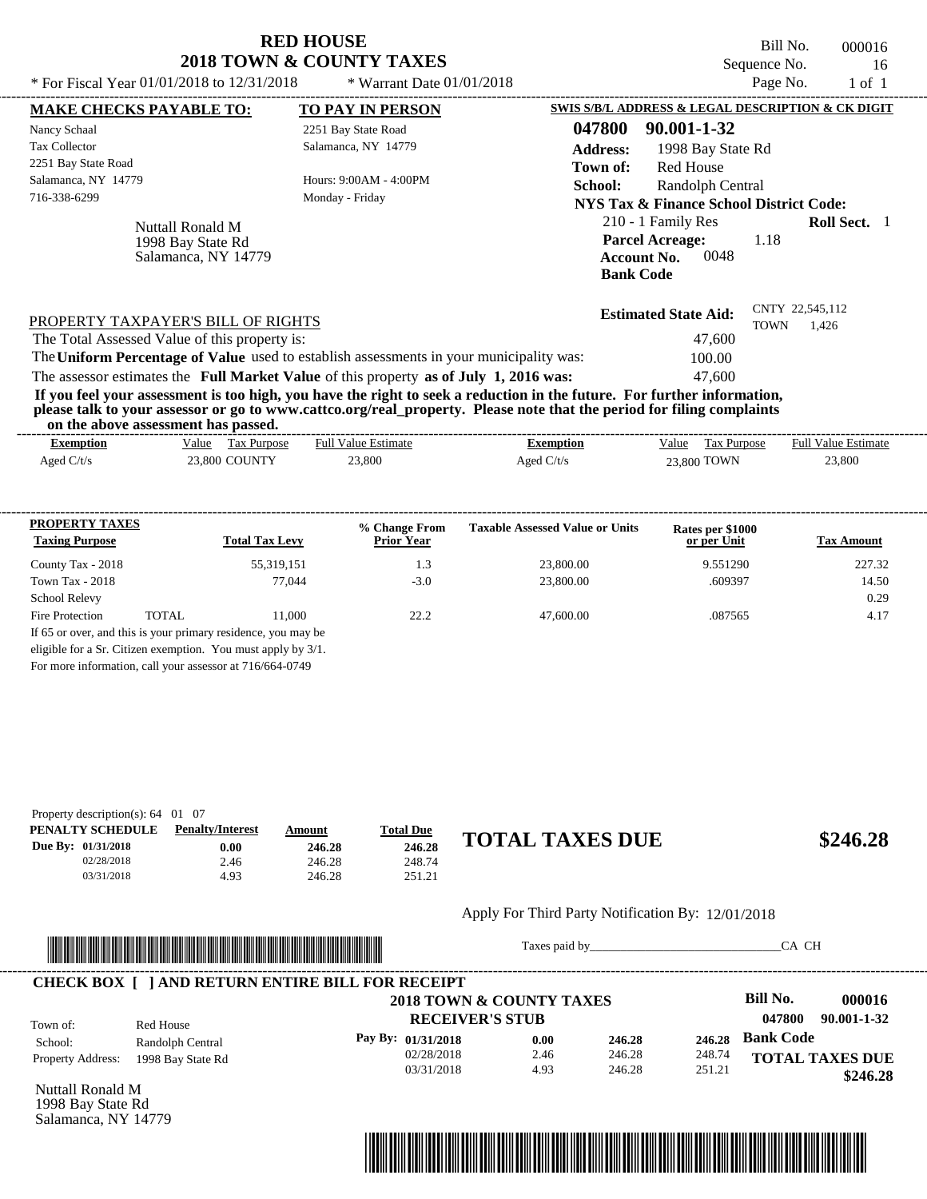| <b>RED HOUSE</b>                               | Bill No.                    | 000016   |        |
|------------------------------------------------|-----------------------------|----------|--------|
| <b>2018 TOWN &amp; COUNTY TAXES</b>            | Sequence No.                | 16       |        |
| * For Fiscal Year $01/01/2018$ to $12/31/2018$ | $*$ Warrant Date 01/01/2018 | Page No. | 1 of 1 |

| SWIS S/B/L ADDRESS & LEGAL DESCRIPTION & CK DIGIT<br>047800<br>90.001-1-32                                                                                                                                                 |
|----------------------------------------------------------------------------------------------------------------------------------------------------------------------------------------------------------------------------|
|                                                                                                                                                                                                                            |
|                                                                                                                                                                                                                            |
| <b>Address:</b><br>1998 Bay State Rd                                                                                                                                                                                       |
| Red House<br>Town of:                                                                                                                                                                                                      |
| <b>School:</b><br>Randolph Central                                                                                                                                                                                         |
| NYS Tax & Finance School District Code:                                                                                                                                                                                    |
| 210 - 1 Family Res<br><b>Roll Sect.</b> 1<br><b>Parcel Acreage:</b><br>1.18<br>0048<br><b>Account No.</b><br><b>Bank Code</b>                                                                                              |
| CNTY 22,545,112<br><b>Estimated State Aid:</b><br>TOWN<br>1,426<br>47,600                                                                                                                                                  |
|                                                                                                                                                                                                                            |
| The Uniform Percentage of Value used to establish assessments in your municipality was:<br>100.00                                                                                                                          |
| The assessor estimates the Full Market Value of this property as of July 1, 2016 was:<br>47.600<br>If you feel your assessment is too high, you have the right to seek a reduction in the future. For further information, |
| please talk to your assessor or go to www.cattco.org/real_property. Please note that the period for filing complaints                                                                                                      |

**on the above assessment has passed.**

| on the above assessment has passed. |                      |                            |              |                      |                            |
|-------------------------------------|----------------------|----------------------------|--------------|----------------------|----------------------------|
| <b>Exemption</b>                    | Value<br>Tax Purpose | <b>Full Value Estimate</b> | Exemption    | Value<br>Tax Purpose | <b>Full Value Estimate</b> |
| Aged $C/t/s$                        | <b>23,800 COUNTY</b> | 23,800                     | Aged $C/t/s$ | 23,800 TOWN          | 23,800                     |
|                                     |                      |                            |              |                      |                            |
|                                     |                      |                            |              |                      |                            |
|                                     |                      |                            |              |                      |                            |
|                                     |                      |                            |              |                      |                            |

| <b>PROPERTY TAXES</b><br><b>Taxing Purpose</b> |       | <b>Total Tax Levy</b>                                                                                                            | % Change From<br><b>Prior Year</b> | <b>Taxable Assessed Value or Units</b> | Rates per \$1000<br>or per Unit | <b>Tax Amount</b> |
|------------------------------------------------|-------|----------------------------------------------------------------------------------------------------------------------------------|------------------------------------|----------------------------------------|---------------------------------|-------------------|
| County Tax - 2018                              |       | 55,319,151                                                                                                                       | 1.3                                | 23,800.00                              | 9.551290                        | 227.32            |
| Town Tax - 2018                                |       | 77,044                                                                                                                           | $-3.0$                             | 23,800.00                              | .609397                         | 14.50             |
| <b>School Relevy</b>                           |       |                                                                                                                                  |                                    |                                        |                                 | 0.29              |
| <b>Fire Protection</b>                         | TOTAL | 11.000                                                                                                                           | 22.2                               | 47,600.00                              | .087565                         | 4.17              |
|                                                |       | If 65 or over, and this is your primary residence, you may be<br>eligible for a Sr. Citizen exemption. You must apply by $3/1$ . |                                    |                                        |                                 |                   |

For more information, call your assessor at 716/664-0749

| Property description(s): $64 \quad 01 \quad 07$ |                         |        |                  |                        |          |
|-------------------------------------------------|-------------------------|--------|------------------|------------------------|----------|
| PENALTY SCHEDULE                                | <b>Penalty/Interest</b> | Amount | <b>Total Due</b> |                        |          |
| Due By: 01/31/2018                              | $0.00\,$                | 246.28 | 246.28           | <b>TOTAL TAXES DUE</b> | \$246.28 |
| 02/28/2018                                      | 2.46                    | 246.28 | 248.74           |                        |          |
| 03/31/2018                                      | 4.93                    | 246.28 | 251.21           |                        |          |

#### Apply For Third Party Notification By: 12/01/2018



Taxes paid by\_\_\_\_\_\_\_\_\_\_\_\_\_\_\_\_\_\_\_\_\_\_\_\_\_\_\_\_\_\_\_CA CH

|                          |                   | 2018 TOWN & COUNTY TAXES |      |        |        | Bill No.               | 000016   |
|--------------------------|-------------------|--------------------------|------|--------|--------|------------------------|----------|
| Town of:                 | Red House         | <b>RECEIVER'S STUB</b>   |      |        |        | 90.001-1-32<br>047800  |          |
| School:                  | Randolph Central  | Pay By: 01/31/2018       | 0.00 | 246.28 | 246.28 | <b>Bank Code</b>       |          |
| <b>Property Address:</b> | 1998 Bay State Rd | 02/28/2018               | 2.46 | 246.28 | 248.74 | <b>TOTAL TAXES DUE</b> |          |
|                          |                   | 03/31/2018               | 4.93 | 246.28 | 251.21 |                        | \$246.28 |

Nuttall Ronald M 1998 Bay State Rd Salamanca, NY 14779

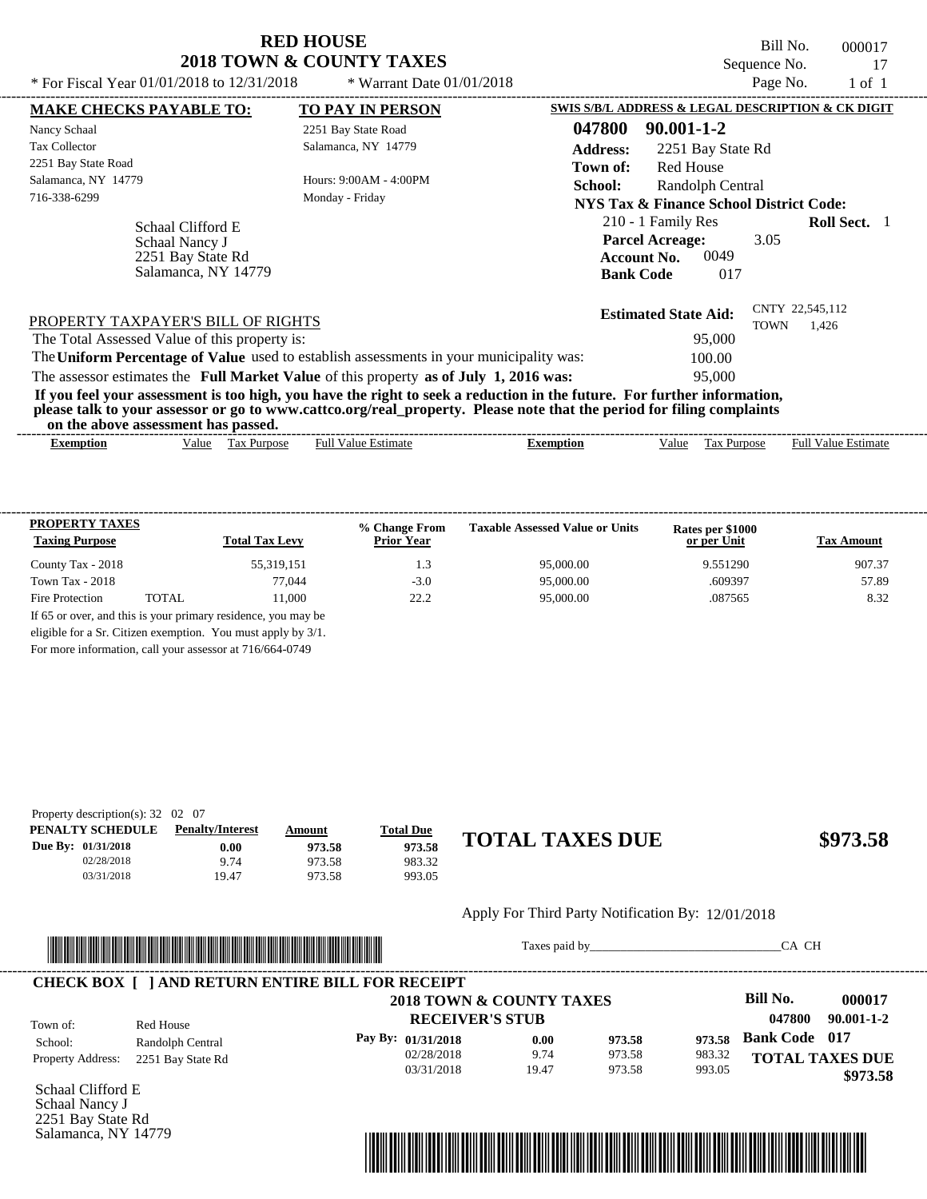Bill No. 000017 Sequence No. 17<br>Page No. 1 of 1

| * For Fiscal Year 01/01/2018 to 12/31/2018                                      | * Warrant Date $01/01/2018$                                                             | Page No.<br>$1$ of $1$                                                                                                                                                                                                                           |  |  |
|---------------------------------------------------------------------------------|-----------------------------------------------------------------------------------------|--------------------------------------------------------------------------------------------------------------------------------------------------------------------------------------------------------------------------------------------------|--|--|
| <b>MAKE CHECKS PAYABLE TO:</b>                                                  | <b>TO PAY IN PERSON</b>                                                                 | SWIS S/B/L ADDRESS & LEGAL DESCRIPTION & CK DIGIT                                                                                                                                                                                                |  |  |
| Nancy Schaal                                                                    | 2251 Bay State Road                                                                     | 047800<br>$90.001 - 1 - 2$                                                                                                                                                                                                                       |  |  |
| <b>Tax Collector</b>                                                            | Salamanca, NY 14779                                                                     | <b>Address:</b><br>2251 Bay State Rd                                                                                                                                                                                                             |  |  |
| 2251 Bay State Road                                                             |                                                                                         | <b>Red House</b><br>Town of:                                                                                                                                                                                                                     |  |  |
| Salamanca, NY 14779                                                             | Hours: 9:00AM - 4:00PM                                                                  | School:<br>Randolph Central                                                                                                                                                                                                                      |  |  |
| 716-338-6299                                                                    | Monday - Friday                                                                         | <b>NYS Tax &amp; Finance School District Code:</b>                                                                                                                                                                                               |  |  |
| Schaal Clifford E<br>Schaal Nancy J<br>2251 Bay State Rd<br>Salamanca, NY 14779 |                                                                                         | 210 - 1 Family Res<br><b>Roll Sect.</b> 1<br><b>Parcel Acreage:</b><br>3.05<br>0049<br><b>Account No.</b><br><b>Bank Code</b><br>017                                                                                                             |  |  |
| PROPERTY TAXPAYER'S BILL OF RIGHTS                                              |                                                                                         | CNTY 22,545,112<br><b>Estimated State Aid:</b><br><b>TOWN</b><br>1,426                                                                                                                                                                           |  |  |
| The Total Assessed Value of this property is:                                   |                                                                                         | 95,000                                                                                                                                                                                                                                           |  |  |
|                                                                                 | The Uniform Percentage of Value used to establish assessments in your municipality was: | 100.00                                                                                                                                                                                                                                           |  |  |
|                                                                                 | The assessor estimates the Full Market Value of this property as of July 1, 2016 was:   | 95,000                                                                                                                                                                                                                                           |  |  |
| on the above assessment has passed.                                             |                                                                                         | If you feel your assessment is too high, you have the right to seek a reduction in the future. For further information,<br>please talk to your assessor or go to www.cattco.org/real_property. Please note that the period for filing complaints |  |  |
| <b>Exemption</b><br>Value                                                       | <b>Full Value Estimate</b><br>Tax Purpose                                               | <b>Full Value Estimate</b><br>Tax Purpose<br><b>Exemption</b><br>Value                                                                                                                                                                           |  |  |

| <b>PROPERTY TAXES</b><br><b>Taxing Purpose</b> |       | <b>Total Tax Levy</b> | % Change From<br><b>Prior Year</b> | <b>Taxable Assessed Value or Units</b> | Rates per \$1000<br>or per Unit | <b>Tax Amount</b> |
|------------------------------------------------|-------|-----------------------|------------------------------------|----------------------------------------|---------------------------------|-------------------|
| County Tax - 2018                              |       | 55,319,151            | 1.3                                | 95,000.00                              | 9.551290                        | 907.37            |
| Town Tax - $2018$                              |       | 77.044                | $-3.0$                             | 95,000.00                              | .609397                         | 57.89             |
| Fire Protection                                | TOTAL | 11.000                | 22.2                               | 95,000.00                              | .087565                         | 8.32              |

For more information, call your assessor at 716/664-0749

| Property description(s): $32 \quad 02 \quad 07$ |                         |        |                  |                        |          |
|-------------------------------------------------|-------------------------|--------|------------------|------------------------|----------|
| PENALTY SCHEDULE                                | <b>Penalty/Interest</b> | Amount | <b>Total Due</b> |                        |          |
| Due By: 01/31/2018                              | $0.00\,$                | 973.58 | 973.58           | <b>TOTAL TAXES DUE</b> | \$973.58 |
| 02/28/2018                                      | 9.74                    | 973.58 | 983.32           |                        |          |
| 03/31/2018                                      | 19.47                   | 973.58 | 993.05           |                        |          |

#### Apply For Third Party Notification By: 12/01/2018



Taxes paid by\_\_\_\_\_\_\_\_\_\_\_\_\_\_\_\_\_\_\_\_\_\_\_\_\_\_\_\_\_\_\_CA CH

|                          |                   | 2018 TOWN & COUNTY TAXES |       |        |        | Bill No.               | 000017     |
|--------------------------|-------------------|--------------------------|-------|--------|--------|------------------------|------------|
| Town of:                 | Red House         | <b>RECEIVER'S STUB</b>   |       |        |        | 047800                 | 90.001-1-2 |
| School:                  | Randolph Central  | Pay By: 01/31/2018       | 0.00  | 973.58 | 973.58 | <b>Bank Code</b> 017   |            |
| <b>Property Address:</b> | 2251 Bay State Rd | 02/28/2018               | 9.74  | 973.58 | 983.32 | <b>TOTAL TAXES DUE</b> |            |
|                          |                   | 03/31/2018               | 19.47 | 973.58 | 993.05 |                        | \$973.58   |

Schaal Clifford E Schaal Nancy J 2251 Bay State Rd Salamanca, NY 14779

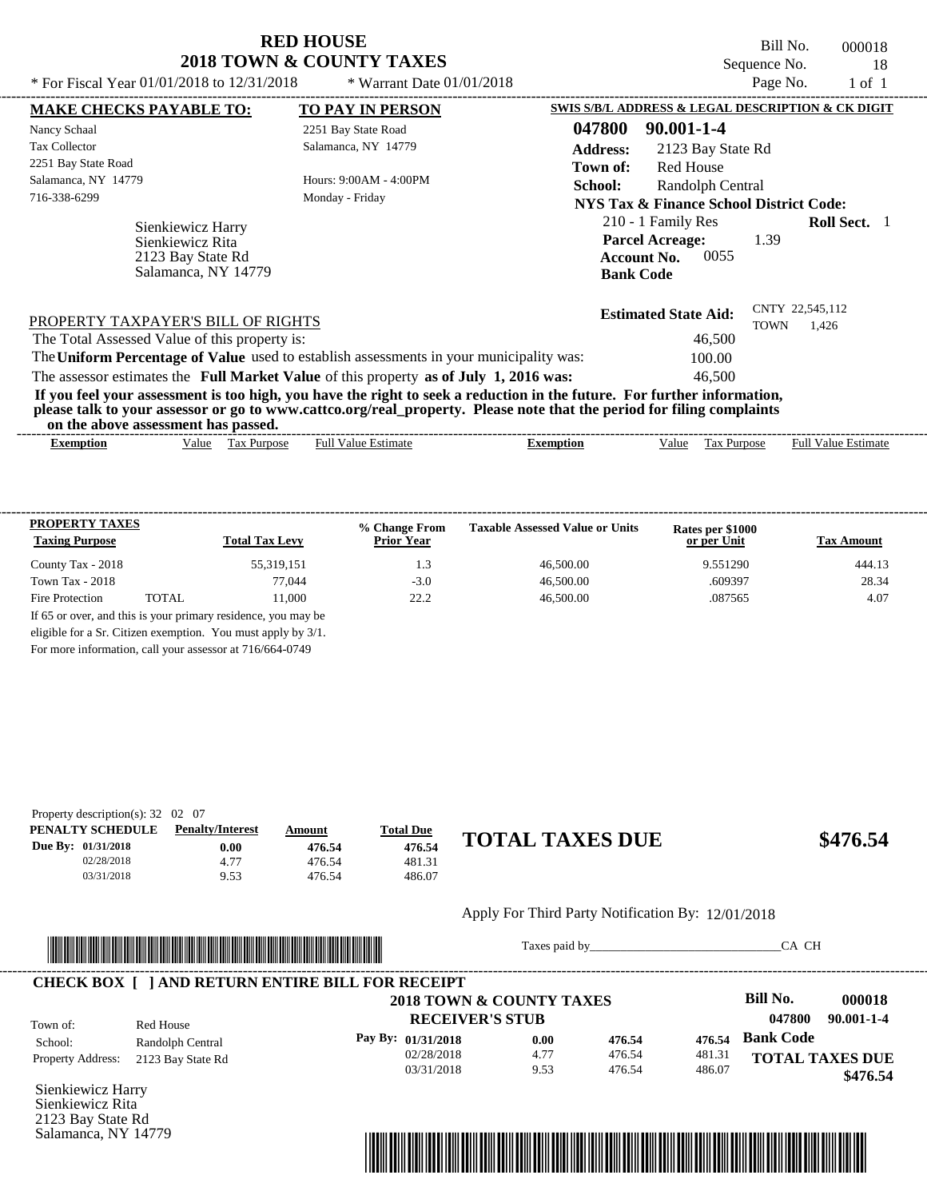Bill No. 000018 Sequence No. 18<br>Page No. 1 of 1

| * For Fiscal Year $01/01/2018$ to $12/31/2018$                                          | * Warrant Date $01/01/2018$ |                                                                                                                                                                                                                                                  | Page No.    | $1$ of $1$                 |  |
|-----------------------------------------------------------------------------------------|-----------------------------|--------------------------------------------------------------------------------------------------------------------------------------------------------------------------------------------------------------------------------------------------|-------------|----------------------------|--|
| <b>MAKE CHECKS PAYABLE TO:</b>                                                          | <b>TO PAY IN PERSON</b>     | SWIS S/B/L ADDRESS & LEGAL DESCRIPTION & CK DIGIT                                                                                                                                                                                                |             |                            |  |
| Nancy Schaal                                                                            | 2251 Bay State Road         | 047800<br>$90.001 - 1 - 4$                                                                                                                                                                                                                       |             |                            |  |
| <b>Tax Collector</b>                                                                    | Salamanca, NY 14779         | <b>Address:</b><br>2123 Bay State Rd                                                                                                                                                                                                             |             |                            |  |
| 2251 Bay State Road                                                                     |                             | <b>Red House</b><br>Town of:                                                                                                                                                                                                                     |             |                            |  |
| Salamanca, NY 14779                                                                     | Hours: 9:00AM - 4:00PM      | School:<br>Randolph Central                                                                                                                                                                                                                      |             |                            |  |
| 716-338-6299                                                                            | Monday - Friday             | NYS Tax & Finance School District Code:                                                                                                                                                                                                          |             |                            |  |
| Sienkiewicz Harry<br>Sienkiewicz Rita<br>2123 Bay State Rd<br>Salamanca, NY 14779       |                             | 210 - 1 Family Res<br><b>Parcel Acreage:</b><br>0055<br><b>Account No.</b><br><b>Bank Code</b>                                                                                                                                                   | 1.39        | <b>Roll Sect.</b> 1        |  |
| PROPERTY TAXPAYER'S BILL OF RIGHTS<br>The Total Assessed Value of this property is:     |                             | <b>Estimated State Aid:</b><br>46,500                                                                                                                                                                                                            | <b>TOWN</b> | CNTY 22,545,112<br>1,426   |  |
| The Uniform Percentage of Value used to establish assessments in your municipality was: |                             | 100.00                                                                                                                                                                                                                                           |             |                            |  |
| The assessor estimates the Full Market Value of this property as of July 1, 2016 was:   |                             | 46.500                                                                                                                                                                                                                                           |             |                            |  |
| on the above assessment has passed.                                                     |                             | If you feel your assessment is too high, you have the right to seek a reduction in the future. For further information,<br>please talk to your assessor or go to www.cattco.org/real_property. Please note that the period for filing complaints |             |                            |  |
| Value Tax Purpose<br><b>Exemption</b>                                                   | <b>Full Value Estimate</b>  | <b>Exemption</b><br>Value                                                                                                                                                                                                                        | Tax Purpose | <b>Full Value Estimate</b> |  |

| <b>PROPERTY TAXES</b><br><b>Taxing Purpose</b> |       | <b>Total Tax Levy</b> | % Change From<br><b>Prior Year</b> | <b>Taxable Assessed Value or Units</b> | Rates per \$1000<br>or per Unit | <b>Tax Amount</b> |
|------------------------------------------------|-------|-----------------------|------------------------------------|----------------------------------------|---------------------------------|-------------------|
| County Tax - 2018                              |       | 55,319,151            | 1.3                                | 46,500.00                              | 9.551290                        | 444.13            |
| Town Tax - $2018$                              |       | 77.044                | $-3.0$                             | 46,500.00                              | .609397                         | 28.34             |
| Fire Protection                                | TOTAL | 11.000                | 22.2                               | 46,500.00                              | .087565                         | 4.07              |

For more information, call your assessor at 716/664-0749

| Property description(s): $32 \quad 02 \quad 07$ |                         |        |                  |                        |          |
|-------------------------------------------------|-------------------------|--------|------------------|------------------------|----------|
| PENALTY SCHEDULE                                | <b>Penalty/Interest</b> | Amount | <b>Total Due</b> |                        |          |
| Due By: 01/31/2018                              | 0.00                    | 476.54 | 476.54           | <b>TOTAL TAXES DUE</b> | \$476.54 |
| 02/28/2018                                      | 4.77                    | 476.54 | 481.31           |                        |          |
| 03/31/2018                                      | 9.53                    | 476.54 | 486.07           |                        |          |

#### Apply For Third Party Notification By: 12/01/2018



Taxes paid by\_\_\_\_\_\_\_\_\_\_\_\_\_\_\_\_\_\_\_\_\_\_\_\_\_\_\_\_\_\_\_CA CH

|                          |                   | 2018 TOWN & COUNTY TAXES |      |        |        | Bill No.               | 000018           |
|--------------------------|-------------------|--------------------------|------|--------|--------|------------------------|------------------|
| Town of:                 | Red House         | <b>RECEIVER'S STUB</b>   |      |        |        | 047800                 | $90.001 - 1 - 4$ |
| School:                  | Randolph Central  | Pay By: 01/31/2018       | 0.00 | 476.54 | 476.54 | <b>Bank Code</b>       |                  |
| <b>Property Address:</b> | 2123 Bay State Rd | 02/28/2018               | 4.77 | 476.54 | 481.31 | <b>TOTAL TAXES DUE</b> |                  |
|                          |                   | 03/31/2018               | 9.53 | 476.54 | 486.07 |                        | \$476.54         |

Sienkiewicz Harry Sienkiewicz Rita 2123 Bay State Rd Salamanca, NY 14779

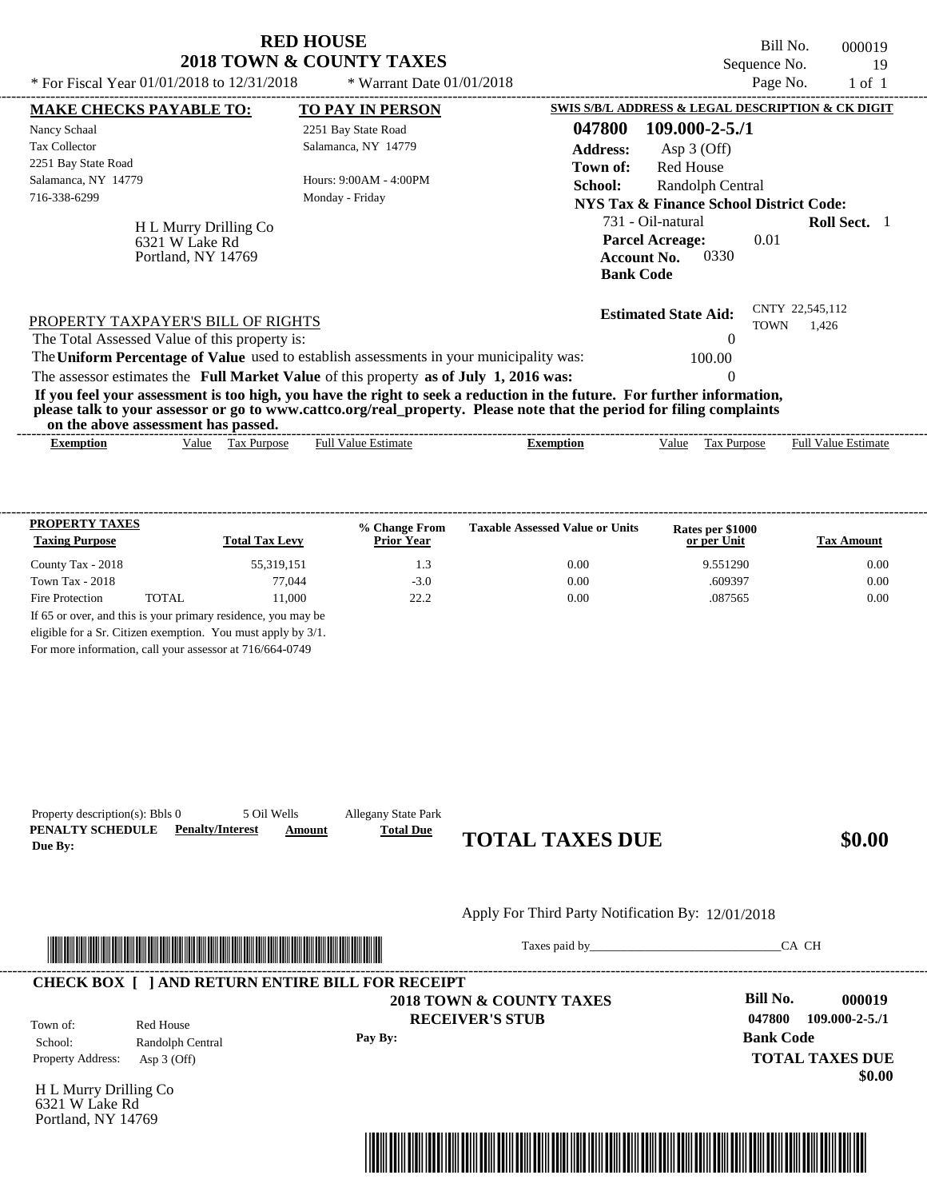|                                                                                                                                                                                                                                                                                         | <b>RED HOUSE</b><br><b>2018 TOWN &amp; COUNTY TAXES</b> |                                                                                                                   | Bill No.<br>Sequence No.       | 000019<br>19               |
|-----------------------------------------------------------------------------------------------------------------------------------------------------------------------------------------------------------------------------------------------------------------------------------------|---------------------------------------------------------|-------------------------------------------------------------------------------------------------------------------|--------------------------------|----------------------------|
| * For Fiscal Year 01/01/2018 to 12/31/2018                                                                                                                                                                                                                                              | * Warrant Date $01/01/2018$                             |                                                                                                                   | Page No.                       | $1$ of $1$                 |
| <b>MAKE CHECKS PAYABLE TO:</b>                                                                                                                                                                                                                                                          | <b>TO PAY IN PERSON</b>                                 | SWIS S/B/L ADDRESS & LEGAL DESCRIPTION & CK DIGIT                                                                 |                                |                            |
| Nancy Schaal                                                                                                                                                                                                                                                                            | 2251 Bay State Road                                     | 047800<br>$109.000 - 2 - 5.71$                                                                                    |                                |                            |
| <b>Tax Collector</b>                                                                                                                                                                                                                                                                    | Salamanca, NY 14779                                     | <b>Address:</b><br>Asp $3$ (Off)                                                                                  |                                |                            |
| 2251 Bay State Road<br>Salamanca, NY 14779<br>716-338-6299                                                                                                                                                                                                                              | Hours: 9:00AM - 4:00PM<br>Monday - Friday               | <b>Red House</b><br>Town of:<br>School:<br>Randolph Central<br><b>NYS Tax &amp; Finance School District Code:</b> |                                |                            |
| H L Murry Drilling Co<br>6321 W Lake Rd<br>Portland, NY 14769                                                                                                                                                                                                                           |                                                         | 731 - Oil-natural<br><b>Parcel Acreage:</b><br><b>Account No.</b><br>0330<br><b>Bank Code</b>                     | 0.01                           | <b>Roll Sect.</b> 1        |
| PROPERTY TAXPAYER'S BILL OF RIGHTS<br>The Total Assessed Value of this property is:                                                                                                                                                                                                     |                                                         | <b>Estimated State Aid:</b>                                                                                       | CNTY 22,545,112<br><b>TOWN</b> | 1.426                      |
| The Uniform Percentage of Value used to establish assessments in your municipality was:                                                                                                                                                                                                 |                                                         | 100.00                                                                                                            |                                |                            |
| The assessor estimates the Full Market Value of this property as of July 1, 2016 was:                                                                                                                                                                                                   |                                                         | $\Omega$                                                                                                          |                                |                            |
| If you feel your assessment is too high, you have the right to seek a reduction in the future. For further information,<br>please talk to your assessor or go to www.cattco.org/real_property. Please note that the period for filing complaints<br>on the above assessment has passed. |                                                         |                                                                                                                   |                                |                            |
| Value Tax Purpose<br><b>Exemption</b>                                                                                                                                                                                                                                                   | <b>Full Value Estimate</b>                              | Value<br>Tax Purpose<br><b>Exemption</b>                                                                          |                                | <b>Full Value Estimate</b> |

| <b>PROPERTY TAXES</b><br><b>Taxing Purpose</b> |       | <b>Total Tax Levy</b>                                         | % Change From<br><b>Prior Year</b> | <b>Taxable Assessed Value or Units</b> | Rates per \$1000<br>or per Unit | Tax Amount |
|------------------------------------------------|-------|---------------------------------------------------------------|------------------------------------|----------------------------------------|---------------------------------|------------|
| County Tax - 2018                              |       | 55,319,151                                                    | 1.3                                | 0.00                                   | 9.551290                        | 0.00       |
| Town Tax - $2018$                              |       | 77.044                                                        | $-3.0$                             | 0.00                                   | .609397                         | 0.00       |
| Fire Protection                                | TOTAL | 11.000                                                        | 222                                | 0.00                                   | .087565                         | 0.00       |
|                                                |       | If 65 or over, and this is your primary residence, you may be |                                    |                                        |                                 |            |
|                                                |       | eligible for a Sr. Citizen exemption. You must apply by 3/1.  |                                    |                                        |                                 |            |

For more information, call your assessor at 716/664-0749

| Property description(s): Bbls 0<br>PENALTY SCHEDULE<br>Due By: | 5 Oil Wells<br><b>Penalty/Interest</b>                                                                               | <b>Allegany State Park</b><br><b>Total Due</b><br>Amount | <b>TOTAL TAXES DUE</b>                                                                                                                                                                                                         |                    | \$0.00                           |
|----------------------------------------------------------------|----------------------------------------------------------------------------------------------------------------------|----------------------------------------------------------|--------------------------------------------------------------------------------------------------------------------------------------------------------------------------------------------------------------------------------|--------------------|----------------------------------|
|                                                                |                                                                                                                      |                                                          | Apply For Third Party Notification By: 12/01/2018                                                                                                                                                                              |                    |                                  |
|                                                                | <u> Literatura de la contrada de la contrada de la contrada de la contrada de la contrada de la contrada de la c</u> |                                                          | Taxes paid by Taxes and the Taxes and the Taxes and the Taxes and the Taxes and the Taxes and the Taxes and the Taxes and the Taxes and the Taxes and the Taxes and the Taxes and the Taxes and the Taxes and the Taxes and th |                    | CA CH                            |
|                                                                |                                                                                                                      | <b>CHECK BOX [ ] AND RETURN ENTIRE BILL FOR RECEIPT</b>  |                                                                                                                                                                                                                                |                    |                                  |
| Town of:                                                       | Red House                                                                                                            |                                                          | 2018 TOWN & COUNTY TAXES<br><b>RECEIVER'S STUB</b>                                                                                                                                                                             | Bill No.<br>047800 | 000019<br>$109.000 - 2 - 5.71$   |
| School:<br>Property Address:                                   | Randolph Central<br>Asp $3$ (Off)                                                                                    | Pay By:                                                  |                                                                                                                                                                                                                                | <b>Bank Code</b>   | <b>TOTAL TAXES DUE</b><br>\$0.00 |

H L Murry Drilling Co 6321 W Lake Rd Portland, NY 14769

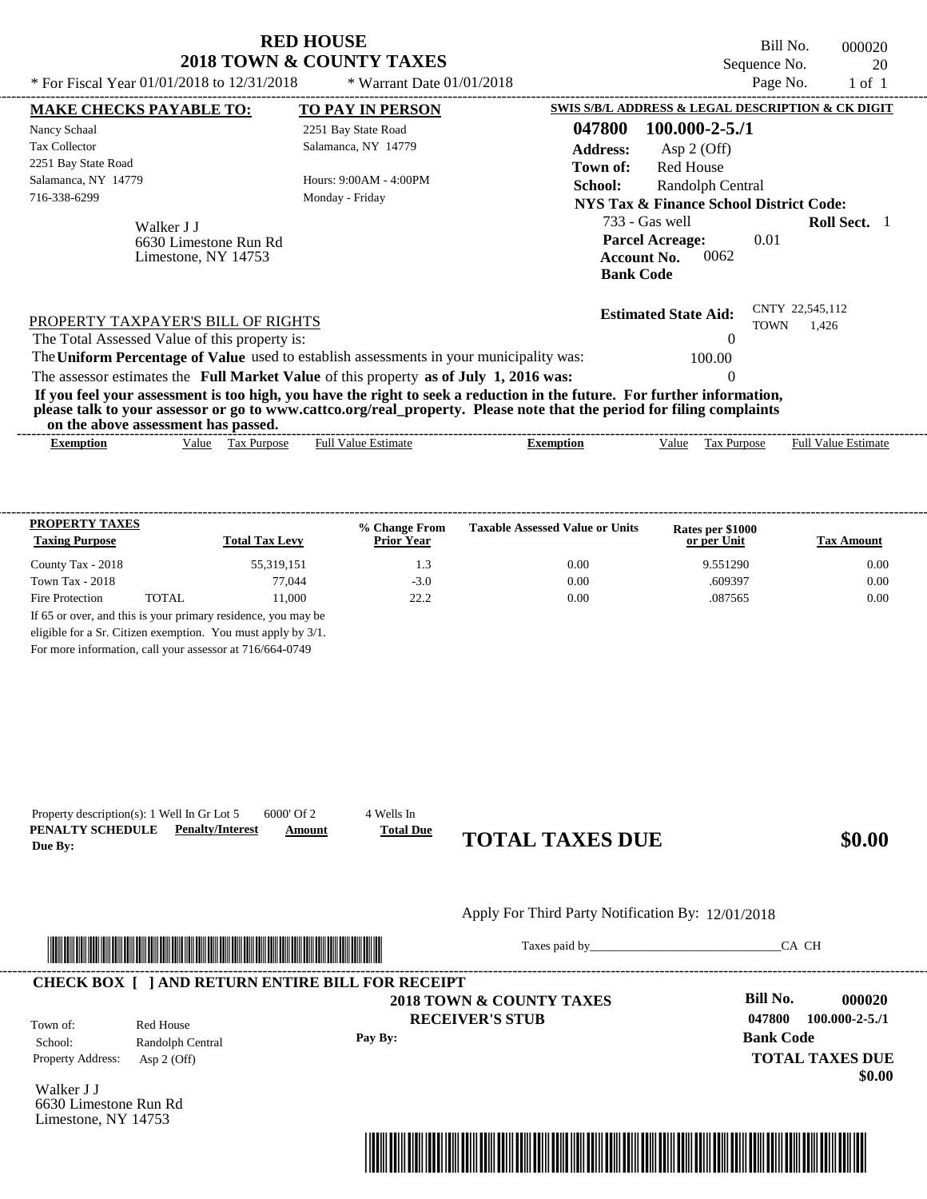| * For Fiscal Year 01/01/2018 to 12/31/2018                                              | <b>RED HOUSE</b><br>2018 TOWN & COUNTY TAXES<br>* Warrant Date $01/01/2018$ | Bill No.<br>Sequence No.<br>Page No.                                                                                                                                                                                                             | 000020<br>20<br>$1$ of $1$ |
|-----------------------------------------------------------------------------------------|-----------------------------------------------------------------------------|--------------------------------------------------------------------------------------------------------------------------------------------------------------------------------------------------------------------------------------------------|----------------------------|
| <b>MAKE CHECKS PAYABLE TO:</b>                                                          | <b>TO PAY IN PERSON</b>                                                     | SWIS S/B/L ADDRESS & LEGAL DESCRIPTION & CK DIGIT                                                                                                                                                                                                |                            |
| Nancy Schaal                                                                            | 2251 Bay State Road                                                         | $100.000 - 2 - 5.71$<br>047800                                                                                                                                                                                                                   |                            |
| <b>Tax Collector</b>                                                                    | Salamanca, NY 14779                                                         | <b>Address:</b><br>Asp $2$ (Off)                                                                                                                                                                                                                 |                            |
| 2251 Bay State Road                                                                     |                                                                             | <b>Red House</b><br>Town of:                                                                                                                                                                                                                     |                            |
| Salamanca, NY 14779                                                                     | Hours: 9:00AM - 4:00PM                                                      | School:<br>Randolph Central                                                                                                                                                                                                                      |                            |
| 716-338-6299                                                                            | Monday - Friday                                                             | <b>NYS Tax &amp; Finance School District Code:</b>                                                                                                                                                                                               |                            |
| Walker J J<br>6630 Limestone Run Rd<br>Limestone, NY 14753                              |                                                                             | 733 - Gas well<br><b>Parcel Acreage:</b><br>0.01<br>0062<br><b>Account No.</b><br><b>Bank Code</b>                                                                                                                                               | <b>Roll Sect.</b> 1        |
| PROPERTY TAXPAYER'S BILL OF RIGHTS<br>The Total Assessed Value of this property is:     |                                                                             | <b>Estimated State Aid:</b><br><b>TOWN</b><br>$\Omega$                                                                                                                                                                                           | CNTY 22,545,112<br>1,426   |
| The Uniform Percentage of Value used to establish assessments in your municipality was: |                                                                             | 100.00                                                                                                                                                                                                                                           |                            |
| The assessor estimates the Full Market Value of this property as of July 1, 2016 was:   |                                                                             | $\theta$                                                                                                                                                                                                                                         |                            |
| on the above assessment has passed.                                                     |                                                                             | If you feel your assessment is too high, you have the right to seek a reduction in the future. For further information,<br>please talk to your assessor or go to www.cattco.org/real_property. Please note that the period for filing complaints |                            |

| vu uv<br>$\cdots$ |       | . азэсээнісні наз базэса. |                  |         |      |                |                             |
|-------------------|-------|---------------------------|------------------|---------|------|----------------|-----------------------------|
| Exemption         | √alue | 'ax<br><b>Purpose</b>     | -Estimate<br>Ful | emption | alue | <b>Purpose</b> | Full $V$<br>Estimate<br>alu |
|                   |       |                           |                  |         |      |                |                             |

| <b>Taxing Purpose</b> |       | <b>Total Tax Levy</b> | % Change From<br><b>Prior Year</b> | <b>Taxable Assessed Value or Units</b> | Rates per \$1000<br>or per Unit | <b>Tax Amount</b> |
|-----------------------|-------|-----------------------|------------------------------------|----------------------------------------|---------------------------------|-------------------|
| County Tax - 2018     |       | 55,319,151            | 1.3                                | 0.00                                   | 9.551290                        | 0.00              |
| Town Tax - $2018$     |       | 77.044                | $-3.0$                             | 0.00                                   | .609397                         | 0.00              |
| Fire Protection       | TOTAL | 11.000                | 22.2                               | 0.00                                   | .087565                         | 0.00              |

For more information, call your assessor at 716/664-0749

| Due By:                                                    | 6000' Of 2<br>Property description(s): 1 Well In Gr Lot 5<br><b>PENALTY SCHEDULE</b> Penalty/Interest | 4 Wells In<br><b>Total Due</b><br>Amount | <b>TOTAL TAXES DUE</b>                             | \$0.00                                                                          |
|------------------------------------------------------------|-------------------------------------------------------------------------------------------------------|------------------------------------------|----------------------------------------------------|---------------------------------------------------------------------------------|
|                                                            |                                                                                                       |                                          | Apply For Third Party Notification By: 12/01/2018  |                                                                                 |
|                                                            | <u> 1989 - Johann Stoff, Amerikaansk politiker (</u>                                                  |                                          |                                                    | CA CH                                                                           |
|                                                            | <b>CHECK BOX [ ] AND RETURN ENTIRE BILL FOR RECEIPT</b>                                               |                                          |                                                    |                                                                                 |
| Town of:<br>School:                                        | Red House<br>Randolph Central                                                                         | Pay By:                                  | 2018 TOWN & COUNTY TAXES<br><b>RECEIVER'S STUB</b> | <b>Bill No.</b><br>000020<br>047800<br>$100.000 - 2 - 5.71$<br><b>Bank Code</b> |
| Property Address:                                          | Asp $2$ (Off)                                                                                         |                                          |                                                    | <b>TOTAL TAXES DUE</b><br>\$0.00                                                |
| Walker J J<br>6630 Limestone Run Rd<br>Limestone, NY 14753 |                                                                                                       |                                          |                                                    |                                                                                 |
|                                                            |                                                                                                       |                                          |                                                    |                                                                                 |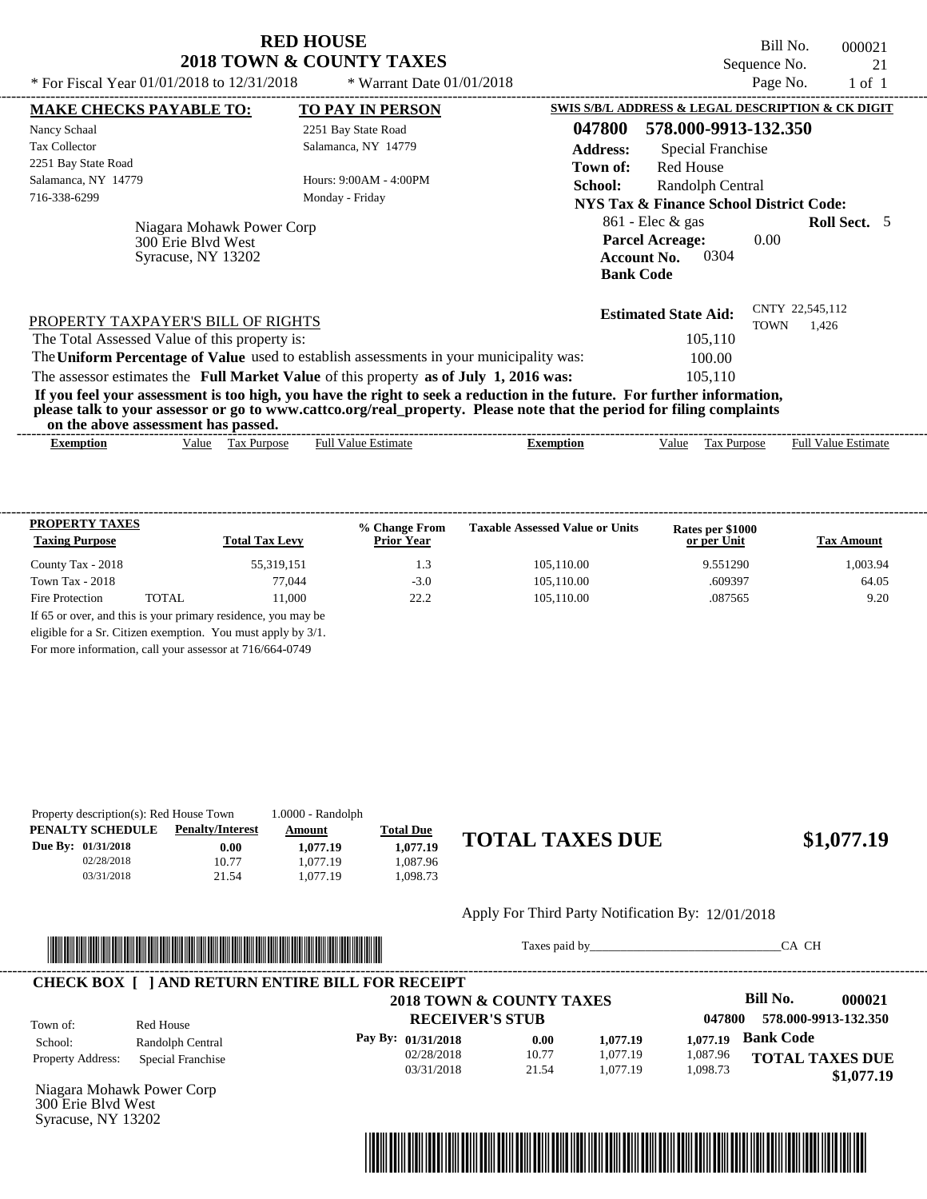| <b>RED HOUSE</b>                    |
|-------------------------------------|
| <b>2018 TOWN &amp; COUNTY TAXES</b> |

Bill No. 000021 Sequence No. 21<br>Page No. 21 of 1

 $$1,077.19$ 

| * For Fiscal Year $01/01/2018$ to $12/31/2018$                                                                                                                                                                                                                                          | * Warrant Date $01/01/2018$ |                  |                                                                                                | Page No.    | $1$ of $1$                 |  |
|-----------------------------------------------------------------------------------------------------------------------------------------------------------------------------------------------------------------------------------------------------------------------------------------|-----------------------------|------------------|------------------------------------------------------------------------------------------------|-------------|----------------------------|--|
| <b>MAKE CHECKS PAYABLE TO:</b>                                                                                                                                                                                                                                                          | <b>TO PAY IN PERSON</b>     |                  | SWIS S/B/L ADDRESS & LEGAL DESCRIPTION & CK DIGIT                                              |             |                            |  |
| Nancy Schaal                                                                                                                                                                                                                                                                            | 2251 Bay State Road         | 047800           | 578.000-9913-132.350                                                                           |             |                            |  |
| <b>Tax Collector</b>                                                                                                                                                                                                                                                                    | Salamanca, NY 14779         | <b>Address:</b>  | Special Franchise                                                                              |             |                            |  |
| 2251 Bay State Road                                                                                                                                                                                                                                                                     |                             | Town of:         | Red House                                                                                      |             |                            |  |
| Salamanca, NY 14779                                                                                                                                                                                                                                                                     | Hours: $9:00AM - 4:00PM$    | School:          | Randolph Central                                                                               |             |                            |  |
| 716-338-6299                                                                                                                                                                                                                                                                            | Monday - Friday             |                  | <b>NYS Tax &amp; Finance School District Code:</b>                                             |             |                            |  |
| Niagara Mohawk Power Corp<br>300 Erie Blyd West<br>Syracuse, NY 13202                                                                                                                                                                                                                   |                             |                  | $861$ - Elec & gas<br><b>Parcel Acreage:</b><br>0304<br><b>Account No.</b><br><b>Bank Code</b> | 0.00        | <b>Roll Sect.</b> 5        |  |
| PROPERTY TAXPAYER'S BILL OF RIGHTS                                                                                                                                                                                                                                                      |                             |                  | <b>Estimated State Aid:</b>                                                                    | <b>TOWN</b> | CNTY 22,545,112<br>1,426   |  |
| The Total Assessed Value of this property is:                                                                                                                                                                                                                                           |                             |                  | 105,110                                                                                        |             |                            |  |
| The Uniform Percentage of Value used to establish assessments in your municipality was:                                                                                                                                                                                                 |                             |                  | 100.00                                                                                         |             |                            |  |
| The assessor estimates the Full Market Value of this property as of July 1, 2016 was:                                                                                                                                                                                                   |                             |                  | 105,110                                                                                        |             |                            |  |
| If you feel your assessment is too high, you have the right to seek a reduction in the future. For further information,<br>please talk to your assessor or go to www.cattco.org/real_property. Please note that the period for filing complaints<br>on the above assessment has passed. |                             |                  |                                                                                                |             |                            |  |
| Tax Purpose<br><b>Exemption</b><br>Value                                                                                                                                                                                                                                                | <b>Full Value Estimate</b>  | <b>Exemption</b> | Value                                                                                          | Tax Purpose | <b>Full Value Estimate</b> |  |
|                                                                                                                                                                                                                                                                                         |                             |                  |                                                                                                |             |                            |  |

| <b>PROPERTY TAXES</b><br><b>Taxing Purpose</b> |       | <b>Total Tax Levy</b>                                         | % Change From<br><b>Prior Year</b> | <b>Taxable Assessed Value or Units</b> | Rates per \$1000<br>or per Unit | <b>Tax Amount</b> |
|------------------------------------------------|-------|---------------------------------------------------------------|------------------------------------|----------------------------------------|---------------------------------|-------------------|
| County Tax - 2018                              |       | 55,319,151                                                    | 1.3                                | 105.110.00                             | 9.551290                        | 1.003.94          |
| Town Tax - 2018                                |       | 77.044                                                        | $-3.0$                             | 105.110.00                             | .609397                         | 64.05             |
| Fire Protection                                | TOTAL | 11.000                                                        | 22.2                               | 105.110.00                             | .087565                         | 9.20              |
|                                                |       | If 65 or over, and this is your primary residence, you may be |                                    |                                        |                                 |                   |
|                                                |       | eligible for a Sr. Citizen exemption. You must apply by 3/1.  |                                    |                                        |                                 |                   |

For more information, call your assessor at 716/664-0749

|                           | Property description(s): Red House Town |          |                  |                        |
|---------------------------|-----------------------------------------|----------|------------------|------------------------|
| PENALTY SCHEDULE          | <b>Penalty/Interest</b>                 | Amount   | <b>Total Due</b> |                        |
| <b>Due By: 01/31/2018</b> | 0.00                                    | 1.077.19 | 1.077.19         | <b>TOTAL TAXES DUE</b> |
| 02/28/2018                | 10.77                                   | 1.077.19 | .087.96          |                        |
| 03/31/2018                | 21.54                                   | 1.077.19 | .098.73          |                        |

#### Apply For Third Party Notification By: 12/01/2018



Taxes paid by\_\_\_\_\_\_\_\_\_\_\_\_\_\_\_\_\_\_\_\_\_\_\_\_\_\_\_\_\_\_\_CA CH

|                       |                   | 2018 TOWN & COUNTY TAXES |       |          |          | Bill No.<br>000021     |
|-----------------------|-------------------|--------------------------|-------|----------|----------|------------------------|
| Town of:<br>Red House |                   | <b>RECEIVER'S STUB</b>   |       |          | 047800   | 578.000-9913-132.350   |
| School:               | Randolph Central  | Pay By: 01/31/2018       | 0.00  | 1,077.19 | 1.077.19 | <b>Bank Code</b>       |
| Property Address:     | Special Franchise | 02/28/2018               | 10.77 | 1.077.19 | 1,087.96 | <b>TOTAL TAXES DUE</b> |
|                       |                   | 03/31/2018               | 21.54 | 1.077.19 | 1,098.73 | \$1,077.19             |

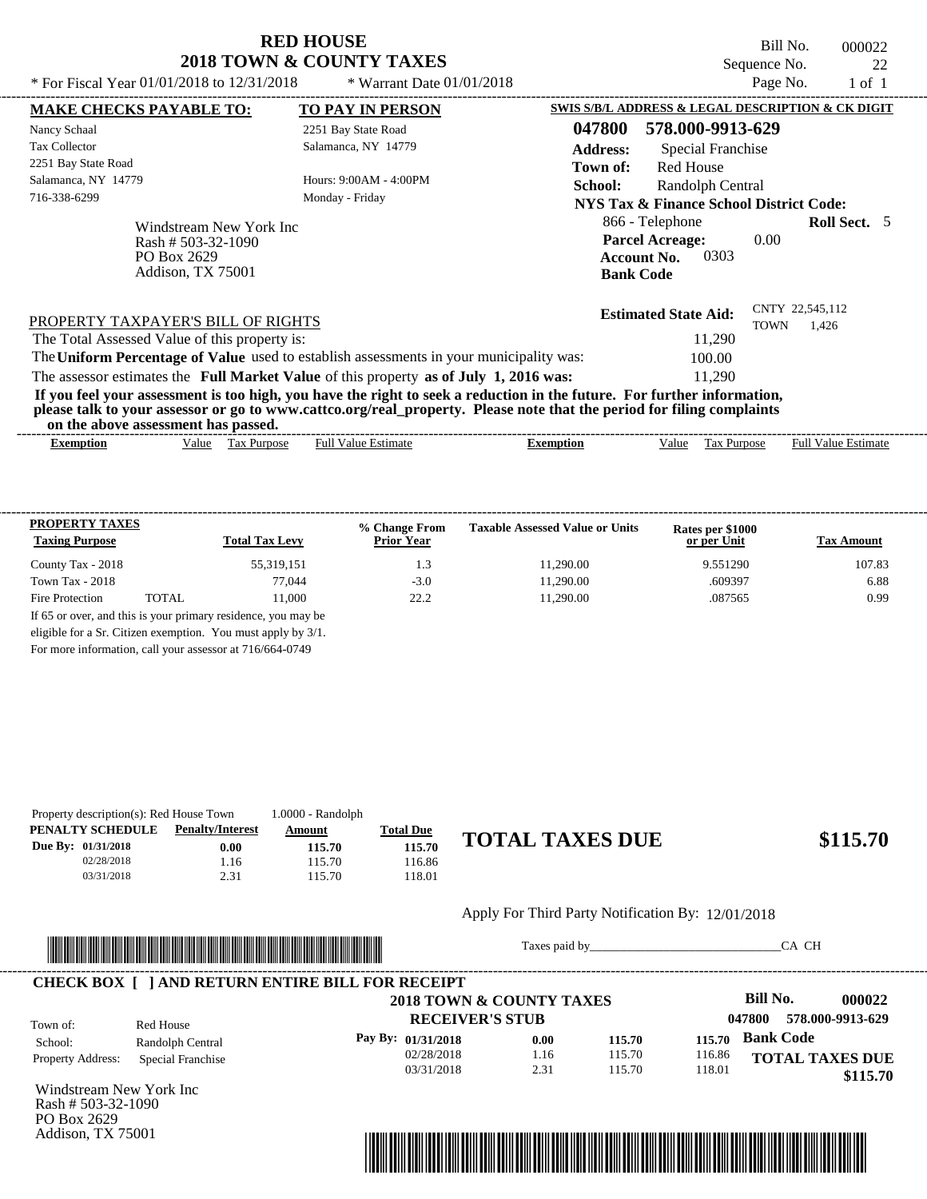Bill No. 000022 Sequence No. 22<br>
Page No. 22

| * For Fiscal Year $01/01/2018$ to $12/31/2018$                                      | * Warrant Date $01/01/2018$                                                             | Page No.<br>$1$ of $1$                                                                                                                                                                                                                           |
|-------------------------------------------------------------------------------------|-----------------------------------------------------------------------------------------|--------------------------------------------------------------------------------------------------------------------------------------------------------------------------------------------------------------------------------------------------|
| <b>MAKE CHECKS PAYABLE TO:</b>                                                      | <b>TO PAY IN PERSON</b>                                                                 | SWIS S/B/L ADDRESS & LEGAL DESCRIPTION & CK DIGIT                                                                                                                                                                                                |
| Nancy Schaal                                                                        | 2251 Bay State Road                                                                     | 047800<br>578.000-9913-629                                                                                                                                                                                                                       |
| <b>Tax Collector</b>                                                                | Salamanca, NY 14779                                                                     | <b>Address:</b><br>Special Franchise                                                                                                                                                                                                             |
| 2251 Bay State Road                                                                 |                                                                                         | Red House<br>Town of:                                                                                                                                                                                                                            |
| Salamanca, NY 14779                                                                 | Hours: $9:00AM - 4:00PM$                                                                | School:<br>Randolph Central                                                                                                                                                                                                                      |
| 716-338-6299                                                                        | Monday - Friday                                                                         | NYS Tax & Finance School District Code:                                                                                                                                                                                                          |
| Windstream New York Inc<br>Rash # $503-32-1090$<br>PO Box 2629<br>Addison, TX 75001 |                                                                                         | 866 - Telephone<br><b>Roll Sect.</b> 5<br><b>Parcel Acreage:</b><br>0.00<br>0303<br><b>Account No.</b><br><b>Bank Code</b>                                                                                                                       |
| PROPERTY TAXPAYER'S BILL OF RIGHTS                                                  |                                                                                         | CNTY 22,545,112<br><b>Estimated State Aid:</b><br><b>TOWN</b><br>1,426                                                                                                                                                                           |
| The Total Assessed Value of this property is:                                       |                                                                                         | 11,290                                                                                                                                                                                                                                           |
|                                                                                     | The Uniform Percentage of Value used to establish assessments in your municipality was: | 100.00                                                                                                                                                                                                                                           |
|                                                                                     | The assessor estimates the Full Market Value of this property as of July 1, 2016 was:   | 11,290                                                                                                                                                                                                                                           |
| on the above assessment has passed.                                                 |                                                                                         | If you feel your assessment is too high, you have the right to seek a reduction in the future. For further information,<br>please talk to your assessor or go to www.cattco.org/real_property. Please note that the period for filing complaints |
| <b>Exemption</b><br>Value                                                           | <b>Full Value Estimate</b><br>Tax Purpose                                               | <b>Full Value Estimate</b><br>Value<br><b>Exemption</b><br>Tax Purpose                                                                                                                                                                           |
|                                                                                     |                                                                                         |                                                                                                                                                                                                                                                  |

| <b>PROPERTY TAXES</b><br><b>Taxing Purpose</b> |        | <b>Total Tax Levy</b>                                         | % Change From<br><b>Prior Year</b> | <b>Taxable Assessed Value or Units</b> | Rates per \$1000<br>or per Unit | <b>Tax Amount</b> |
|------------------------------------------------|--------|---------------------------------------------------------------|------------------------------------|----------------------------------------|---------------------------------|-------------------|
| County Tax - 2018                              |        | 55,319,151                                                    | 1.3                                | 11.290.00                              | 9.551290                        | 107.83            |
| Town Tax - 2018                                |        | 77.044                                                        | $-3.0$                             | 11.290.00                              | .609397                         | 6.88              |
| Fire Protection                                | TOTAL. | 11.000                                                        | 22.2                               | 11.290.00                              | .087565                         | 0.99              |
|                                                |        | If 65 or over, and this is your primary residence, you may be |                                    |                                        |                                 |                   |
|                                                |        | eligible for a Sr. Citizen exemption. You must apply by 3/1.  |                                    |                                        |                                 |                   |

For more information, call your assessor at 716/664-0749

| Property description(s): Red House Town |                    |                         | $1.0000 - Random$ |                  |
|-----------------------------------------|--------------------|-------------------------|-------------------|------------------|
|                                         | PENALTY SCHEDULE   | <b>Penalty/Interest</b> | Amount            | <b>Total Due</b> |
|                                         | Due By: 01/31/2018 | 0.00                    | 115.70            | 115.70           |
|                                         | 02/28/2018         | 1.16                    | 115.70            | 116.86           |
|                                         | 03/31/2018         | 2.31                    | 115.70            | 118.01           |

# **115.70 TOTAL TAXES DUE \$115.70**

Apply For Third Party Notification By: 12/01/2018



Taxes paid by\_\_\_\_\_\_\_\_\_\_\_\_\_\_\_\_\_\_\_\_\_\_\_\_\_\_\_\_\_\_\_CA CH



Windstream New York Inc Rash # 503-32-1090 PO Box 2629 Addison, TX 75001

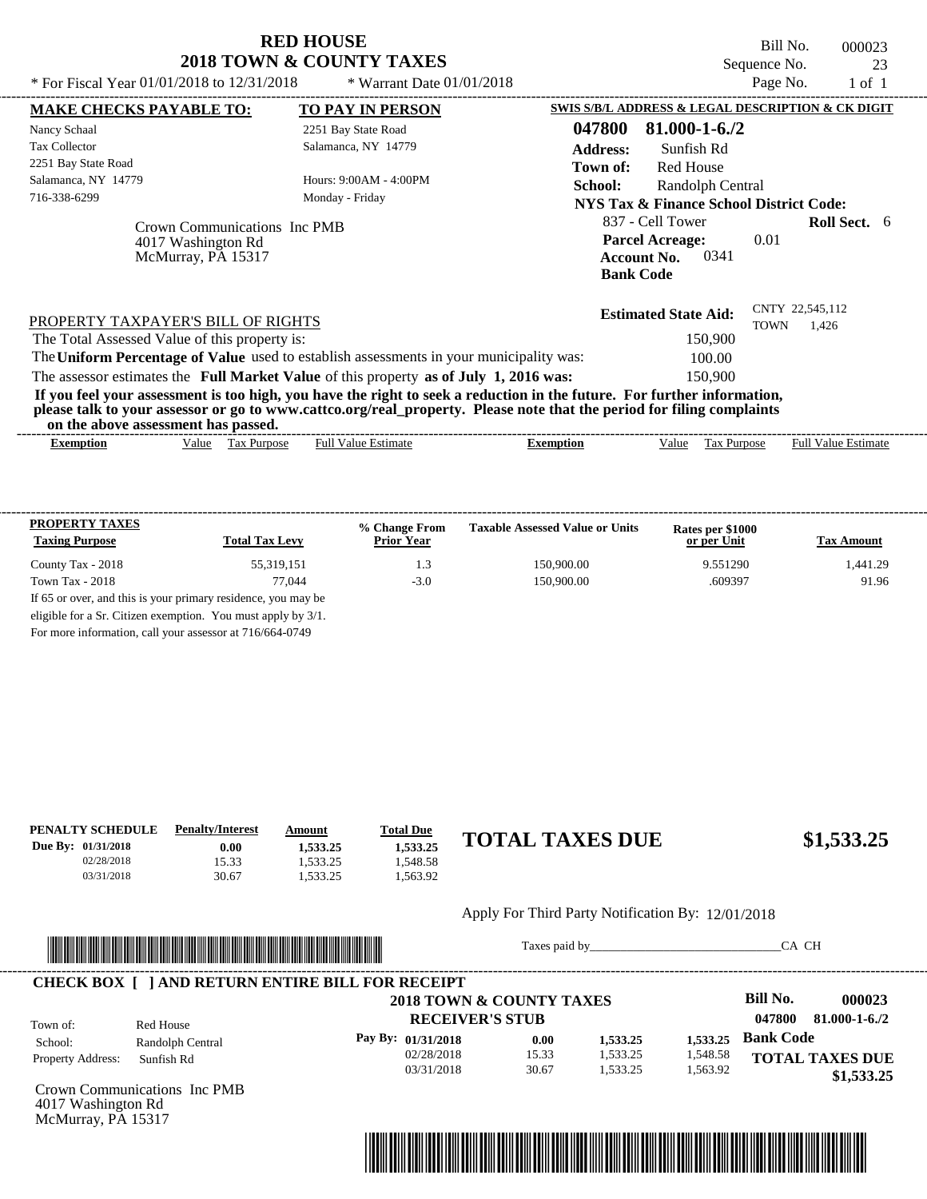| <b>RED HOUSE</b>                    |  |  |  |  |  |  |  |  |
|-------------------------------------|--|--|--|--|--|--|--|--|
| <b>2018 TOWN &amp; COUNTY TAXES</b> |  |  |  |  |  |  |  |  |

----------------------------------------------------------------------------------------------------------------------------------------------------------------------------------------------------

Bill No. 000023 Sequence No. 23

| * For Fiscal Year 01/01/2018 to 12/31/2018                                                                              | * Warrant Date $01/01/2018$                                                                                           |                 |                                                                          | Page No.    | $1$ of $1$               |  |
|-------------------------------------------------------------------------------------------------------------------------|-----------------------------------------------------------------------------------------------------------------------|-----------------|--------------------------------------------------------------------------|-------------|--------------------------|--|
| <b>MAKE CHECKS PAYABLE TO:</b>                                                                                          | <b>TO PAY IN PERSON</b>                                                                                               |                 | <b>SWIS S/B/L ADDRESS &amp; LEGAL DESCRIPTION &amp; CK DIGIT</b>         |             |                          |  |
| Nancy Schaal                                                                                                            | 2251 Bay State Road                                                                                                   | 047800          | $81.000 - 1 - 6.72$                                                      |             |                          |  |
| <b>Tax Collector</b>                                                                                                    | Salamanca, NY 14779                                                                                                   | <b>Address:</b> | Sunfish Rd                                                               |             |                          |  |
| 2251 Bay State Road                                                                                                     |                                                                                                                       | Town of:        | <b>Red House</b>                                                         |             |                          |  |
| Salamanca, NY 14779                                                                                                     | Hours: 9:00AM - 4:00PM                                                                                                | School:         | Randolph Central                                                         |             |                          |  |
| 716-338-6299                                                                                                            | Monday - Friday                                                                                                       |                 | <b>NYS Tax &amp; Finance School District Code:</b>                       |             |                          |  |
|                                                                                                                         |                                                                                                                       |                 | 837 - Cell Tower                                                         |             | <b>Roll Sect.</b> 6      |  |
| Crown Communications Inc PMB<br>4017 Washington Rd<br>McMurray, PA 15317                                                |                                                                                                                       |                 | <b>Parcel Acreage:</b><br>0341<br><b>Account No.</b><br><b>Bank Code</b> | 0.01        |                          |  |
| PROPERTY TAXPAYER'S BILL OF RIGHTS                                                                                      |                                                                                                                       |                 | <b>Estimated State Aid:</b>                                              | <b>TOWN</b> | CNTY 22,545,112<br>1.426 |  |
| The Total Assessed Value of this property is:                                                                           |                                                                                                                       |                 | 150,900                                                                  |             |                          |  |
| The Uniform Percentage of Value used to establish assessments in your municipality was:                                 |                                                                                                                       |                 | 100.00                                                                   |             |                          |  |
| The assessor estimates the Full Market Value of this property as of July 1, 2016 was:                                   |                                                                                                                       |                 | 150,900                                                                  |             |                          |  |
| If you feel your assessment is too high, you have the right to seek a reduction in the future. For further information, | please talk to your assessor or go to www.cattco.org/real_property. Please note that the period for filing complaints |                 |                                                                          |             |                          |  |
| on the above assessment has passed.                                                                                     |                                                                                                                       |                 |                                                                          |             |                          |  |

| <b>PROPERTY TAXES</b>                                         |                       | % Change From     | <b>Taxable Assessed Value or Units</b> | Rates per \$1000 |                   |
|---------------------------------------------------------------|-----------------------|-------------------|----------------------------------------|------------------|-------------------|
| <b>Taxing Purpose</b>                                         | <b>Total Tax Levy</b> | <b>Prior Year</b> |                                        | or per Unit      | <b>Tax Amount</b> |
| County Tax - 2018                                             | 55.319.151            | 1.3               | 150,900.00                             | 9.551290         | 1,441.29          |
| Town Tax $-2018$                                              | 77.044                | $-3.0$            | 150,900.00                             | .609397          | 91.96             |
| If 65 or over, and this is your primary residence, you may be |                       |                   |                                        |                  |                   |
| eligible for a Sr. Citizen exemption. You must apply by 3/1.  |                       |                   |                                        |                  |                   |
| For more information, call your assessor at 716/664-0749      |                       |                   |                                        |                  |                   |

| PENALTY SCHEDULE   | <b>Penalty/Interest</b> | Amount   | <b>Total Due</b> |                        |            |
|--------------------|-------------------------|----------|------------------|------------------------|------------|
| Due By: 01/31/2018 | 0.00                    | 1.533.25 | 1.533.25         | <b>TOTAL TAXES DUE</b> | \$1,533.25 |
| 02/28/2018         | 15.33                   | .533.25  | .548.58          |                        |            |
| 03/31/2018         | 30.67                   | .533.25  | .563.92          |                        |            |
|                    |                         |          |                  |                        |            |
|                    |                         |          |                  | -- -- - -<br>$ -$      |            |

#### Apply For Third Party Notification By: 12/01/2018



Taxes paid by\_\_\_\_\_\_\_\_\_\_\_\_\_\_\_\_\_\_\_\_\_\_\_\_\_\_\_\_\_\_\_CA CH

| Town of:                 | Red House        | 2018 TOWN & COUNTY TAXES<br><b>RECEIVER'S STUB</b> |       |          |          | <b>Bill No.</b><br>047800 | 000023<br>$81.000 - 1 - 6.72$ |
|--------------------------|------------------|----------------------------------------------------|-------|----------|----------|---------------------------|-------------------------------|
| School:                  | Randolph Central | Pay By: 01/31/2018                                 | 0.00  | 1,533.25 | 1.533.25 | <b>Bank Code</b>          |                               |
| <b>Property Address:</b> | Sunfish Rd       | 02/28/2018                                         | 15.33 | 1,533.25 | 1,548.58 |                           | <b>TOTAL TAXES DUE</b>        |
|                          |                  | 03/31/2018                                         | 30.67 | 1,533.25 | 1,563.92 | \$1,533.25                |                               |

Communications Inc PMB 4017 Washington Rd McMurray, PA 15317

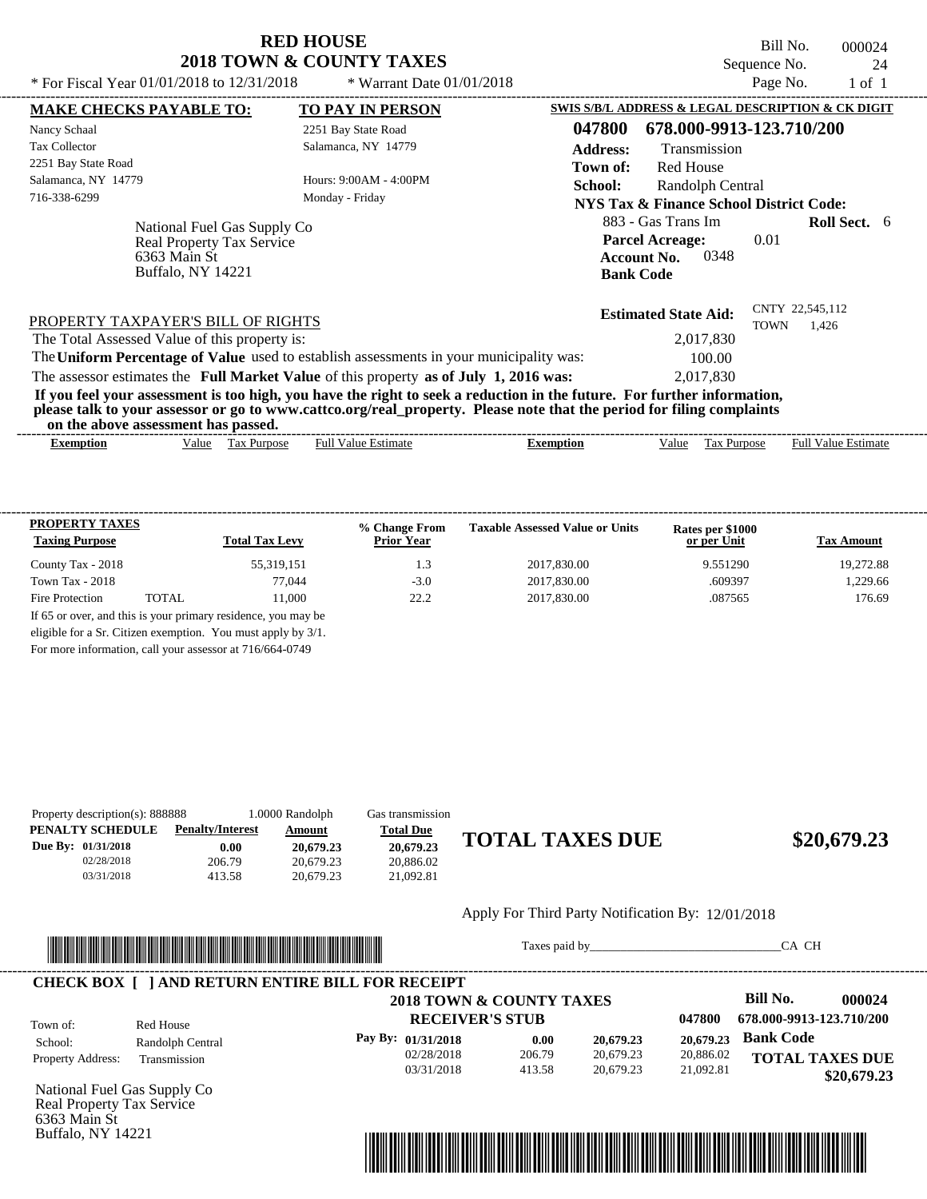Bill No. 000024 Sequence No. 24<br>Page No. 1 of 1 \* For Fiscal Year  $01/01/2018$  to  $12/31/2018$  \* Warrant Date  $01/01/2018$  Page No. 1 of 1

| * For Fiscal Year $01/01/2018$ to $12/31/2018$                                                                                                                                                                                                                                          | * Warrant Date $01/01/2018$ |                  |                                                                                                | Page No.    | $1$ of $1$                 |  |
|-----------------------------------------------------------------------------------------------------------------------------------------------------------------------------------------------------------------------------------------------------------------------------------------|-----------------------------|------------------|------------------------------------------------------------------------------------------------|-------------|----------------------------|--|
| <b>MAKE CHECKS PAYABLE TO:</b>                                                                                                                                                                                                                                                          | <b>TO PAY IN PERSON</b>     |                  | SWIS S/B/L ADDRESS & LEGAL DESCRIPTION & CK DIGIT                                              |             |                            |  |
| Nancy Schaal                                                                                                                                                                                                                                                                            | 2251 Bay State Road         | 047800           | 678.000-9913-123.710/200                                                                       |             |                            |  |
| <b>Tax Collector</b>                                                                                                                                                                                                                                                                    | Salamanca, NY 14779         | <b>Address:</b>  | Transmission                                                                                   |             |                            |  |
| 2251 Bay State Road                                                                                                                                                                                                                                                                     |                             | Town of:         | <b>Red House</b>                                                                               |             |                            |  |
| Salamanca, NY 14779                                                                                                                                                                                                                                                                     | Hours: 9:00AM - 4:00PM      | School:          | Randolph Central                                                                               |             |                            |  |
| 716-338-6299                                                                                                                                                                                                                                                                            | Monday - Friday             |                  | <b>NYS Tax &amp; Finance School District Code:</b>                                             |             |                            |  |
| National Fuel Gas Supply Co<br>Real Property Tax Service<br>6363 Main St<br>Buffalo, NY 14221                                                                                                                                                                                           |                             |                  | 883 - Gas Trans Im<br><b>Parcel Acreage:</b><br>0348<br><b>Account No.</b><br><b>Bank Code</b> | 0.01        | <b>Roll Sect.</b> 6        |  |
| PROPERTY TAXPAYER'S BILL OF RIGHTS                                                                                                                                                                                                                                                      |                             |                  | <b>Estimated State Aid:</b>                                                                    | <b>TOWN</b> | CNTY 22,545,112<br>1,426   |  |
| The Total Assessed Value of this property is:                                                                                                                                                                                                                                           |                             |                  | 2,017,830                                                                                      |             |                            |  |
| The Uniform Percentage of Value used to establish assessments in your municipality was:                                                                                                                                                                                                 |                             |                  | 100.00                                                                                         |             |                            |  |
| The assessor estimates the Full Market Value of this property as of July 1, 2016 was:                                                                                                                                                                                                   |                             |                  | 2,017,830                                                                                      |             |                            |  |
| If you feel your assessment is too high, you have the right to seek a reduction in the future. For further information,<br>please talk to your assessor or go to www.cattco.org/real_property. Please note that the period for filing complaints<br>on the above assessment has passed. |                             |                  |                                                                                                |             |                            |  |
| Tax Purpose<br><b>Exemption</b><br>Value                                                                                                                                                                                                                                                | <b>Full Value Estimate</b>  | <b>Exemption</b> | <b>Tax Purpose</b><br>Value                                                                    |             | <b>Full Value Estimate</b> |  |

| <b>PROPERTY TAXES</b><br><b>Taxing Purpose</b> |       | <b>Total Tax Levy</b> | % Change From<br><b>Prior Year</b> | <b>Taxable Assessed Value or Units</b> | Rates per \$1000<br>or per Unit | <b>Tax Amount</b> |
|------------------------------------------------|-------|-----------------------|------------------------------------|----------------------------------------|---------------------------------|-------------------|
| County Tax - 2018                              |       | 55,319,151            | 1.3                                | 2017.830.00                            | 9.551290                        | 19.272.88         |
| Town Tax - $2018$                              |       | 77.044                | $-3.0$                             | 2017.830.00                            | .609397                         | 1.229.66          |
| Fire Protection                                | TOTAL | 11.000                | 22.2                               | 2017.830.00                            | .087565                         | 176.69            |

For more information, call your assessor at 716/664-0749

| Property description(s): 888888 |                         | 1.0000 Randolph | Gas transmission |                        |             |
|---------------------------------|-------------------------|-----------------|------------------|------------------------|-------------|
| PENALTY SCHEDULE                | <b>Penalty/Interest</b> | Amount          | <b>Total Due</b> |                        |             |
| Due By: 01/31/2018              | 0.00                    | 20,679.23       | 20,679.23        | <b>TOTAL TAXES DUE</b> | \$20,679.23 |
| 02/28/2018                      | 206.79                  | 20.679.23       | 20.886.02        |                        |             |
| 03/31/2018                      | 413.58                  | 20.679.23       | 21.092.81        |                        |             |
|                                 |                         |                 |                  |                        |             |

|                                                        | Apply For Third Party Notification By: 12/01/2018 |  |
|--------------------------------------------------------|---------------------------------------------------|--|
| II AAIIA IIAII AAIIA AIIII IBAIA IBIII IIBAA IIII IBAI |                                                   |  |



Taxes paid by\_\_\_\_\_\_\_\_\_\_\_\_\_\_\_\_\_\_\_\_\_\_\_\_\_\_\_\_\_\_\_CA CH

 **\$20,679.23**

#### ---------------------------------------------------------------------------------------------------------------------------------------------------------------------------------------------------- **CHECK BOX [ ] AND RETURN ENTIRE BILL FOR RECEIPT**

**RECEIVER'S STUB 2018 TOWN & COUNTY TAXES Pay By: 01/31/2018 20,679.23**

02/28/2018 03/31/2018

206.79 413.58 **0.00**

**Bill No. 000024 Bank Code 20,679.23 TOTAL TAXES DUE 047800 678.000-9913-123.710/200** 20,886.02 21,092.81

National Fuel Gas Supply Co Real Property Tax Service 6363 Main St Buffalo, NY 14221

Property Address: Transmission

Town of:

School: Randolph Central

Red House



20,679.23 20,679.23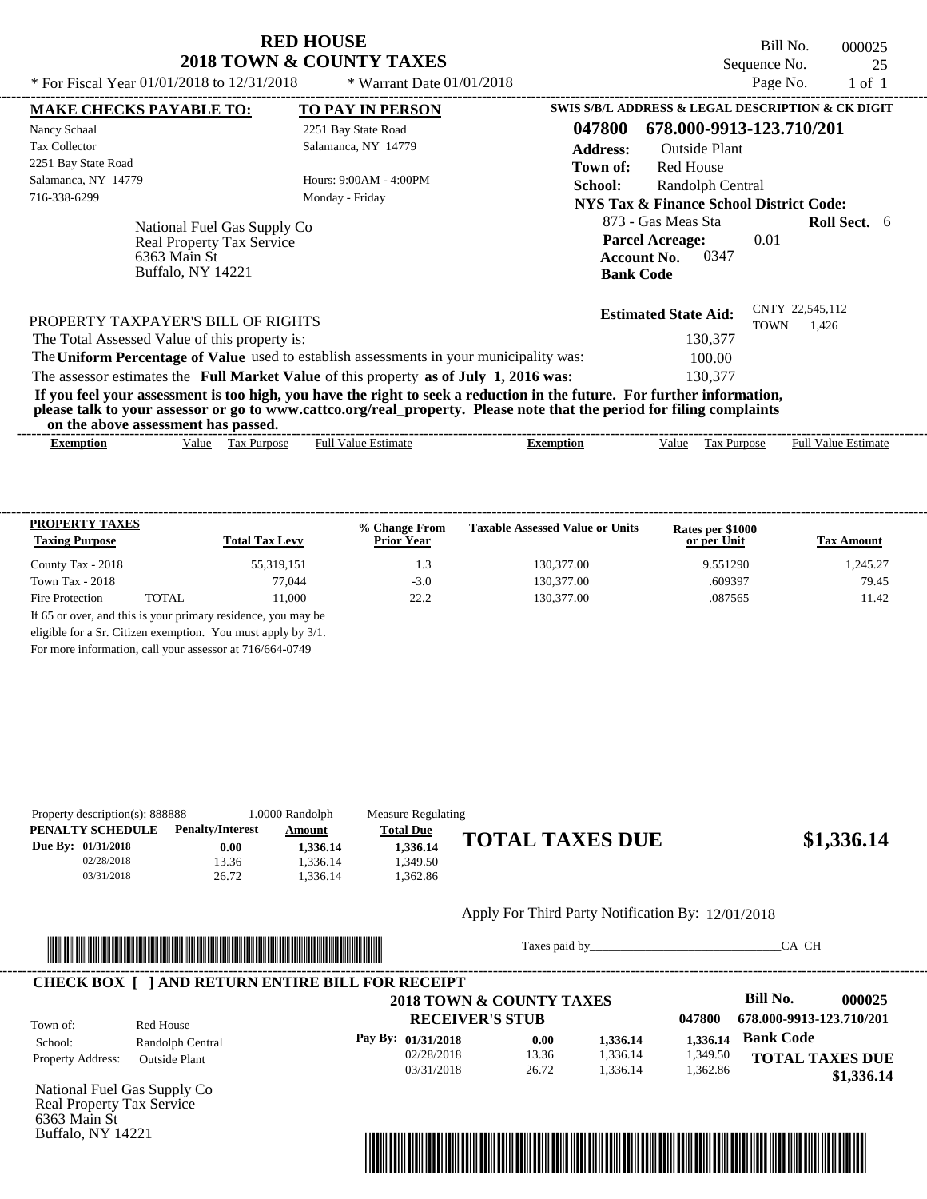Bill No. 000025 Sequence No. 25<br>Page No. 25<br>1 of 1

| * For Fiscal Year $01/01/2018$ to $12/31/2018$                                                | * Warrant Date $01/01/2018$                                                                                                                                                                                                                      |                 |                                                                                                | Page No.                | 1 of 1              |  |
|-----------------------------------------------------------------------------------------------|--------------------------------------------------------------------------------------------------------------------------------------------------------------------------------------------------------------------------------------------------|-----------------|------------------------------------------------------------------------------------------------|-------------------------|---------------------|--|
| <b>MAKE CHECKS PAYABLE TO:</b>                                                                | <b>TO PAY IN PERSON</b>                                                                                                                                                                                                                          |                 | SWIS S/B/L ADDRESS & LEGAL DESCRIPTION & CK DIGIT                                              |                         |                     |  |
| Nancy Schaal                                                                                  | 2251 Bay State Road                                                                                                                                                                                                                              | 047800          | 678.000-9913-123.710/201                                                                       |                         |                     |  |
| <b>Tax Collector</b>                                                                          | Salamanca, NY 14779                                                                                                                                                                                                                              | <b>Address:</b> | Outside Plant                                                                                  |                         |                     |  |
| 2251 Bay State Road                                                                           |                                                                                                                                                                                                                                                  | Town of:        | <b>Red House</b>                                                                               |                         |                     |  |
| Salamanca, NY 14779                                                                           | Hours: 9:00AM - 4:00PM                                                                                                                                                                                                                           | <b>School:</b>  | Randolph Central                                                                               |                         |                     |  |
| 716-338-6299                                                                                  | Monday - Friday                                                                                                                                                                                                                                  |                 | NYS Tax & Finance School District Code:                                                        |                         |                     |  |
| National Fuel Gas Supply Co<br>Real Property Tax Service<br>6363 Main St<br>Buffalo, NY 14221 |                                                                                                                                                                                                                                                  |                 | 873 - Gas Meas Sta<br><b>Parcel Acreage:</b><br>0347<br><b>Account No.</b><br><b>Bank Code</b> | 0.01                    | <b>Roll Sect.</b> 6 |  |
| PROPERTY TAXPAYER'S BILL OF RIGHTS<br>The Total Assessed Value of this property is:           |                                                                                                                                                                                                                                                  |                 | <b>Estimated State Aid:</b><br>130,377                                                         | CNTY 22,545,112<br>TOWN | 1,426               |  |
|                                                                                               | The Uniform Percentage of Value used to establish assessments in your municipality was:                                                                                                                                                          |                 | 100.00                                                                                         |                         |                     |  |
|                                                                                               | The assessor estimates the Full Market Value of this property as of July 1, 2016 was:                                                                                                                                                            |                 | 130,377                                                                                        |                         |                     |  |
| on the above assessment has passed.                                                           | If you feel your assessment is too high, you have the right to seek a reduction in the future. For further information,<br>please talk to your assessor or go to www.cattco.org/real_property. Please note that the period for filing complaints |                 |                                                                                                |                         |                     |  |

| $\overline{\phantom{a}}$<br>- Full <sup>V</sup><br>value<br>alue<br><b>Purpose</b><br>Estimate<br>Estimate<br>ax:<br>alue<br>Full<br>Purpose<br><b>Exemption</b><br>Exemption<br>מוי<br>1 U.A<br>__ | vu uv<br>. аротс азэсээнісні наз разэса. |  |  |  |  |
|-----------------------------------------------------------------------------------------------------------------------------------------------------------------------------------------------------|------------------------------------------|--|--|--|--|
|                                                                                                                                                                                                     |                                          |  |  |  |  |

| <b>PROPERTY TAXES</b><br><b>Taxing Purpose</b> |       | <b>Total Tax Levy</b>                                                                                                         | % Change From<br><b>Prior Year</b> | <b>Taxable Assessed Value or Units</b> | Rates per \$1000<br>or per Unit | <b>Tax Amount</b> |
|------------------------------------------------|-------|-------------------------------------------------------------------------------------------------------------------------------|------------------------------------|----------------------------------------|---------------------------------|-------------------|
| County Tax - 2018                              |       | 55,319,151                                                                                                                    | 1.3                                | 130,377.00                             | 9.551290                        | 1.245.27          |
| Town Tax - $2018$                              |       | 77.044                                                                                                                        | $-3.0$                             | 130,377.00                             | .609397                         | 79.45             |
| Fire Protection                                | TOTAL | 11.000                                                                                                                        | 22.2                               | 130,377.00                             | .087565                         | 11.42             |
|                                                |       | If 65 or over, and this is your primary residence, you may be<br>eligible for a Sr. Citizen exemption. You must apply by 3/1. |                                    |                                        |                                 |                   |

For more information, call your assessor at 716/664-0749

| Property description(s): 888888 |                         | 1.0000 Randolph | Measure Regulating |                        |            |
|---------------------------------|-------------------------|-----------------|--------------------|------------------------|------------|
| PENALTY SCHEDULE                | <b>Penalty/Interest</b> | <u>Amount</u>   | <b>Total Due</b>   |                        |            |
| Due By: 01/31/2018              | 0.00                    | 1.336.14        | 1.336.14           | <b>TOTAL TAXES DUE</b> | \$1,336.14 |
| 02/28/2018                      | 13.36                   | .336.14         | .349.50            |                        |            |
| 03/31/2018                      | 26.72                   | .336.14         | .362.86            |                        |            |
|                                 |                         |                 |                    |                        |            |

#### Apply For Third Party Notification By: 12/01/2018



Taxes paid by\_\_\_\_\_\_\_\_\_\_\_\_\_\_\_\_\_\_\_\_\_\_\_\_\_\_\_\_\_\_\_CA CH

|                          |                      | 2018 TOWN & COUNTY TAXES |       |          |          | Bill No.                 | 000025     |
|--------------------------|----------------------|--------------------------|-------|----------|----------|--------------------------|------------|
| Town of:                 | Red House            | <b>RECEIVER'S STUB</b>   |       |          | 047800   | 678.000-9913-123.710/201 |            |
| School:                  | Randolph Central     | Pay By: 01/31/2018       | 0.00  | 1,336.14 | 1.336.14 | <b>Bank Code</b>         |            |
| <b>Property Address:</b> | <b>Outside Plant</b> | 02/28/2018               | 13.36 | 1,336.14 | 1,349.50 | <b>TOTAL TAXES DUE</b>   |            |
|                          |                      | 03/31/2018               | 26.72 | 1.336.14 | 1,362.86 |                          | \$1,336.14 |



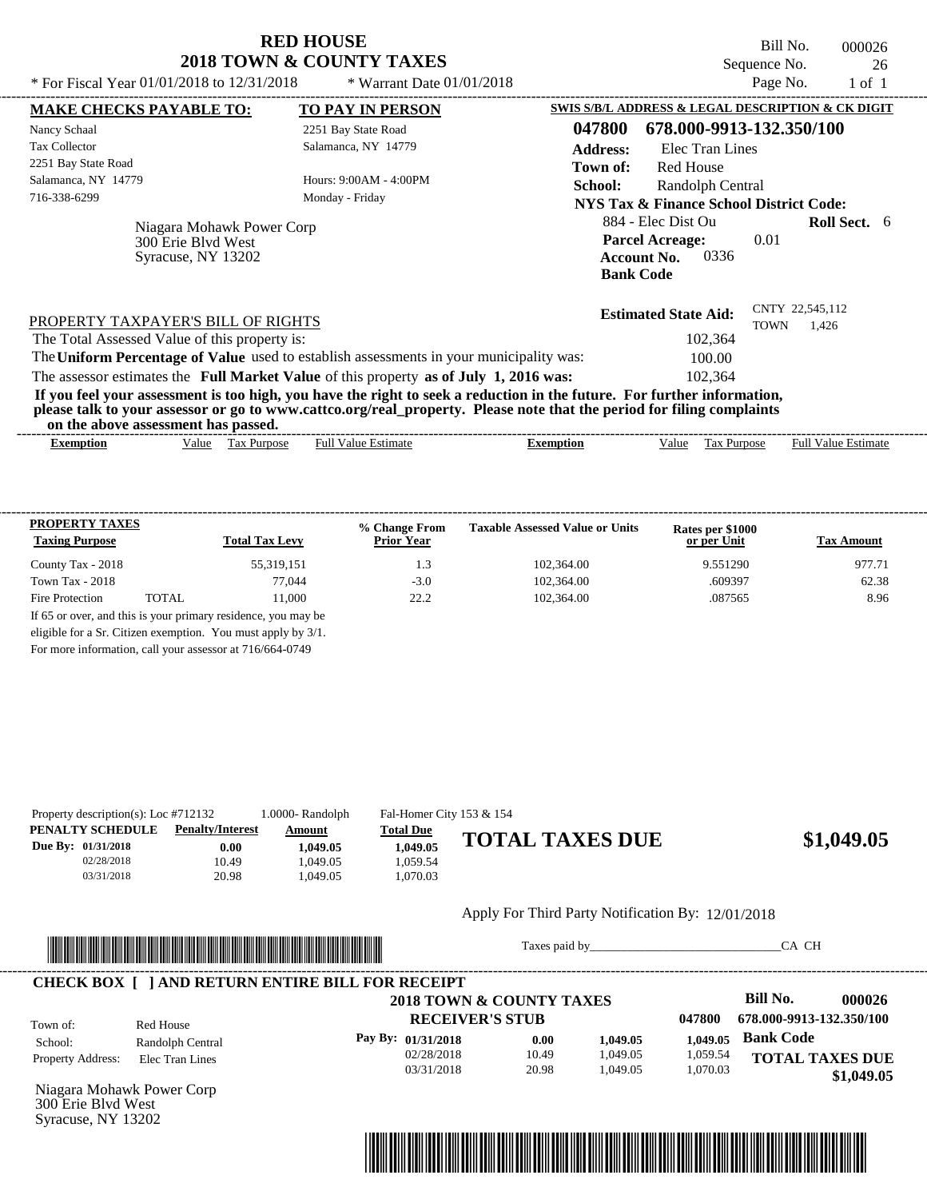| <b>RED HOUSE</b>                    |
|-------------------------------------|
| <b>2018 TOWN &amp; COUNTY TAXES</b> |

Bill No. 000026 Sequence No. 26<br>Page No. 1 of 1

| * For Fiscal Year $01/01/2018$ to $12/31/2018$                                                                                                                                                                                                   | * Warrant Date $01/01/2018$ |                 |                                                                                                | Page No.    | $1$ of $1$               |  |
|--------------------------------------------------------------------------------------------------------------------------------------------------------------------------------------------------------------------------------------------------|-----------------------------|-----------------|------------------------------------------------------------------------------------------------|-------------|--------------------------|--|
| <b>MAKE CHECKS PAYABLE TO:</b>                                                                                                                                                                                                                   | <b>TO PAY IN PERSON</b>     |                 | SWIS S/B/L ADDRESS & LEGAL DESCRIPTION & CK DIGIT                                              |             |                          |  |
| Nancy Schaal                                                                                                                                                                                                                                     | 2251 Bay State Road         | 047800          | 678.000-9913-132.350/100                                                                       |             |                          |  |
| <b>Tax Collector</b>                                                                                                                                                                                                                             | Salamanca, NY 14779         | <b>Address:</b> | Elec Tran Lines                                                                                |             |                          |  |
| 2251 Bay State Road                                                                                                                                                                                                                              |                             | Town of:        | <b>Red House</b>                                                                               |             |                          |  |
| Salamanca, NY 14779                                                                                                                                                                                                                              | Hours: 9:00AM - 4:00PM      | School:         | Randolph Central                                                                               |             |                          |  |
| 716-338-6299                                                                                                                                                                                                                                     | Monday - Friday             |                 | <b>NYS Tax &amp; Finance School District Code:</b>                                             |             |                          |  |
| Niagara Mohawk Power Corp<br>300 Erie Blyd West<br>Syracuse, NY 13202                                                                                                                                                                            |                             |                 | 884 - Elec Dist Ou<br><b>Parcel Acreage:</b><br>0336<br><b>Account No.</b><br><b>Bank Code</b> | 0.01        | <b>Roll Sect.</b> 6      |  |
| PROPERTY TAXPAYER'S BILL OF RIGHTS<br>The Total Assessed Value of this property is:<br>The Uniform Percentage of Value used to establish assessments in your municipality was:                                                                   |                             |                 | <b>Estimated State Aid:</b><br>102,364<br>100.00                                               | <b>TOWN</b> | CNTY 22,545,112<br>1,426 |  |
| The assessor estimates the Full Market Value of this property as of July 1, 2016 was:                                                                                                                                                            |                             |                 | 102,364                                                                                        |             |                          |  |
| If you feel your assessment is too high, you have the right to seek a reduction in the future. For further information,<br>please talk to your assessor or go to www.cattco.org/real_property. Please note that the period for filing complaints |                             |                 |                                                                                                |             |                          |  |
| on the above assessment has passed.                                                                                                                                                                                                              |                             |                 |                                                                                                |             |                          |  |

| <b>PROPERTY TAXES</b><br><b>Taxing Purpose</b> |       | <b>Total Tax Levy</b> | % Change From<br><b>Prior Year</b> | <b>Taxable Assessed Value or Units</b> | Rates per \$1000<br>or per Unit | <b>Tax Amount</b> |
|------------------------------------------------|-------|-----------------------|------------------------------------|----------------------------------------|---------------------------------|-------------------|
| County Tax - 2018                              |       | 55,319,151            | 1.3                                | 102,364.00                             | 9.551290                        | 977.71            |
| Town Tax - $2018$                              |       | 77.044                | $-3.0$                             | 102,364.00                             | .609397                         | 62.38             |
| Fire Protection                                | TOTAL | 11.000                | 22.2                               | 102,364.00                             | .087565                         | 8.96              |

For more information, call your assessor at 716/664-0749

| Property description(s): Loc $#712132$               |                                          | 1.0000- Randolph               | Fal-Homer City 153 & 154                 |                        |            |
|------------------------------------------------------|------------------------------------------|--------------------------------|------------------------------------------|------------------------|------------|
| PENALTY SCHEDULE<br>Due By: 01/31/2018<br>02/28/2018 | <b>Penalty/Interest</b><br>0.00<br>10.49 | Amount<br>1.049.05<br>1.049.05 | <b>Total Due</b><br>1.049.05<br>1.059.54 | <b>TOTAL TAXES DUE</b> | \$1,049.05 |
| 03/31/2018                                           | 20.98                                    | 1.049.05                       | 1.070.03                                 |                        |            |

#### Apply For Third Party Notification By: 12/01/2018



Taxes paid by\_\_\_\_\_\_\_\_\_\_\_\_\_\_\_\_\_\_\_\_\_\_\_\_\_\_\_\_\_\_\_CA CH

 **\$1,049.05**

#### **RECEIVER'S STUB Bill No. 000026 Bank Code 1,049.05** Property Address: Elec Tran Lines Red House School: Randolph Central **TOTAL TAXES DUE 2018 TOWN & COUNTY TAXES 047800 678.000-9913-132.350/100 Pay By: 01/31/2018** 02/28/2018 10.49 20.98 **0.00** 1,049.05 1,049.05 **1,049.05** 1,059.54 1,070.03 Town of: ---------------------------------------------------------------------------------------------------------------------------------------------------------------------------------------------------- **CHECK BOX [ ] AND RETURN ENTIRE BILL FOR RECEIPT**

03/31/2018

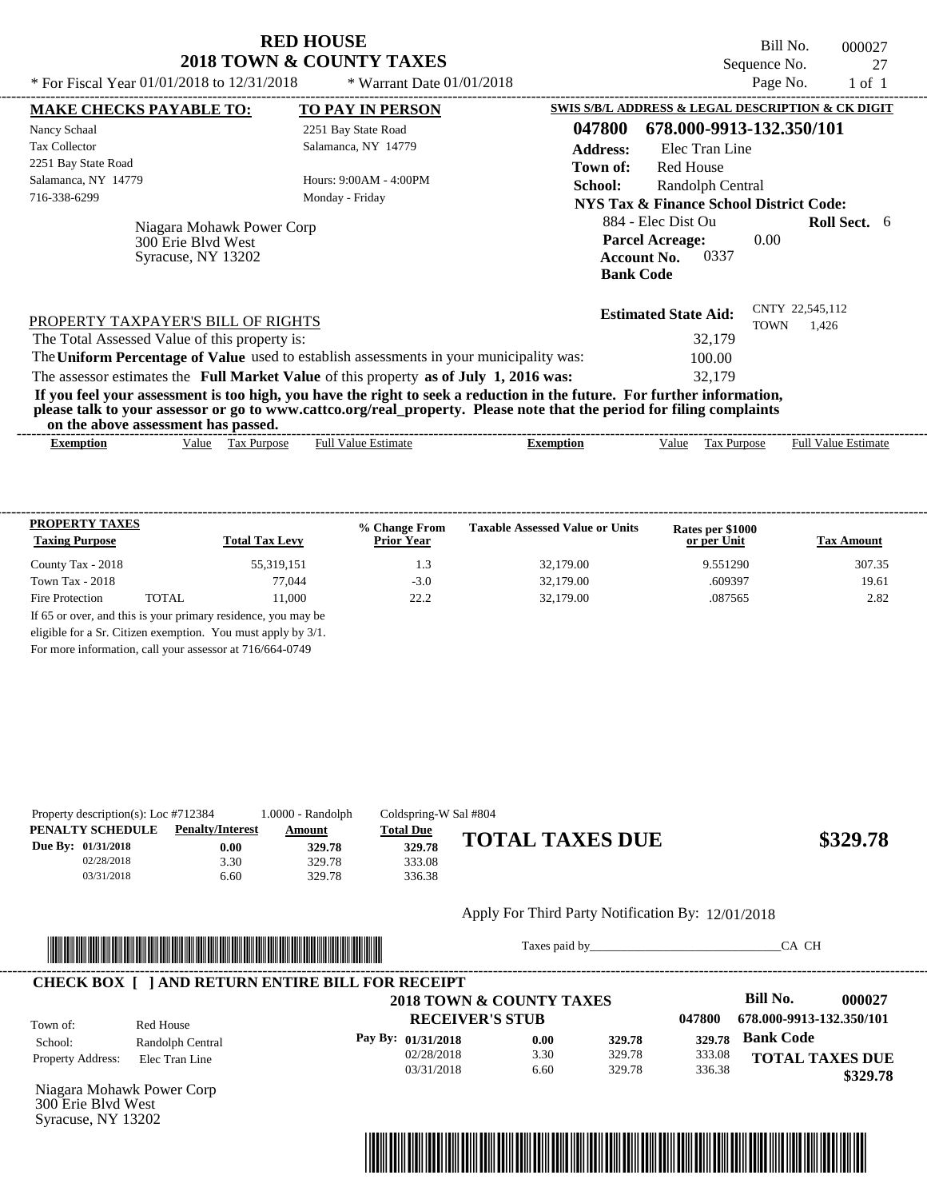Bill No. 000027 Sequence No. 27<br>Page No. 27<br>1 of 1

| * For Fiscal Year 01/01/2018 to 12/31/2018    |                           | * Warrant Date 01/01/2018                                                                                               |                  |                                                   | Page No.    | 1 of 1                     |  |
|-----------------------------------------------|---------------------------|-------------------------------------------------------------------------------------------------------------------------|------------------|---------------------------------------------------|-------------|----------------------------|--|
| <b>MAKE CHECKS PAYABLE TO:</b>                |                           | <b>TO PAY IN PERSON</b>                                                                                                 |                  | SWIS S/B/L ADDRESS & LEGAL DESCRIPTION & CK DIGIT |             |                            |  |
| Nancy Schaal                                  |                           | 2251 Bay State Road                                                                                                     | 047800           | 678.000-9913-132.350/101                          |             |                            |  |
| <b>Tax Collector</b>                          |                           | Salamanca, NY 14779                                                                                                     | <b>Address:</b>  | Elec Tran Line                                    |             |                            |  |
| 2251 Bay State Road                           |                           |                                                                                                                         | Town of:         | Red House                                         |             |                            |  |
| Salamanca, NY 14779                           |                           | Hours: 9:00AM - 4:00PM                                                                                                  | School:          | Randolph Central                                  |             |                            |  |
| 716-338-6299                                  |                           | Monday - Friday                                                                                                         |                  | NYS Tax & Finance School District Code:           |             |                            |  |
|                                               | Niagara Mohawk Power Corp |                                                                                                                         |                  | 884 - Elec Dist Ou                                |             | <b>Roll Sect.</b> 6        |  |
| 300 Erie Blyd West                            |                           |                                                                                                                         |                  | <b>Parcel Acreage:</b>                            | 0.00        |                            |  |
| Syracuse, NY 13202                            |                           |                                                                                                                         |                  | 0337<br><b>Account No.</b>                        |             |                            |  |
|                                               |                           |                                                                                                                         |                  | <b>Bank Code</b>                                  |             |                            |  |
| PROPERTY TAXPAYER'S BILL OF RIGHTS            |                           |                                                                                                                         |                  | <b>Estimated State Aid:</b>                       | <b>TOWN</b> | CNTY 22,545,112<br>1.426   |  |
| The Total Assessed Value of this property is: |                           |                                                                                                                         |                  | 32,179                                            |             |                            |  |
|                                               |                           | The Uniform Percentage of Value used to establish assessments in your municipality was:                                 |                  | 100.00                                            |             |                            |  |
|                                               |                           | The assessor estimates the Full Market Value of this property as of July 1, 2016 was:                                   |                  | 32,179                                            |             |                            |  |
|                                               |                           | If you feel your assessment is too high, you have the right to seek a reduction in the future. For further information, |                  |                                                   |             |                            |  |
| on the above assessment has passed.           |                           | please talk to your assessor or go to www.cattco.org/real_property. Please note that the period for filing complaints   |                  |                                                   |             |                            |  |
| <b>Exemption</b>                              | Tax Purpose<br>Value      | <b>Full Value Estimate</b>                                                                                              | <b>Exemption</b> | Value<br>Tax Purpose                              |             | <b>Full Value Estimate</b> |  |
|                                               |                           |                                                                                                                         |                  |                                                   |             |                            |  |

|                          | <b>Total Tax Levy</b> | <b>Prior Year</b> |           | or per Unit | <b>Tax Amount</b> |
|--------------------------|-----------------------|-------------------|-----------|-------------|-------------------|
| County Tax - 2018        | 55,319,151            | l .3              | 32,179.00 | 9.551290    | 307.35            |
| Town Tax - $2018$        | 77,044                | $-3.0$            | 32,179.00 | .609397     | 19.61             |
| TOTAL<br>Fire Protection | 11.000                | 22.2              | 32,179.00 | .087565     | 2.82              |

| Property description(s): Loc $#712384$ |                         | 1.0000 - Randolph | Coldspring-W Sal #804 |                        |          |
|----------------------------------------|-------------------------|-------------------|-----------------------|------------------------|----------|
| PENALTY SCHEDULE                       | <b>Penalty/Interest</b> | <u>Amount</u>     | <b>Total Due</b>      |                        |          |
| Due By: 01/31/2018                     | $0.00\,$                | 329.78            | 329.78                | <b>TOTAL TAXES DUE</b> | \$329.78 |
| 02/28/2018                             | 3.30                    | 329.78            | 333.08                |                        |          |
| 03/31/2018                             | 6.60                    | 329.78            | 336.38                |                        |          |

#### Apply For Third Party Notification By: 12/01/2018



Taxes paid by\_\_\_\_\_\_\_\_\_\_\_\_\_\_\_\_\_\_\_\_\_\_\_\_\_\_\_\_\_\_\_CA CH

|                                            |                  | 2018 TOWN & COUNTY TAXES |      |        |        | <b>Bill No.</b>          | 000027   |
|--------------------------------------------|------------------|--------------------------|------|--------|--------|--------------------------|----------|
| Town of:                                   | Red House        | <b>RECEIVER'S STUB</b>   |      |        | 047800 | 678.000-9913-132.350/101 |          |
| School:                                    | Randolph Central | Pay By: $01/31/2018$     | 0.00 | 329.78 | 329.78 | <b>Bank Code</b>         |          |
| <b>Property Address:</b><br>Elec Tran Line |                  | 02/28/2018               | 3.30 | 329.78 | 333.08 | <b>TOTAL TAXES DUE</b>   |          |
|                                            |                  | 03/31/2018               | 6.60 | 329.78 | 336.38 |                          | \$329.78 |

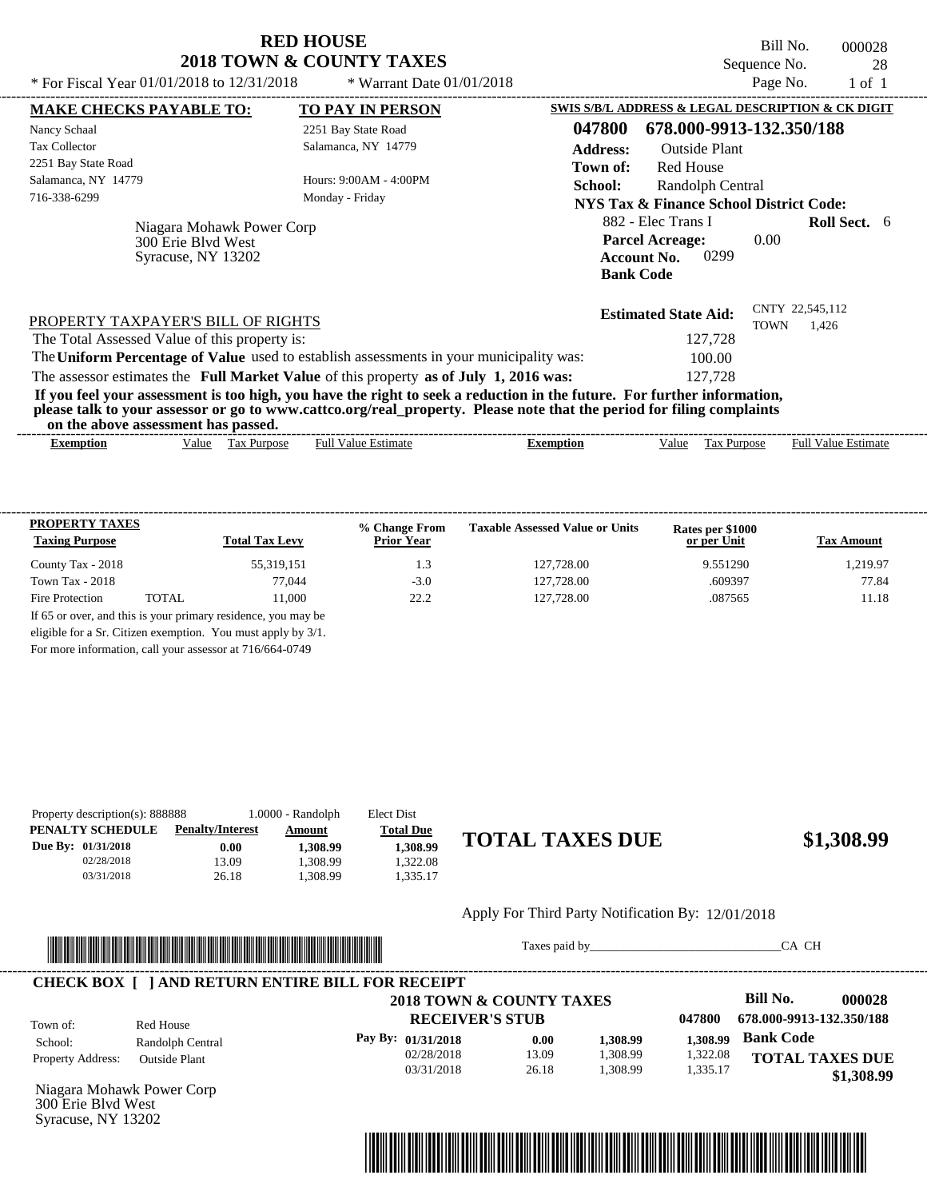| <b>RED HOUSE</b>                    |  |  |  |  |  |  |
|-------------------------------------|--|--|--|--|--|--|
| <b>2018 TOWN &amp; COUNTY TAXES</b> |  |  |  |  |  |  |

Bill No. 000028 Sequence No. 28

| * For Fiscal Year 01/01/2018 to 12/31/2018    |                                                 | * Warrant Date 01/01/2018                                                                                                                                                                                                                        |                  |                                                                                                | Page No.    | 1 of 1                     |  |
|-----------------------------------------------|-------------------------------------------------|--------------------------------------------------------------------------------------------------------------------------------------------------------------------------------------------------------------------------------------------------|------------------|------------------------------------------------------------------------------------------------|-------------|----------------------------|--|
| <b>MAKE CHECKS PAYABLE TO:</b>                |                                                 | <b>TO PAY IN PERSON</b>                                                                                                                                                                                                                          |                  | SWIS S/B/L ADDRESS & LEGAL DESCRIPTION & CK DIGIT                                              |             |                            |  |
| Nancy Schaal                                  |                                                 | 2251 Bay State Road                                                                                                                                                                                                                              | 047800           | 678.000-9913-132.350/188                                                                       |             |                            |  |
| <b>Tax Collector</b>                          |                                                 | Salamanca, NY 14779                                                                                                                                                                                                                              | <b>Address:</b>  | <b>Outside Plant</b>                                                                           |             |                            |  |
| 2251 Bay State Road                           |                                                 |                                                                                                                                                                                                                                                  | Town of:         | <b>Red House</b>                                                                               |             |                            |  |
| Salamanca, NY 14779<br>716-338-6299           |                                                 | Hours: 9:00AM - 4:00PM<br>Monday - Friday                                                                                                                                                                                                        | School:          | Randolph Central<br>NYS Tax & Finance School District Code:                                    |             |                            |  |
| 300 Erie Blyd West                            | Niagara Mohawk Power Corp<br>Syracuse, NY 13202 |                                                                                                                                                                                                                                                  |                  | 882 - Elec Trans I<br><b>Parcel Acreage:</b><br>0299<br><b>Account No.</b><br><b>Bank Code</b> | 0.00        | <b>Roll Sect.</b> 6        |  |
| PROPERTY TAXPAYER'S BILL OF RIGHTS            |                                                 |                                                                                                                                                                                                                                                  |                  | <b>Estimated State Aid:</b>                                                                    | <b>TOWN</b> | CNTY 22,545,112<br>1.426   |  |
| The Total Assessed Value of this property is: |                                                 |                                                                                                                                                                                                                                                  |                  | 127.728                                                                                        |             |                            |  |
|                                               |                                                 | The Uniform Percentage of Value used to establish assessments in your municipality was:                                                                                                                                                          |                  | 100.00                                                                                         |             |                            |  |
|                                               |                                                 | The assessor estimates the Full Market Value of this property as of July 1, 2016 was:                                                                                                                                                            |                  | 127,728                                                                                        |             |                            |  |
| on the above assessment has passed.           |                                                 | If you feel your assessment is too high, you have the right to seek a reduction in the future. For further information,<br>please talk to your assessor or go to www.cattco.org/real_property. Please note that the period for filing complaints |                  |                                                                                                |             |                            |  |
| <b>Exemption</b>                              | Tax Purpose<br>Value                            | <b>Full Value Estimate</b>                                                                                                                                                                                                                       | <b>Exemption</b> | Value<br>Tax Purpose                                                                           |             | <b>Full Value Estimate</b> |  |
|                                               |                                                 |                                                                                                                                                                                                                                                  |                  |                                                                                                |             |                            |  |

| <b>PROPERTY TAXES</b><br><b>Taxing Purpose</b> |        | <b>Total Tax Levy</b>                                         | % Change From<br><b>Prior Year</b> | <b>Taxable Assessed Value or Units</b> | Rates per \$1000<br>or per Unit | <b>Tax Amount</b> |
|------------------------------------------------|--------|---------------------------------------------------------------|------------------------------------|----------------------------------------|---------------------------------|-------------------|
| County Tax - 2018                              |        | 55,319,151                                                    | 1.3                                | 127,728.00                             | 9.551290                        | 1.219.97          |
| Town Tax - 2018                                |        | 77.044                                                        | $-3.0$                             | 127,728.00                             | .609397                         | 77.84             |
| Fire Protection                                | TOTAL. | 11.000                                                        | 22.2                               | 127,728.00                             | .087565                         | 11.18             |
|                                                |        | If 65 or over, and this is your primary residence, you may be |                                    |                                        |                                 |                   |
|                                                |        | eligible for a Sr. Citizen exemption. You must apply by 3/1.  |                                    |                                        |                                 |                   |

For more information, call your assessor at 716/664-0749

| Property description(s): 888888 |                         | 1.0000 - Randolph | Elect Dist       |                        |            |
|---------------------------------|-------------------------|-------------------|------------------|------------------------|------------|
| PENALTY SCHEDULE                | <b>Penalty/Interest</b> | Amount            | <b>Total Due</b> |                        |            |
| Due By: 01/31/2018              | 0.00                    | 1.308.99          | 1.308.99         | <b>TOTAL TAXES DUE</b> | \$1,308.99 |
| 02/28/2018                      | 3.09                    | .308.99           | .322.08          |                        |            |
| 03/31/2018                      | 26.18                   | .308.99           | .335.17          |                        |            |
|                                 |                         |                   |                  |                        |            |

#### Apply For Third Party Notification By: 12/01/2018



Taxes paid by\_\_\_\_\_\_\_\_\_\_\_\_\_\_\_\_\_\_\_\_\_\_\_\_\_\_\_\_\_\_\_CA CH

|                          |                      | 2018 TOWN & COUNTY TAXES |       |          |          | <b>Bill No.</b>          | 000028     |
|--------------------------|----------------------|--------------------------|-------|----------|----------|--------------------------|------------|
| Town of:                 | Red House            | <b>RECEIVER'S STUB</b>   |       |          | 047800   | 678.000-9913-132.350/188 |            |
| School:                  | Randolph Central     | Pay By: 01/31/2018       | 0.00  | 1.308.99 | 1.308.99 | <b>Bank Code</b>         |            |
| <b>Property Address:</b> | <b>Outside Plant</b> | 02/28/2018               | 13.09 | 1,308.99 | 1,322.08 | <b>TOTAL TAXES DUE</b>   |            |
|                          |                      | 03/31/2018               | 26.18 | 1.308.99 | 1,335.17 |                          | \$1,308.99 |

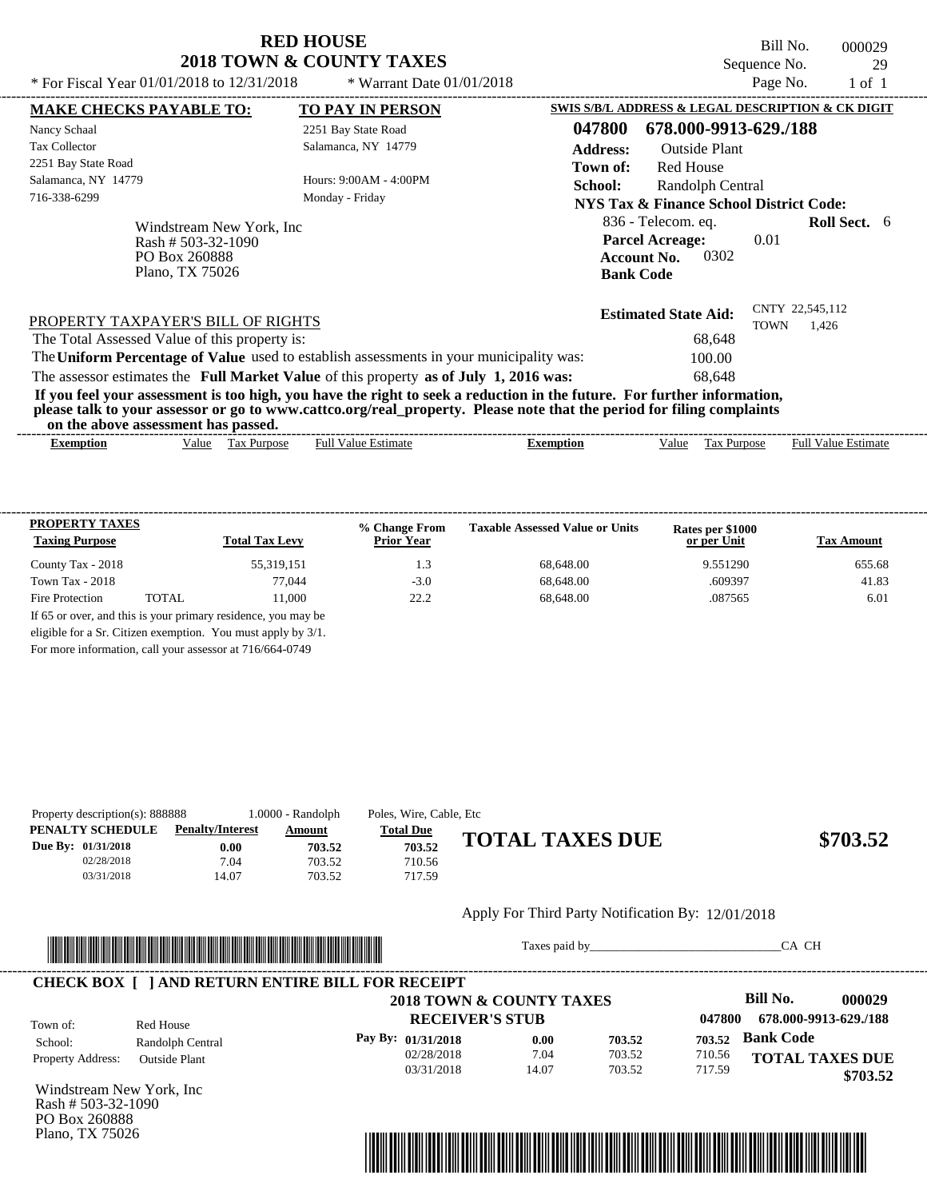Bill No. 000029 Sequence No. 29<br>Page No. 29<br>1 of 1

| * For Fiscal Year 01/01/2018 to 12/31/2018             |                           | * Warrant Date $01/01/2018$                                                                                                                                                                                                                      |                                                   |                                                                                        |                      | Page No.    | $1$ of $1$                 |  |
|--------------------------------------------------------|---------------------------|--------------------------------------------------------------------------------------------------------------------------------------------------------------------------------------------------------------------------------------------------|---------------------------------------------------|----------------------------------------------------------------------------------------|----------------------|-------------|----------------------------|--|
| <b>MAKE CHECKS PAYABLE TO:</b>                         |                           | <b>TO PAY IN PERSON</b>                                                                                                                                                                                                                          | SWIS S/B/L ADDRESS & LEGAL DESCRIPTION & CK DIGIT |                                                                                        |                      |             |                            |  |
| Nancy Schaal                                           |                           | 2251 Bay State Road                                                                                                                                                                                                                              | 047800                                            | 678.000-9913-629./188                                                                  |                      |             |                            |  |
| <b>Tax Collector</b>                                   |                           | Salamanca, NY 14779                                                                                                                                                                                                                              | <b>Address:</b>                                   |                                                                                        | <b>Outside Plant</b> |             |                            |  |
| 2251 Bay State Road                                    |                           |                                                                                                                                                                                                                                                  | Town of:                                          | <b>Red House</b>                                                                       |                      |             |                            |  |
| Salamanca, NY 14779                                    |                           | Hours: 9:00AM - 4:00PM                                                                                                                                                                                                                           | School:                                           |                                                                                        | Randolph Central     |             |                            |  |
| 716-338-6299                                           |                           | Monday - Friday                                                                                                                                                                                                                                  |                                                   | <b>NYS Tax &amp; Finance School District Code:</b>                                     |                      |             |                            |  |
| Rash # 503-32-1090<br>PO Box 260888<br>Plano, TX 75026 | Windstream New York, Inc. |                                                                                                                                                                                                                                                  |                                                   | 836 - Telecom. eq.<br><b>Parcel Acreage:</b><br><b>Account No.</b><br><b>Bank Code</b> | 0302                 | 0.01        | <b>Roll Sect.</b> 6        |  |
| PROPERTY TAXPAYER'S BILL OF RIGHTS                     |                           |                                                                                                                                                                                                                                                  |                                                   | <b>Estimated State Aid:</b>                                                            |                      | <b>TOWN</b> | CNTY 22,545,112<br>1,426   |  |
| The Total Assessed Value of this property is:          |                           |                                                                                                                                                                                                                                                  |                                                   |                                                                                        | 68.648               |             |                            |  |
|                                                        |                           | The Uniform Percentage of Value used to establish assessments in your municipality was:                                                                                                                                                          |                                                   |                                                                                        | 100.00               |             |                            |  |
|                                                        |                           | The assessor estimates the Full Market Value of this property as of July 1, 2016 was:                                                                                                                                                            |                                                   |                                                                                        | 68.648               |             |                            |  |
| on the above assessment has passed.                    |                           | If you feel your assessment is too high, you have the right to seek a reduction in the future. For further information,<br>please talk to your assessor or go to www.cattco.org/real_property. Please note that the period for filing complaints |                                                   |                                                                                        |                      |             |                            |  |
| Value<br><b>Exemption</b>                              | Tax Purpose               | <b>Full Value Estimate</b>                                                                                                                                                                                                                       | <b>Exemption</b>                                  | Value                                                                                  | Tax Purpose          |             | <b>Full Value Estimate</b> |  |

| <b>PROPERTY TAXES</b><br><b>Taxing Purpose</b> |       | <b>Total Tax Levy</b> | % Change From<br><b>Prior Year</b> | <b>Taxable Assessed Value or Units</b> | Rates per \$1000<br>or per Unit | <b>Tax Amount</b> |
|------------------------------------------------|-------|-----------------------|------------------------------------|----------------------------------------|---------------------------------|-------------------|
| County Tax - 2018                              |       | 55,319,151            | ı .3                               | 68,648.00                              | 9.551290                        | 655.68            |
| Town Tax - $2018$                              |       | 77.044                | $-3.0$                             | 68,648.00                              | .609397                         | 41.83             |
| Fire Protection                                | TOTAL | 11.000                | 22.2                               | 68,648.00                              | .087565                         | 6.01              |

|  | For more information, call your assessor at 716/664-0749 |
|--|----------------------------------------------------------|
|--|----------------------------------------------------------|

| Property description(s): 888888 |                         | 1.0000 - Randolph | Poles, Wire, Cable, Etc |                        |          |
|---------------------------------|-------------------------|-------------------|-------------------------|------------------------|----------|
| PENALTY SCHEDULE                | <b>Penalty/Interest</b> | Amount            | <b>Total Due</b>        |                        |          |
| Due By: 01/31/2018              | $0.00\,$                | 703.52            | 703.52                  | <b>TOTAL TAXES DUE</b> | \$703.52 |
| 02/28/2018                      | 7.04                    | 703.52            | 710.56                  |                        |          |
| 03/31/2018                      | 14.07                   | 703.52            | 717.59                  |                        |          |

#### Apply For Third Party Notification By: 12/01/2018



Taxes paid by\_\_\_\_\_\_\_\_\_\_\_\_\_\_\_\_\_\_\_\_\_\_\_\_\_\_\_\_\_\_\_CA CH

|                          |                      | 2018 TOWN & COUNTY TAXES |       |        |        | Bill No.<br>000029     |
|--------------------------|----------------------|--------------------------|-------|--------|--------|------------------------|
| Town of:                 | Red House            | <b>RECEIVER'S STUB</b>   |       |        | 047800 | 678.000-9913-629./188  |
| School:                  | Randolph Central     | Pay By: 01/31/2018       | 0.00  | 703.52 | 703.52 | <b>Bank Code</b>       |
| <b>Property Address:</b> | <b>Outside Plant</b> | 02/28/2018               | 7.04  | 703.52 | 710.56 | <b>TOTAL TAXES DUE</b> |
|                          |                      | 03/31/2018               | 14.07 | 703.52 | 717.59 | \$703.52               |

Windstream New York, Inc Rash # 503-32-1090 PO Box 260888 Plano, TX 75026

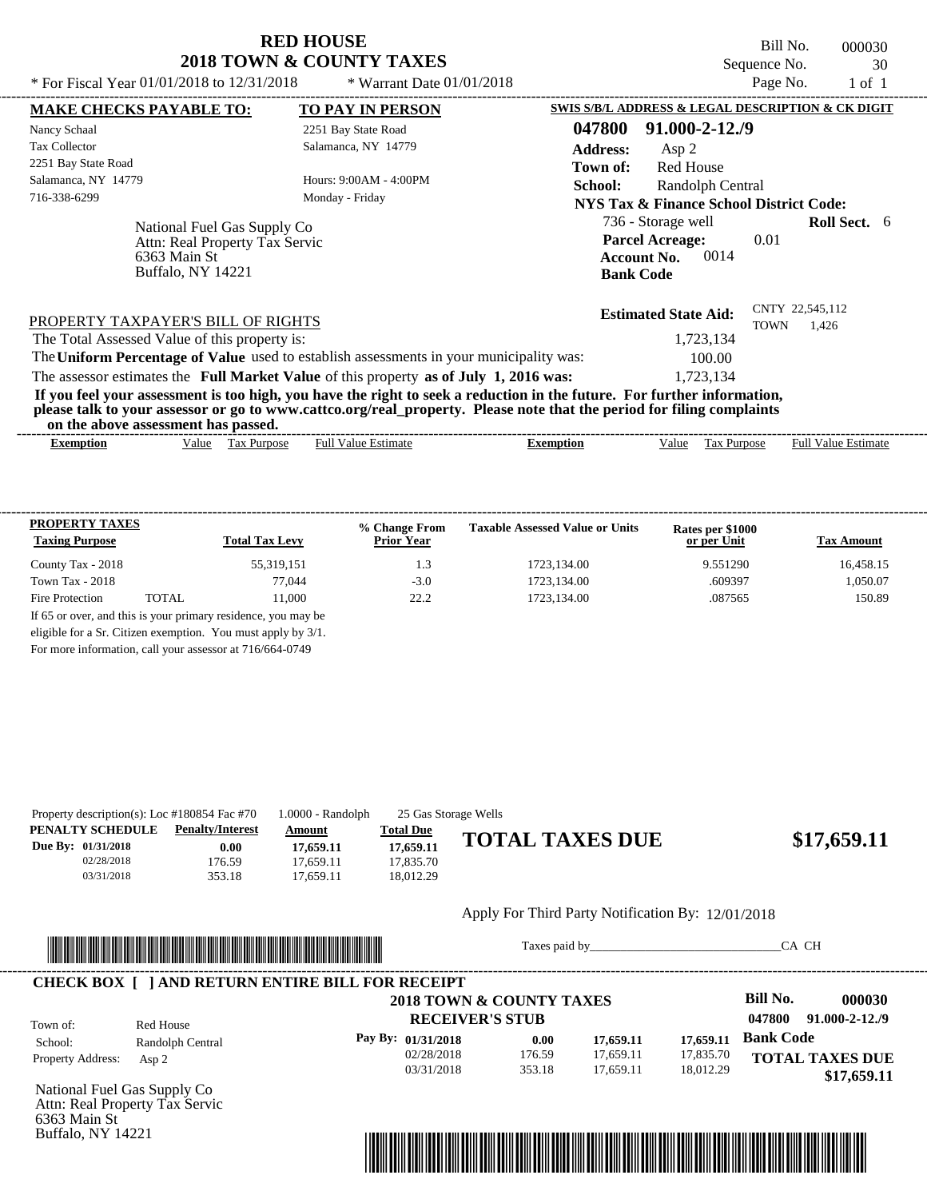Bill No. 000030 Sequence No. 30 \* For Fiscal Year  $01/01/2018$  to  $12/31/2018$  \* Warrant Date  $01/01/2018$  Page No. 1 of 1

| * For Fiscal Year $01/01/2018$ to $12/31/2018$                                                                                                                                                                                                                                          | * Warrant Date $01/01/2018$                     |                  |                                                   | Page No.    | $1$ of $1$                 |  |
|-----------------------------------------------------------------------------------------------------------------------------------------------------------------------------------------------------------------------------------------------------------------------------------------|-------------------------------------------------|------------------|---------------------------------------------------|-------------|----------------------------|--|
| <b>MAKE CHECKS PAYABLE TO:</b>                                                                                                                                                                                                                                                          | TO PAY IN PERSON                                |                  | SWIS S/B/L ADDRESS & LEGAL DESCRIPTION & CK DIGIT |             |                            |  |
| Nancy Schaal                                                                                                                                                                                                                                                                            | 2251 Bay State Road                             | 047800           | $91.000 - 2 - 12.79$                              |             |                            |  |
| <b>Tax Collector</b>                                                                                                                                                                                                                                                                    | Salamanca, NY 14779                             | <b>Address:</b>  | Asp 2                                             |             |                            |  |
| 2251 Bay State Road                                                                                                                                                                                                                                                                     |                                                 | Town of:         | <b>Red House</b>                                  |             |                            |  |
| Salamanca, NY 14779                                                                                                                                                                                                                                                                     | Hours: 9:00AM - 4:00PM                          | School:          | Randolph Central                                  |             |                            |  |
| 716-338-6299                                                                                                                                                                                                                                                                            | Monday - Friday                                 |                  | NYS Tax & Finance School District Code:           |             |                            |  |
| National Fuel Gas Supply Co                                                                                                                                                                                                                                                             |                                                 |                  | 736 - Storage well                                |             | <b>Roll Sect.</b> 6        |  |
| Attn: Real Property Tax Servic                                                                                                                                                                                                                                                          |                                                 |                  | <b>Parcel Acreage:</b>                            | 0.01        |                            |  |
| 6363 Main St                                                                                                                                                                                                                                                                            |                                                 |                  | 0014<br><b>Account No.</b>                        |             |                            |  |
| Buffalo, NY 14221                                                                                                                                                                                                                                                                       |                                                 |                  | <b>Bank Code</b>                                  |             |                            |  |
| PROPERTY TAXPAYER'S BILL OF RIGHTS                                                                                                                                                                                                                                                      |                                                 |                  | <b>Estimated State Aid:</b>                       | <b>TOWN</b> | CNTY 22,545,112<br>1,426   |  |
| The Total Assessed Value of this property is:                                                                                                                                                                                                                                           |                                                 |                  | 1,723,134                                         |             |                            |  |
| The Uniform Percentage of Value used to establish assessments in your municipality was:                                                                                                                                                                                                 |                                                 |                  | 100.00                                            |             |                            |  |
| The assessor estimates the Full Market Value of this property as of July 1, 2016 was:                                                                                                                                                                                                   |                                                 |                  | 1,723,134                                         |             |                            |  |
| If you feel your assessment is too high, you have the right to seek a reduction in the future. For further information,<br>please talk to your assessor or go to www.cattco.org/real_property. Please note that the period for filing complaints<br>on the above assessment has passed. |                                                 |                  |                                                   |             |                            |  |
|                                                                                                                                                                                                                                                                                         | <b>Full Value Estimate</b><br>Value Tax Purpose | <b>Exemption</b> | Tax Purpose<br>Value                              |             | <b>Full Value Estimate</b> |  |

| <b>PROPERTY TAXES</b><br><b>Taxing Purpose</b> |       | <b>Total Tax Levy</b>                                         | % Change From<br><b>Prior Year</b> | <b>Taxable Assessed Value or Units</b> | Rates per \$1000<br>or per Unit | <b>Tax Amount</b> |
|------------------------------------------------|-------|---------------------------------------------------------------|------------------------------------|----------------------------------------|---------------------------------|-------------------|
| County Tax - 2018                              |       | 55,319,151                                                    | 1.3                                | 1723.134.00                            | 9.551290                        | 16,458.15         |
| Town Tax - $2018$                              |       | 77.044                                                        | $-3.0$                             | 1723.134.00                            | .609397                         | 1,050.07          |
| Fire Protection                                | TOTAL | 11.000                                                        | 222                                | 1723, 134, 00                          | .087565                         | 150.89            |
|                                                |       | If 65 or over, and this is your primary residence, you may be |                                    |                                        |                                 |                   |
|                                                |       | eligible for a Sr. Citizen exemption. You must apply by 3/1.  |                                    |                                        |                                 |                   |

For more information, call your assessor at 716/664-0749

| Property description(s): Loc $\#180854$ Fac $\#70$ |                         | 1.0000 - Randolph |                  | 25 Gas Storage Wells   |             |
|----------------------------------------------------|-------------------------|-------------------|------------------|------------------------|-------------|
| PENALTY SCHEDULE                                   | <b>Penalty/Interest</b> | Amount            | <b>Total Due</b> |                        |             |
| Due By: $01/31/2018$                               | $0.00\,$                | 17,659.11         | 17.659.11        | <b>TOTAL TAXES DUE</b> | \$17,659.11 |
| 02/28/2018                                         | 176.59                  | 17.659.11         | 17.835.70        |                        |             |
| 03/31/2018                                         | 353.18                  | 17.659.11         | 18.012.29        |                        |             |
|                                                    |                         |                   |                  |                        |             |

#### Apply For Third Party Notification By: 12/01/2018



Taxes paid by\_\_\_\_\_\_\_\_\_\_\_\_\_\_\_\_\_\_\_\_\_\_\_\_\_\_\_\_\_\_\_CA CH

**Bank Code**

**Bill No. 000030**

**047800 91.000-2-12./9**

**TOTAL TAXES DUE**

 **\$17,659.11**

## **CHECK BOX [ ] AND RETURN ENTIRE BILL FOR RECEIPT**

**RECEIVER'S STUB** Property Address: Asp 2 Red House School: Randolph Central  **2018 TOWN & COUNTY TAXES Pay By: 01/31/2018** 02/28/2018 03/31/2018 176.59 353.18 **0.00** 17,659.11 17,659.11 **17,659.11** 17,835.70 18,012.29 **17,659.11** Town of:

National Fuel Gas Supply Co Attn: Real Property Tax Servic 6363 Main St Buffalo, NY 14221